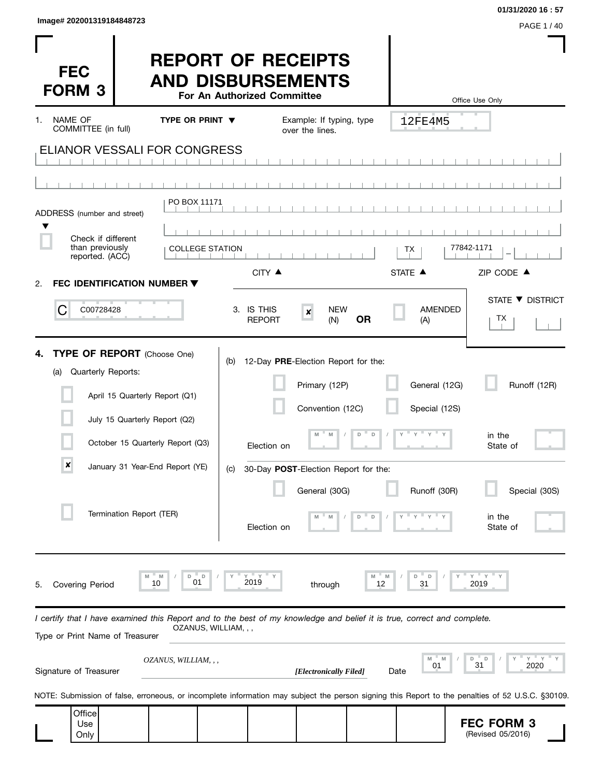| Image# 202001319184848723 |           |
|---------------------------|-----------|
|                           | PAGE 1/40 |

 $\mathbf{I}$ 

**01/31/2020 16 : 57**

I

| <b>FEC</b><br><b>FORM 3</b>                                                                                                                                |                               | <b>REPORT OF RECEIPTS</b><br><b>AND DISBURSEMENTS</b>                                                 | For An Authorized Committee |                                                                          |           |                                     | Office Use Only                                                                                                                                  |
|------------------------------------------------------------------------------------------------------------------------------------------------------------|-------------------------------|-------------------------------------------------------------------------------------------------------|-----------------------------|--------------------------------------------------------------------------|-----------|-------------------------------------|--------------------------------------------------------------------------------------------------------------------------------------------------|
| <b>NAME OF</b><br>1.<br>COMMITTEE (in full)                                                                                                                |                               | TYPE OR PRINT $\blacktriangledown$                                                                    |                             | Example: If typing, type                                                 |           | 12FE4M5                             |                                                                                                                                                  |
| <b>ELIANOR VESSALI FOR CONGRESS</b>                                                                                                                        |                               |                                                                                                       |                             | over the lines.                                                          |           |                                     |                                                                                                                                                  |
|                                                                                                                                                            |                               |                                                                                                       |                             |                                                                          |           |                                     |                                                                                                                                                  |
| ADDRESS (number and street)                                                                                                                                |                               | PO BOX 11171                                                                                          |                             |                                                                          |           |                                     |                                                                                                                                                  |
| Check if different                                                                                                                                         |                               |                                                                                                       |                             |                                                                          |           |                                     |                                                                                                                                                  |
| than previously<br>reported. (ACC)                                                                                                                         |                               | <b>COLLEGE STATION</b>                                                                                |                             |                                                                          |           | ТX                                  | 77842-1171                                                                                                                                       |
| FEC IDENTIFICATION NUMBER ▼<br>2.                                                                                                                          |                               |                                                                                                       | CITY ▲                      |                                                                          |           | STATE A                             | ZIP CODE $\triangle$                                                                                                                             |
| C<br>C00728428                                                                                                                                             |                               |                                                                                                       | 3. IS THIS<br><b>REPORT</b> | <b>NEW</b><br>$\pmb{\times}$<br>(N)                                      | <b>OR</b> | <b>AMENDED</b><br>(A)               | STATE ▼ DISTRICT<br>TХ                                                                                                                           |
| <b>TYPE OF REPORT</b> (Choose One)<br>4.<br>Quarterly Reports:<br>(a)<br>$\pmb{\times}$                                                                    | July 15 Quarterly Report (Q2) | April 15 Quarterly Report (Q1)<br>October 15 Quarterly Report (Q3)<br>January 31 Year-End Report (YE) | (b)<br>Election on          | 12-Day PRE-Election Report for the:<br>Primary (12P)<br>Convention (12C) | D         | General (12G)<br>Special (12S)<br>Y | Runoff (12R)<br>in the<br>State of                                                                                                               |
|                                                                                                                                                            |                               |                                                                                                       | (C)                         | 30-Day POST-Election Report for the:                                     |           |                                     |                                                                                                                                                  |
|                                                                                                                                                            | Termination Report (TER)      |                                                                                                       | Election on                 | General (30G)<br>M                                                       | D<br>D    | Runoff (30R)                        | Special (30S)<br>in the<br>State of                                                                                                              |
| Covering Period<br>5.                                                                                                                                      |                               | M<br>D<br>D<br>10<br>01                                                                               | 2019                        | through                                                                  | 12        | 31                                  | $Y$ $Y$<br>2019                                                                                                                                  |
| I certify that I have examined this Report and to the best of my knowledge and belief it is true, correct and complete.<br>Type or Print Name of Treasurer |                               | OZANUS, WILLIAM, , ,                                                                                  |                             |                                                                          |           |                                     |                                                                                                                                                  |
| Signature of Treasurer                                                                                                                                     |                               | OZANUS, WILLIAM, , ,                                                                                  |                             | [Electronically Filed]                                                   |           | 01<br>Date                          | Y<br>$-$ Y<br>D<br>D<br>2020<br>31                                                                                                               |
|                                                                                                                                                            |                               |                                                                                                       |                             |                                                                          |           |                                     | NOTE: Submission of false, erroneous, or incomplete information may subject the person signing this Report to the penalties of 52 U.S.C. §30109. |
| Office<br>Use<br>Only                                                                                                                                      |                               |                                                                                                       |                             |                                                                          |           |                                     | <b>FEC FORM 3</b><br>(Revised 05/2016)                                                                                                           |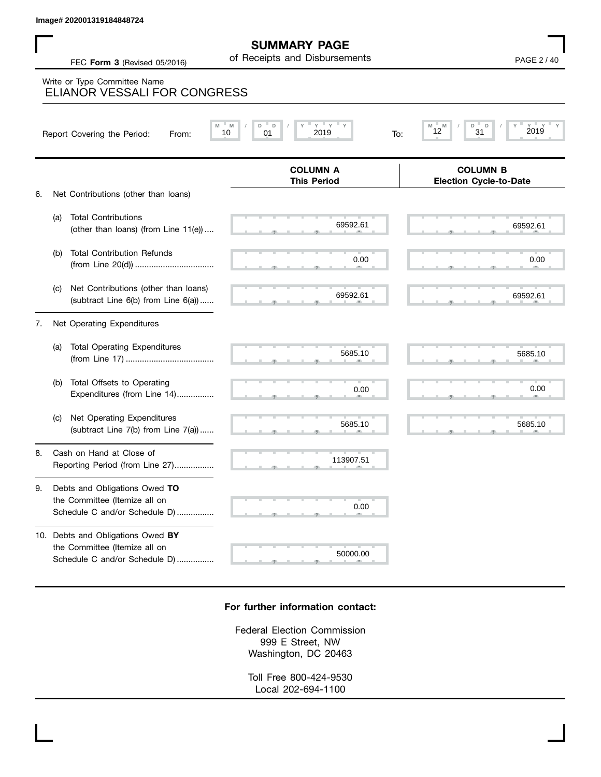$69592.61$  69592.61 69592.6 , , . , , . , , . , , .  $5685.10$  5685.10 5685.1  $\sim$  ,  $\sim$  0.00 and  $\sim$  0.00 and  $\sim$  0.00 and  $\sim$  0.00 and  $\sim$  0.00 and  $\sim$  0.00 and 0.00 and 0.00 and 0.00 and 0.00 and 0.00 and 0.00 and 0.00 and 0.00 and 0.00 and 0.00 and 0.00 and 0.00 and 0.00 and 0.00 and 0.00 , , . , , . , , . 113907.51  **M M / D D / Y Y Y Y M M / D D / Y Y Y Y COLUMN B Election Cycle-to-Date COLUMN A This Period** 6. Net Contributions (other than loans) (a) Total Contributions (other than loans) (from Line 11(e)) .... (b) Total Contribution Refunds (from Line 20(d)) .................................. (c) Net Contributions (other than loans) (subtract Line 6(b) from Line 6(a)) ...... 7. Net Operating Expenditures (a) Total Operating Expenditures (from Line 17) ...................................... (b) Total Offsets to Operating Expenditures (from Line 14)................ (c) Net Operating Expenditures (subtract Line 7(b) from Line 7(a)) ...... 8. Cash on Hand at Close of Reporting Period (from Line 27)................. FEC **Form 3** (Revised 05/2016) **COMPOSE 10** Of Receipts and Disbursements **PAGE 2** / 40 **SUMMARY PAGE** of Receipts and Disbursements Report Covering the Period: From: 10 01 2019 To: Write or Type Committee Name ELIANOR VESSALI FOR CONGRESS Image# 202001319184848724<br>
FEC Form 3 (Revised 05/2016) of Receipts and Disbursements<br>
Write or Type Committee Name<br>
ELIANOR VESSALI FOR CONGRESS<br>
Report Covering the Period: From: Many / Party 2019 You 2019<br>
To: Many 2019 69592.61 69592.61  $0.00$  0.00 69592.61 69592.61 5685.10 5685.10  $0.00$  0.00 5685.10 5685.10

9. Debts and Obligations Owed **TO** the Committee (Itemize all on Schedule C and/or Schedule D) ................

10. Debts and Obligations Owed **BY** the Committee (Itemize all on Schedule C and/or Schedule D) ................

## **For further information contact:**

 $\sim$  0.0

0.00

, , . 50000.00

Federal Election Commission 999 E Street, NW Washington, DC 20463

Toll Free 800-424-9530 Local 202-694-1100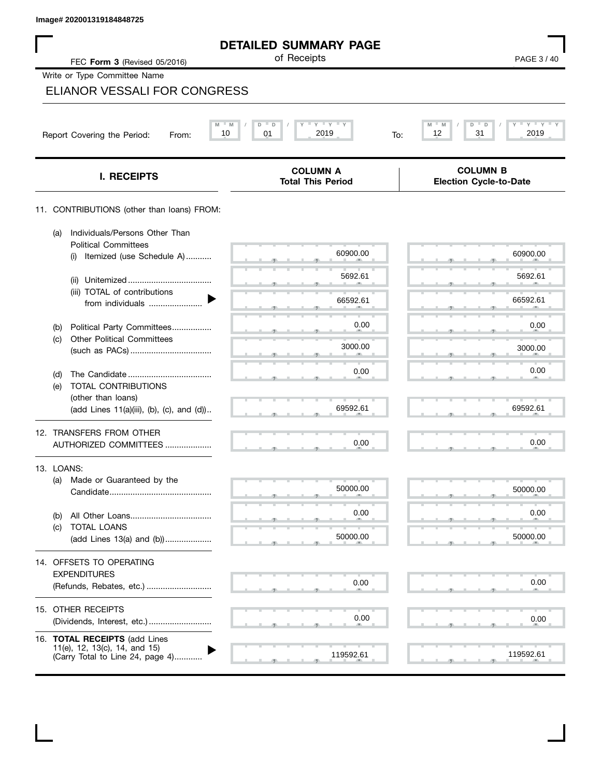$\mathbf I$ 

| PAGE 3/40<br>M<br>$Y = Y$<br>D<br>D<br>31<br>12<br>2019<br>To:<br><b>COLUMN B</b><br><b>Election Cycle-to-Date</b> |
|--------------------------------------------------------------------------------------------------------------------|
|                                                                                                                    |
|                                                                                                                    |
|                                                                                                                    |
|                                                                                                                    |
|                                                                                                                    |
|                                                                                                                    |
|                                                                                                                    |
|                                                                                                                    |
| 60900.00                                                                                                           |
| 5692.61                                                                                                            |
| 66592.61                                                                                                           |
| 0.00                                                                                                               |
| 3000.00                                                                                                            |
| 0.00                                                                                                               |
|                                                                                                                    |
| 69592.61                                                                                                           |
|                                                                                                                    |
| 0.00                                                                                                               |
|                                                                                                                    |
| 50000.00                                                                                                           |
| 0.00                                                                                                               |
|                                                                                                                    |
| 50000.00                                                                                                           |
|                                                                                                                    |
| 0.00                                                                                                               |
|                                                                                                                    |
| 0.00                                                                                                               |
|                                                                                                                    |
| 119592.61                                                                                                          |
|                                                                                                                    |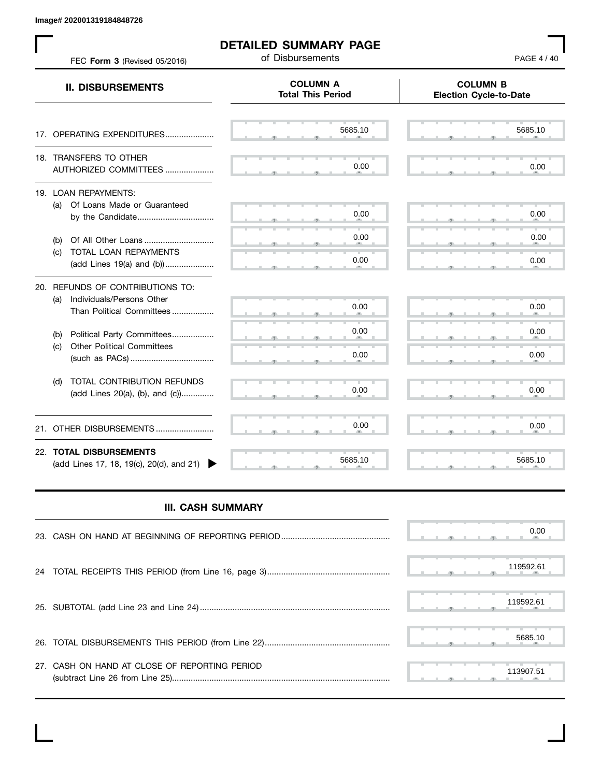**Image# 202001319184848726**

 $\mathbf{L}$ 

| FEC Form 3 (Revised 05/2016)                                                                   | <b>DETAILED SUMMARY PAGE</b><br>of Disbursements | PAGE 4 / 40                                      |
|------------------------------------------------------------------------------------------------|--------------------------------------------------|--------------------------------------------------|
| <b>II. DISBURSEMENTS</b>                                                                       | <b>COLUMN A</b><br><b>Total This Period</b>      | <b>COLUMN B</b><br><b>Election Cycle-to-Date</b> |
| 17. OPERATING EXPENDITURES                                                                     | 5685.10                                          | 5685.10                                          |
| 18. TRANSFERS TO OTHER<br>AUTHORIZED COMMITTEES                                                | 0.00                                             | 0.00                                             |
| 19. LOAN REPAYMENTS:<br>Of Loans Made or Guaranteed<br>(a)<br>by the Candidate                 | 0.00                                             | 0.00                                             |
| (b)<br>TOTAL LOAN REPAYMENTS<br>(C)<br>(add Lines 19(a) and (b))                               | 0.00<br>0.00                                     | 0.00<br>0.00                                     |
| 20. REFUNDS OF CONTRIBUTIONS TO:<br>(a) Individuals/Persons Other<br>Than Political Committees | 0.00                                             | 0.00                                             |
| Political Party Committees<br>(b)<br><b>Other Political Committees</b><br>(c)                  | 0.00<br>0.00                                     | 0.00<br>0.00                                     |
| TOTAL CONTRIBUTION REFUNDS<br>(d)<br>(add Lines 20(a), (b), and (c))                           | 0.00                                             | 0.00                                             |
| 21. OTHER DISBURSEMENTS                                                                        | 0.00                                             | 0.00                                             |
| 22. TOTAL DISBURSEMENTS<br>(add Lines 17, 18, 19(c), 20(d), and 21)                            | 5685.10                                          | 5685.10                                          |

## **III. CASH SUMMARY**

|                                               | 0.00      |
|-----------------------------------------------|-----------|
|                                               | 119592.61 |
|                                               | 119592.61 |
|                                               | 5685.10   |
| 27. CASH ON HAND AT CLOSE OF REPORTING PERIOD | 113907.51 |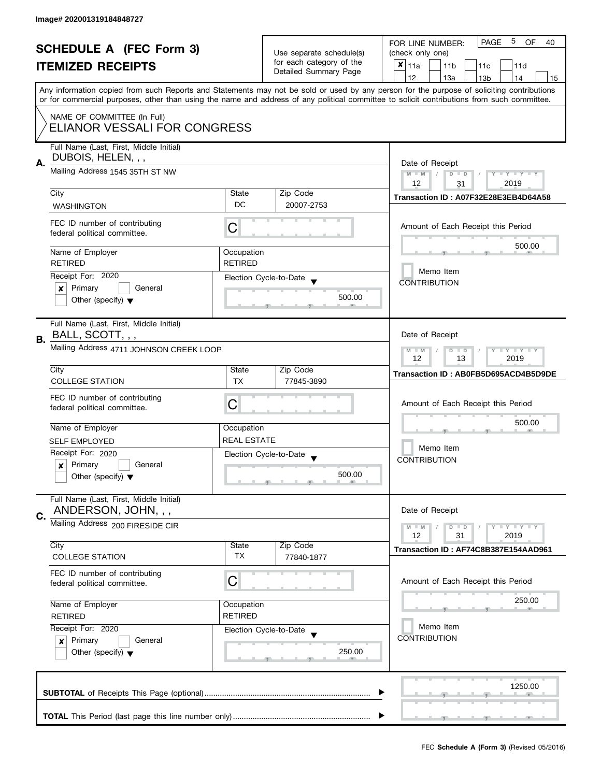| <b>SCHEDULE A (FEC Form 3)</b> |                                                                    |                              | 5<br><b>PAGE</b><br><b>OF</b><br>FOR LINE NUMBER:<br>40 |                                                                                                                                            |  |  |  |
|--------------------------------|--------------------------------------------------------------------|------------------------------|---------------------------------------------------------|--------------------------------------------------------------------------------------------------------------------------------------------|--|--|--|
|                                |                                                                    | Use separate schedule(s)     | (check only one)                                        |                                                                                                                                            |  |  |  |
|                                | <b>ITEMIZED RECEIPTS</b>                                           |                              | for each category of the<br>Detailed Summary Page       | $x _{11a}$<br>11 <sub>b</sub><br>11 <sub>c</sub><br>11d                                                                                    |  |  |  |
|                                |                                                                    |                              |                                                         | 12<br>13a<br>13 <sub>b</sub><br>14<br>15                                                                                                   |  |  |  |
|                                |                                                                    |                              |                                                         | Any information copied from such Reports and Statements may not be sold or used by any person for the purpose of soliciting contributions  |  |  |  |
|                                |                                                                    |                              |                                                         | or for commercial purposes, other than using the name and address of any political committee to solicit contributions from such committee. |  |  |  |
|                                | NAME OF COMMITTEE (In Full)                                        |                              |                                                         |                                                                                                                                            |  |  |  |
|                                | ELIANOR VESSALI FOR CONGRESS                                       |                              |                                                         |                                                                                                                                            |  |  |  |
|                                |                                                                    |                              |                                                         |                                                                                                                                            |  |  |  |
|                                | Full Name (Last, First, Middle Initial)                            |                              |                                                         |                                                                                                                                            |  |  |  |
| А.                             | DUBOIS, HELEN, , ,                                                 |                              |                                                         | Date of Receipt                                                                                                                            |  |  |  |
|                                | Mailing Address 1545 35TH ST NW                                    |                              |                                                         | $M - M$<br>$\vert$ /<br>$D$ $D$<br>$Y - Y - Y - Y - Y$                                                                                     |  |  |  |
|                                |                                                                    |                              |                                                         | 12<br>2019<br>31                                                                                                                           |  |  |  |
|                                | City                                                               | State<br>DC                  | Zip Code                                                | Transaction ID: A07F32E28E3EB4D64A58                                                                                                       |  |  |  |
|                                | <b>WASHINGTON</b>                                                  |                              | 20007-2753                                              |                                                                                                                                            |  |  |  |
|                                | FEC ID number of contributing                                      | C                            |                                                         | Amount of Each Receipt this Period                                                                                                         |  |  |  |
|                                | federal political committee.                                       |                              |                                                         |                                                                                                                                            |  |  |  |
|                                |                                                                    |                              |                                                         | 500.00                                                                                                                                     |  |  |  |
|                                | Name of Employer<br><b>RETIRED</b>                                 | Occupation<br><b>RETIRED</b> |                                                         |                                                                                                                                            |  |  |  |
|                                | Receipt For: 2020                                                  |                              |                                                         | Memo Item                                                                                                                                  |  |  |  |
|                                | General                                                            |                              | Election Cycle-to-Date                                  | <b>CONTRIBUTION</b>                                                                                                                        |  |  |  |
|                                | Primary<br>×                                                       |                              | 500.00                                                  |                                                                                                                                            |  |  |  |
|                                | Other (specify) $\blacktriangledown$                               |                              |                                                         |                                                                                                                                            |  |  |  |
|                                | Full Name (Last, First, Middle Initial)                            |                              |                                                         |                                                                                                                                            |  |  |  |
|                                | BALL, SCOTT, , ,                                                   |                              |                                                         | Date of Receipt                                                                                                                            |  |  |  |
| В.                             |                                                                    |                              |                                                         |                                                                                                                                            |  |  |  |
|                                | Mailing Address 4711 JOHNSON CREEK LOOP                            |                              |                                                         | $Y = Y + Y$<br>$M - M$<br>D<br>$\Box$<br>12<br>13<br>2019                                                                                  |  |  |  |
|                                | City                                                               | State                        | Zip Code                                                |                                                                                                                                            |  |  |  |
|                                | <b>COLLEGE STATION</b>                                             | <b>TX</b>                    | 77845-3890                                              | Transaction ID: AB0FB5D695ACD4B5D9DE                                                                                                       |  |  |  |
|                                |                                                                    |                              |                                                         |                                                                                                                                            |  |  |  |
|                                | FEC ID number of contributing<br>federal political committee.      | C                            |                                                         | Amount of Each Receipt this Period                                                                                                         |  |  |  |
|                                |                                                                    |                              |                                                         |                                                                                                                                            |  |  |  |
|                                | Name of Employer                                                   | Occupation                   |                                                         | 500.00                                                                                                                                     |  |  |  |
|                                | <b>SELF EMPLOYED</b>                                               | <b>REAL ESTATE</b>           |                                                         |                                                                                                                                            |  |  |  |
|                                | Receipt For: 2020                                                  |                              | Election Cycle-to-Date                                  | Memo Item                                                                                                                                  |  |  |  |
|                                | Primary<br>General<br>x                                            |                              |                                                         | <b>CONTRIBUTION</b>                                                                                                                        |  |  |  |
|                                | Other (specify) $\blacktriangledown$                               |                              | 500.00                                                  |                                                                                                                                            |  |  |  |
|                                |                                                                    |                              |                                                         |                                                                                                                                            |  |  |  |
|                                | Full Name (Last, First, Middle Initial)                            |                              |                                                         |                                                                                                                                            |  |  |  |
| C.                             | ANDERSON, JOHN, , ,                                                |                              |                                                         | Date of Receipt                                                                                                                            |  |  |  |
|                                | Mailing Address 200 FIRESIDE CIR                                   |                              |                                                         | $Y = Y + Y$<br>$M - M$<br>D<br>$\blacksquare$                                                                                              |  |  |  |
|                                |                                                                    |                              |                                                         | 12<br>31<br>2019                                                                                                                           |  |  |  |
|                                | City                                                               | State                        | Zip Code                                                | Transaction ID: AF74C8B387E154AAD961                                                                                                       |  |  |  |
|                                | <b>COLLEGE STATION</b>                                             | TX                           | 77840-1877                                              |                                                                                                                                            |  |  |  |
|                                | FEC ID number of contributing                                      |                              |                                                         |                                                                                                                                            |  |  |  |
|                                | federal political committee.                                       | C                            |                                                         | Amount of Each Receipt this Period                                                                                                         |  |  |  |
|                                | Name of Employer<br>Occupation<br><b>RETIRED</b><br><b>RETIRED</b> |                              |                                                         | 250.00                                                                                                                                     |  |  |  |
|                                |                                                                    |                              |                                                         |                                                                                                                                            |  |  |  |
|                                |                                                                    |                              |                                                         | Memo Item                                                                                                                                  |  |  |  |
|                                | Receipt For: 2020                                                  |                              | Election Cycle-to-Date                                  | <b>CONTRIBUTION</b>                                                                                                                        |  |  |  |
|                                | Primary<br>General<br>$\mathbf{x}$                                 |                              |                                                         |                                                                                                                                            |  |  |  |
|                                | Other (specify) $\blacktriangledown$                               |                              | 250.00                                                  |                                                                                                                                            |  |  |  |
|                                |                                                                    |                              |                                                         |                                                                                                                                            |  |  |  |
|                                |                                                                    |                              |                                                         | 1250.00                                                                                                                                    |  |  |  |
|                                |                                                                    |                              |                                                         |                                                                                                                                            |  |  |  |
|                                |                                                                    |                              |                                                         |                                                                                                                                            |  |  |  |
|                                |                                                                    |                              |                                                         |                                                                                                                                            |  |  |  |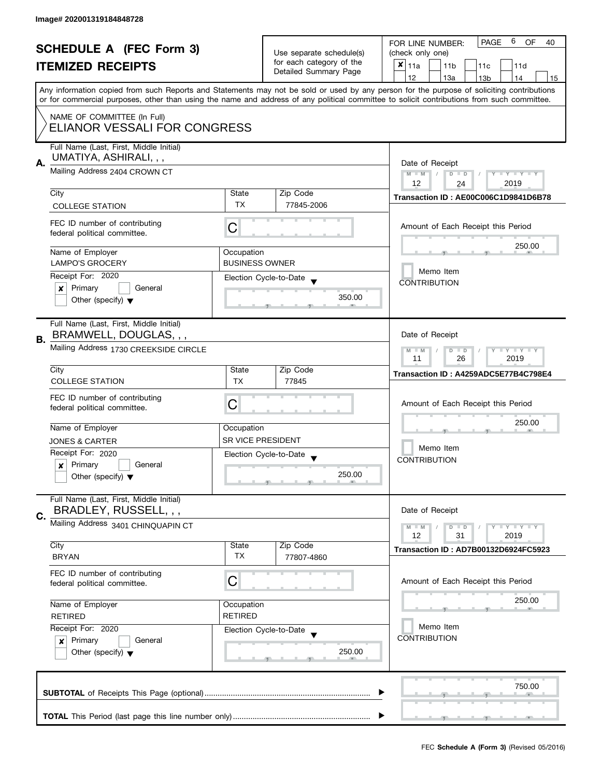|    | <b>SCHEDULE A (FEC Form 3)</b><br><b>ITEMIZED RECEIPTS</b>                                         |                                                                                  | Use separate schedule(s)<br>for each category of the<br>Detailed Summary Page | PAGE<br>6<br><b>OF</b><br>FOR LINE NUMBER:<br>40<br>(check only one)<br>$x _{11a}$<br>11 <sub>b</sub><br>11c<br>11d<br>12<br>13a<br>13 <sub>b</sub><br>14<br>15<br>Any information copied from such Reports and Statements may not be sold or used by any person for the purpose of soliciting contributions |  |  |  |
|----|----------------------------------------------------------------------------------------------------|----------------------------------------------------------------------------------|-------------------------------------------------------------------------------|--------------------------------------------------------------------------------------------------------------------------------------------------------------------------------------------------------------------------------------------------------------------------------------------------------------|--|--|--|
|    | NAME OF COMMITTEE (In Full)<br>ELIANOR VESSALI FOR CONGRESS                                        |                                                                                  |                                                                               | or for commercial purposes, other than using the name and address of any political committee to solicit contributions from such committee.                                                                                                                                                                   |  |  |  |
| А. | Full Name (Last, First, Middle Initial)<br>UMATIYA, ASHIRALI, , ,<br>Mailing Address 2404 CROWN CT | Date of Receipt<br>$Y - Y - Y - Y - Y$<br>$M - M$<br>$D$ $D$<br>12<br>2019<br>24 |                                                                               |                                                                                                                                                                                                                                                                                                              |  |  |  |
|    | City                                                                                               | State                                                                            | Zip Code                                                                      | Transaction ID: AE00C006C1D9841D6B78                                                                                                                                                                                                                                                                         |  |  |  |
|    | <b>COLLEGE STATION</b>                                                                             | TX                                                                               | 77845-2006                                                                    |                                                                                                                                                                                                                                                                                                              |  |  |  |
|    | FEC ID number of contributing<br>federal political committee.                                      | С                                                                                |                                                                               | Amount of Each Receipt this Period                                                                                                                                                                                                                                                                           |  |  |  |
|    | Name of Employer                                                                                   | Occupation                                                                       |                                                                               | 250.00                                                                                                                                                                                                                                                                                                       |  |  |  |
|    | <b>LAMPO'S GROCERY</b>                                                                             | <b>BUSINESS OWNER</b>                                                            |                                                                               | Memo Item                                                                                                                                                                                                                                                                                                    |  |  |  |
|    | Receipt For: 2020                                                                                  |                                                                                  | Election Cycle-to-Date                                                        | <b>CONTRIBUTION</b>                                                                                                                                                                                                                                                                                          |  |  |  |
|    | Primary<br>General<br>x<br>Other (specify) $\blacktriangledown$                                    |                                                                                  | 350.00                                                                        |                                                                                                                                                                                                                                                                                                              |  |  |  |
| В. | Full Name (Last, First, Middle Initial)<br>BRAMWELL, DOUGLAS, , ,                                  |                                                                                  |                                                                               | Date of Receipt                                                                                                                                                                                                                                                                                              |  |  |  |
|    | Mailing Address 1730 CREEKSIDE CIRCLE                                                              | $Y - Y - Y - Y - Y$<br>$M - M$<br>$D$ $D$<br>26<br>2019<br>11                    |                                                                               |                                                                                                                                                                                                                                                                                                              |  |  |  |
|    | City                                                                                               | State                                                                            | Zip Code                                                                      | Transaction ID: A4259ADC5E77B4C798E4                                                                                                                                                                                                                                                                         |  |  |  |
|    | <b>COLLEGE STATION</b>                                                                             | <b>TX</b>                                                                        | 77845                                                                         |                                                                                                                                                                                                                                                                                                              |  |  |  |
|    | FEC ID number of contributing<br>federal political committee.                                      | С                                                                                |                                                                               | Amount of Each Receipt this Period                                                                                                                                                                                                                                                                           |  |  |  |
|    | Name of Employer                                                                                   | Occupation                                                                       |                                                                               | 250.00                                                                                                                                                                                                                                                                                                       |  |  |  |
|    | <b>JONES &amp; CARTER</b>                                                                          | <b>SR VICE PRESIDENT</b>                                                         |                                                                               |                                                                                                                                                                                                                                                                                                              |  |  |  |
|    | Receipt For: 2020                                                                                  |                                                                                  | Election Cycle-to-Date<br>$\overline{\phantom{a}}$                            | Memo Item<br><b>CONTRIBUTION</b>                                                                                                                                                                                                                                                                             |  |  |  |
|    | Primary<br>General<br>$\boldsymbol{x}$<br>Other (specify) $\blacktriangledown$                     |                                                                                  | 250.00                                                                        |                                                                                                                                                                                                                                                                                                              |  |  |  |
|    | Full Name (Last, First, Middle Initial)<br>BRADLEY, RUSSELL, , ,                                   |                                                                                  |                                                                               | Date of Receipt                                                                                                                                                                                                                                                                                              |  |  |  |
| C. | Mailing Address 3401 CHINQUAPIN CT                                                                 |                                                                                  |                                                                               |                                                                                                                                                                                                                                                                                                              |  |  |  |
|    |                                                                                                    |                                                                                  |                                                                               | Y FY FY FY<br>$M - M$<br>$D$ $D$<br>12<br>31<br>2019                                                                                                                                                                                                                                                         |  |  |  |
|    | City<br><b>BRYAN</b>                                                                               | State<br><b>TX</b>                                                               | Zip Code<br>77807-4860                                                        | Transaction ID: AD7B00132D6924FC5923                                                                                                                                                                                                                                                                         |  |  |  |
|    | FEC ID number of contributing<br>federal political committee.                                      | C                                                                                |                                                                               | Amount of Each Receipt this Period                                                                                                                                                                                                                                                                           |  |  |  |
|    | Name of Employer                                                                                   | Occupation                                                                       |                                                                               | 250.00                                                                                                                                                                                                                                                                                                       |  |  |  |
|    | <b>RETIRED</b>                                                                                     | <b>RETIRED</b>                                                                   |                                                                               |                                                                                                                                                                                                                                                                                                              |  |  |  |
|    | Receipt For: 2020                                                                                  |                                                                                  | Election Cycle-to-Date                                                        | Memo Item                                                                                                                                                                                                                                                                                                    |  |  |  |
|    | Primary<br>General<br>$\boldsymbol{x}$<br>Other (specify) $\blacktriangledown$                     |                                                                                  | 250.00                                                                        | <b>CONTRIBUTION</b>                                                                                                                                                                                                                                                                                          |  |  |  |
|    |                                                                                                    |                                                                                  |                                                                               | 750.00                                                                                                                                                                                                                                                                                                       |  |  |  |
|    |                                                                                                    |                                                                                  |                                                                               |                                                                                                                                                                                                                                                                                                              |  |  |  |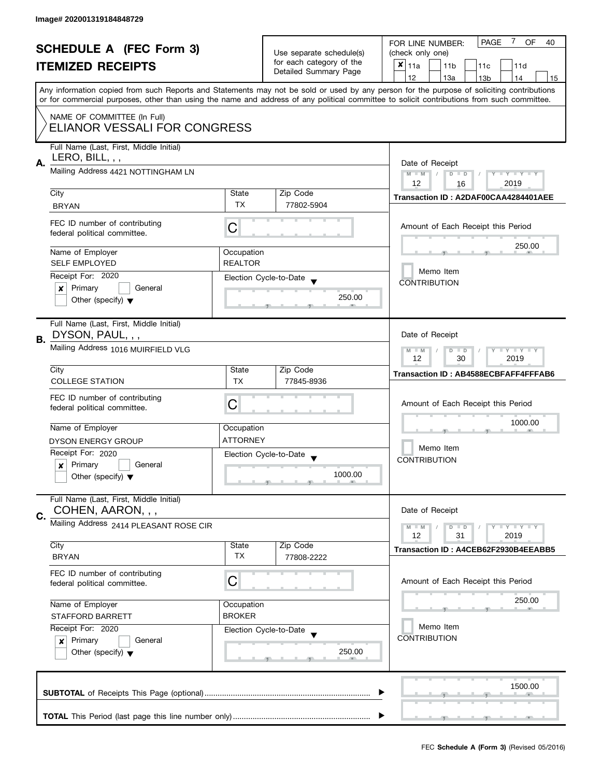|                                                            |                                                                            |                    |                                                      | 7<br><b>PAGE</b><br><b>OF</b><br>FOR LINE NUMBER:<br>40                                                                                    |  |
|------------------------------------------------------------|----------------------------------------------------------------------------|--------------------|------------------------------------------------------|--------------------------------------------------------------------------------------------------------------------------------------------|--|
| <b>SCHEDULE A (FEC Form 3)</b><br><b>ITEMIZED RECEIPTS</b> |                                                                            |                    | Use separate schedule(s)                             | (check only one)                                                                                                                           |  |
|                                                            |                                                                            |                    | for each category of the                             | $x _{11a}$<br>11 <sub>b</sub><br>11d<br>11 <sub>c</sub>                                                                                    |  |
|                                                            |                                                                            |                    | Detailed Summary Page                                | 12<br>13a<br>14<br>13 <sub>b</sub><br>15                                                                                                   |  |
|                                                            |                                                                            |                    |                                                      | Any information copied from such Reports and Statements may not be sold or used by any person for the purpose of soliciting contributions  |  |
|                                                            |                                                                            |                    |                                                      | or for commercial purposes, other than using the name and address of any political committee to solicit contributions from such committee. |  |
|                                                            | NAME OF COMMITTEE (In Full)                                                |                    |                                                      |                                                                                                                                            |  |
|                                                            | ELIANOR VESSALI FOR CONGRESS                                               |                    |                                                      |                                                                                                                                            |  |
|                                                            |                                                                            |                    |                                                      |                                                                                                                                            |  |
|                                                            | Full Name (Last, First, Middle Initial)                                    |                    |                                                      |                                                                                                                                            |  |
| А.                                                         | LERO, BILL, , ,                                                            |                    |                                                      | Date of Receipt                                                                                                                            |  |
|                                                            | Mailing Address 4421 NOTTINGHAM LN                                         |                    |                                                      | $D$ $D$<br>$M - M$<br>$Y - Y - Y - Y - Y$                                                                                                  |  |
|                                                            |                                                                            |                    |                                                      | 12<br>2019<br>16                                                                                                                           |  |
|                                                            | City                                                                       | State<br><b>TX</b> | Zip Code                                             | Transaction ID: A2DAF00CAA4284401AEE                                                                                                       |  |
|                                                            | <b>BRYAN</b>                                                               |                    | 77802-5904                                           |                                                                                                                                            |  |
|                                                            | FEC ID number of contributing                                              | С                  |                                                      | Amount of Each Receipt this Period                                                                                                         |  |
|                                                            | federal political committee.                                               |                    |                                                      |                                                                                                                                            |  |
|                                                            | Name of Employer                                                           | Occupation         |                                                      | 250.00                                                                                                                                     |  |
|                                                            | <b>SELF EMPLOYED</b>                                                       | <b>REALTOR</b>     |                                                      |                                                                                                                                            |  |
|                                                            | Receipt For: 2020                                                          |                    |                                                      | Memo Item                                                                                                                                  |  |
|                                                            | Primary<br>General<br>x                                                    |                    | Election Cycle-to-Date                               | <b>CONTRIBUTION</b>                                                                                                                        |  |
|                                                            | Other (specify) $\blacktriangledown$                                       |                    | 250.00                                               |                                                                                                                                            |  |
|                                                            |                                                                            |                    | -91                                                  |                                                                                                                                            |  |
|                                                            | Full Name (Last, First, Middle Initial)                                    |                    |                                                      |                                                                                                                                            |  |
| <b>B.</b>                                                  | DYSON, PAUL, , ,                                                           |                    |                                                      | Date of Receipt                                                                                                                            |  |
|                                                            | Mailing Address 1016 MUIRFIELD VLG                                         |                    |                                                      | $Y - Y - Y$<br>$M - M$<br>$\overline{D}$<br>$\Box$                                                                                         |  |
|                                                            |                                                                            |                    |                                                      | 12<br>30<br>2019                                                                                                                           |  |
|                                                            | City                                                                       | State              | Zip Code                                             | Transaction ID: AB4588ECBFAFF4FFFAB6                                                                                                       |  |
|                                                            | <b>COLLEGE STATION</b>                                                     | <b>TX</b>          | 77845-8936                                           |                                                                                                                                            |  |
|                                                            | FEC ID number of contributing                                              |                    |                                                      |                                                                                                                                            |  |
|                                                            | federal political committee.                                               | C                  |                                                      | Amount of Each Receipt this Period                                                                                                         |  |
|                                                            |                                                                            |                    |                                                      | 1000.00                                                                                                                                    |  |
|                                                            | Name of Employer                                                           | Occupation         |                                                      | Memo Item                                                                                                                                  |  |
|                                                            | <b>DYSON ENERGY GROUP</b>                                                  | <b>ATTORNEY</b>    |                                                      |                                                                                                                                            |  |
|                                                            | Receipt For: 2020<br>General                                               |                    | Election Cycle-to-Date                               | <b>CONTRIBUTION</b>                                                                                                                        |  |
|                                                            | Primary<br>×<br>Other (specify) $\blacktriangledown$                       |                    | 1000.00                                              |                                                                                                                                            |  |
|                                                            |                                                                            |                    | $\overline{y}$ and $\overline{y}$ and $\overline{y}$ |                                                                                                                                            |  |
|                                                            | Full Name (Last, First, Middle Initial)                                    |                    |                                                      |                                                                                                                                            |  |
| C.                                                         | COHEN, AARON, , ,                                                          |                    |                                                      | Date of Receipt                                                                                                                            |  |
|                                                            | Mailing Address 2414 PLEASANT ROSE CIR                                     |                    |                                                      | $\bot$ $\gamma$ $\bot$ $\gamma$ $\bot$ $\gamma$<br>$M - M$<br>D<br>$\blacksquare$                                                          |  |
|                                                            |                                                                            |                    |                                                      | 2019<br>12<br>31                                                                                                                           |  |
|                                                            | City                                                                       | State              | Zip Code                                             | Transaction ID: A4CEB62F2930B4EEABB5                                                                                                       |  |
|                                                            | <b>BRYAN</b>                                                               | <b>TX</b>          | 77808-2222                                           |                                                                                                                                            |  |
|                                                            | FEC ID number of contributing                                              |                    |                                                      |                                                                                                                                            |  |
|                                                            | federal political committee.                                               | C                  |                                                      | Amount of Each Receipt this Period                                                                                                         |  |
|                                                            | Name of Employer<br>Occupation<br><b>BROKER</b><br><b>STAFFORD BARRETT</b> |                    |                                                      | 250.00                                                                                                                                     |  |
|                                                            |                                                                            |                    |                                                      |                                                                                                                                            |  |
|                                                            |                                                                            |                    |                                                      | Memo Item                                                                                                                                  |  |
|                                                            | Receipt For: 2020<br>Election Cycle-to-Date<br>Primary<br>General          |                    |                                                      | <b>CONTRIBUTION</b>                                                                                                                        |  |
|                                                            | ×<br>Other (specify) $\blacktriangledown$                                  |                    | 250.00                                               |                                                                                                                                            |  |
|                                                            |                                                                            |                    |                                                      |                                                                                                                                            |  |
|                                                            |                                                                            |                    |                                                      |                                                                                                                                            |  |
|                                                            |                                                                            |                    |                                                      | 1500.00                                                                                                                                    |  |
|                                                            |                                                                            |                    |                                                      |                                                                                                                                            |  |
|                                                            |                                                                            |                    |                                                      |                                                                                                                                            |  |
|                                                            |                                                                            |                    |                                                      |                                                                                                                                            |  |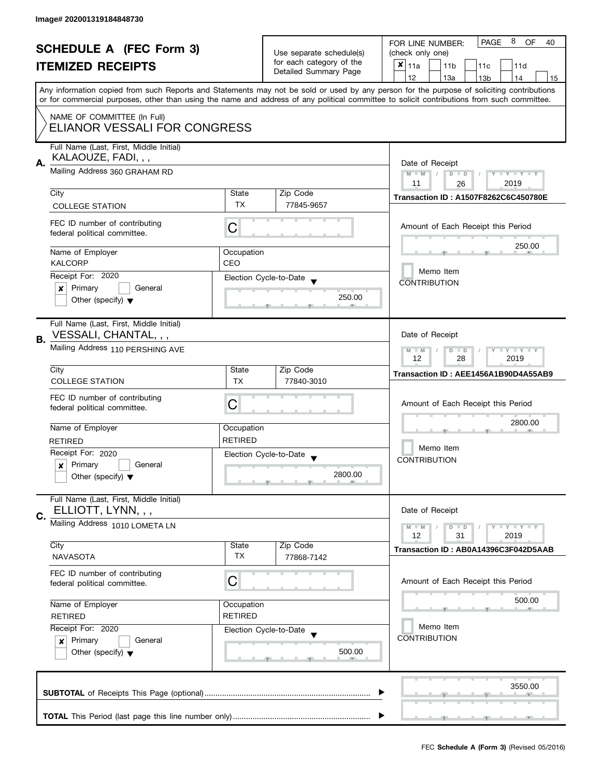|    | <b>SCHEDULE A (FEC Form 3)</b>                                                                                                                                                                                                    |                                                                                       |                        | 8<br><b>PAGE</b><br>OF<br>FOR LINE NUMBER:<br>40                                                                                                                                                                                                                                        |  |  |
|----|-----------------------------------------------------------------------------------------------------------------------------------------------------------------------------------------------------------------------------------|---------------------------------------------------------------------------------------|------------------------|-----------------------------------------------------------------------------------------------------------------------------------------------------------------------------------------------------------------------------------------------------------------------------------------|--|--|
|    |                                                                                                                                                                                                                                   | Use separate schedule(s)<br>for each category of the                                  | (check only one)       |                                                                                                                                                                                                                                                                                         |  |  |
|    | <b>ITEMIZED RECEIPTS</b>                                                                                                                                                                                                          |                                                                                       | Detailed Summary Page  | $x _{11a}$<br>11 <sub>b</sub><br>11c<br>11d                                                                                                                                                                                                                                             |  |  |
|    |                                                                                                                                                                                                                                   |                                                                                       |                        | 12<br>13a<br>14<br>13 <sub>b</sub><br>15                                                                                                                                                                                                                                                |  |  |
|    |                                                                                                                                                                                                                                   |                                                                                       |                        | Any information copied from such Reports and Statements may not be sold or used by any person for the purpose of soliciting contributions<br>or for commercial purposes, other than using the name and address of any political committee to solicit contributions from such committee. |  |  |
|    | NAME OF COMMITTEE (In Full)<br>ELIANOR VESSALI FOR CONGRESS                                                                                                                                                                       |                                                                                       |                        |                                                                                                                                                                                                                                                                                         |  |  |
|    | Full Name (Last, First, Middle Initial)                                                                                                                                                                                           |                                                                                       |                        |                                                                                                                                                                                                                                                                                         |  |  |
|    | KALAOUZE, FADI, , ,                                                                                                                                                                                                               |                                                                                       |                        |                                                                                                                                                                                                                                                                                         |  |  |
| А. | Mailing Address 360 GRAHAM RD                                                                                                                                                                                                     | Date of Receipt<br>Y TY TY TY<br>$M - M$<br>$\sqrt{2}$<br>$D$ $D$<br>2019<br>11<br>26 |                        |                                                                                                                                                                                                                                                                                         |  |  |
|    | City                                                                                                                                                                                                                              | State                                                                                 | Zip Code               |                                                                                                                                                                                                                                                                                         |  |  |
|    | <b>COLLEGE STATION</b>                                                                                                                                                                                                            | <b>TX</b>                                                                             | 77845-9657             | <b>Transaction ID: A1507F8262C6C450780E</b>                                                                                                                                                                                                                                             |  |  |
|    |                                                                                                                                                                                                                                   |                                                                                       |                        |                                                                                                                                                                                                                                                                                         |  |  |
|    | FEC ID number of contributing<br>federal political committee.                                                                                                                                                                     | С                                                                                     |                        | Amount of Each Receipt this Period                                                                                                                                                                                                                                                      |  |  |
|    | Name of Employer                                                                                                                                                                                                                  | Occupation                                                                            |                        | 250.00                                                                                                                                                                                                                                                                                  |  |  |
|    | <b>KALCORP</b>                                                                                                                                                                                                                    | CEO                                                                                   |                        | Memo Item                                                                                                                                                                                                                                                                               |  |  |
|    | Receipt For: 2020<br>Primary<br>General                                                                                                                                                                                           |                                                                                       | Election Cycle-to-Date | <b>CONTRIBUTION</b>                                                                                                                                                                                                                                                                     |  |  |
|    | ×<br>Other (specify) $\blacktriangledown$                                                                                                                                                                                         |                                                                                       | 250.00                 |                                                                                                                                                                                                                                                                                         |  |  |
|    |                                                                                                                                                                                                                                   |                                                                                       |                        |                                                                                                                                                                                                                                                                                         |  |  |
| В. | Full Name (Last, First, Middle Initial)<br>VESSALI, CHANTAL, , ,                                                                                                                                                                  |                                                                                       |                        | Date of Receipt                                                                                                                                                                                                                                                                         |  |  |
|    | Mailing Address 110 PERSHING AVE                                                                                                                                                                                                  | $T$ $Y$ $T$ $Y$ $T$ $Y$<br>$D$ $D$<br>$M - M$<br>12<br>28<br>2019                     |                        |                                                                                                                                                                                                                                                                                         |  |  |
|    | City                                                                                                                                                                                                                              | State                                                                                 | Zip Code               | Transaction ID: AEE1456A1B90D4A55AB9                                                                                                                                                                                                                                                    |  |  |
|    | <b>COLLEGE STATION</b>                                                                                                                                                                                                            | <b>TX</b>                                                                             | 77840-3010             |                                                                                                                                                                                                                                                                                         |  |  |
|    | FEC ID number of contributing                                                                                                                                                                                                     |                                                                                       |                        |                                                                                                                                                                                                                                                                                         |  |  |
|    | federal political committee.                                                                                                                                                                                                      | C                                                                                     |                        | Amount of Each Receipt this Period                                                                                                                                                                                                                                                      |  |  |
|    | Name of Employer                                                                                                                                                                                                                  | Occupation                                                                            |                        | 2800.00<br>Memo Item                                                                                                                                                                                                                                                                    |  |  |
|    | <b>RETIRED</b>                                                                                                                                                                                                                    | <b>RETIRED</b>                                                                        |                        |                                                                                                                                                                                                                                                                                         |  |  |
|    | Receipt For: 2020                                                                                                                                                                                                                 |                                                                                       |                        |                                                                                                                                                                                                                                                                                         |  |  |
|    | Primary<br>$\boldsymbol{x}$<br>General                                                                                                                                                                                            |                                                                                       | Election Cycle-to-Date | <b>CONTRIBUTION</b>                                                                                                                                                                                                                                                                     |  |  |
|    | Other (specify) $\blacktriangledown$                                                                                                                                                                                              |                                                                                       | 2800.00                |                                                                                                                                                                                                                                                                                         |  |  |
|    | Full Name (Last, First, Middle Initial)<br>ELLIOTT, LYNN, , ,                                                                                                                                                                     |                                                                                       |                        | Date of Receipt                                                                                                                                                                                                                                                                         |  |  |
| C. | Mailing Address 1010 LOMETA LN                                                                                                                                                                                                    |                                                                                       |                        | <b>LYLYLY</b><br>$M - M$                                                                                                                                                                                                                                                                |  |  |
|    |                                                                                                                                                                                                                                   |                                                                                       |                        | $D$ $D$<br>12<br>31<br>2019                                                                                                                                                                                                                                                             |  |  |
|    | City                                                                                                                                                                                                                              | State                                                                                 | Zip Code               | Transaction ID: AB0A14396C3F042D5AAB                                                                                                                                                                                                                                                    |  |  |
|    | <b>NAVASOTA</b>                                                                                                                                                                                                                   | <b>TX</b>                                                                             | 77868-7142             |                                                                                                                                                                                                                                                                                         |  |  |
|    | FEC ID number of contributing<br>C<br>federal political committee.<br>Name of Employer<br>Occupation<br><b>RETIRED</b><br><b>RETIRED</b><br>Receipt For: 2020<br>Election Cycle-to-Date<br>Primary<br>General<br>$\boldsymbol{x}$ |                                                                                       |                        | Amount of Each Receipt this Period                                                                                                                                                                                                                                                      |  |  |
|    |                                                                                                                                                                                                                                   |                                                                                       |                        | 500.00                                                                                                                                                                                                                                                                                  |  |  |
|    |                                                                                                                                                                                                                                   |                                                                                       |                        |                                                                                                                                                                                                                                                                                         |  |  |
|    |                                                                                                                                                                                                                                   |                                                                                       |                        | Memo Item                                                                                                                                                                                                                                                                               |  |  |
|    |                                                                                                                                                                                                                                   |                                                                                       |                        | <b>CONTRIBUTION</b>                                                                                                                                                                                                                                                                     |  |  |
|    | Other (specify) $\blacktriangledown$                                                                                                                                                                                              |                                                                                       | 500.00                 |                                                                                                                                                                                                                                                                                         |  |  |
|    |                                                                                                                                                                                                                                   |                                                                                       |                        |                                                                                                                                                                                                                                                                                         |  |  |
|    |                                                                                                                                                                                                                                   |                                                                                       |                        | 3550.00                                                                                                                                                                                                                                                                                 |  |  |
|    |                                                                                                                                                                                                                                   |                                                                                       |                        |                                                                                                                                                                                                                                                                                         |  |  |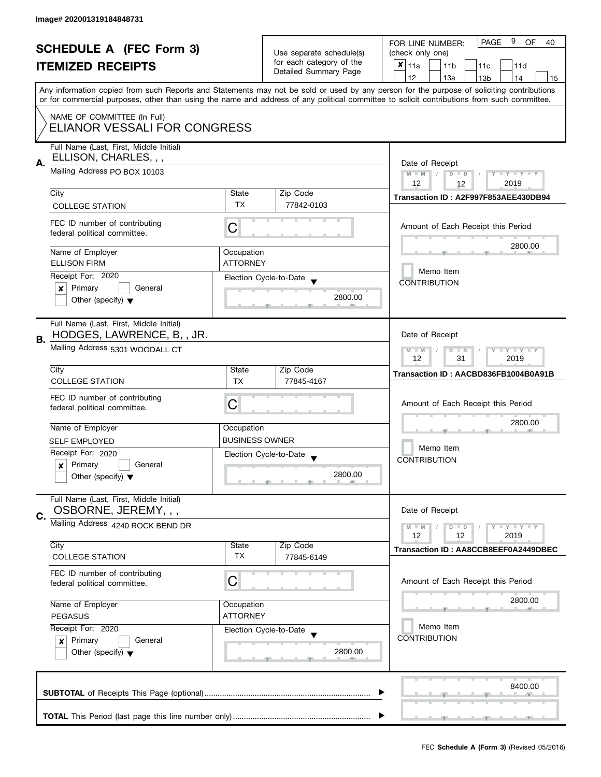| <b>SCHEDULE A (FEC Form 3)</b> |                                                                                                                                            |                                                        | Use separate schedule(s) | 9<br>PAGE<br>OF<br>FOR LINE NUMBER:<br>40<br>(check only one)                                                                             |  |  |
|--------------------------------|--------------------------------------------------------------------------------------------------------------------------------------------|--------------------------------------------------------|--------------------------|-------------------------------------------------------------------------------------------------------------------------------------------|--|--|
|                                |                                                                                                                                            |                                                        | for each category of the | $\boldsymbol{x}$                                                                                                                          |  |  |
|                                | <b>ITEMIZED RECEIPTS</b>                                                                                                                   |                                                        | Detailed Summary Page    | 11a<br>11 <sub>b</sub><br>11d<br>11c                                                                                                      |  |  |
|                                |                                                                                                                                            |                                                        |                          | 12<br>13a<br>13 <sub>b</sub><br>14<br>15                                                                                                  |  |  |
|                                | or for commercial purposes, other than using the name and address of any political committee to solicit contributions from such committee. |                                                        |                          | Any information copied from such Reports and Statements may not be sold or used by any person for the purpose of soliciting contributions |  |  |
|                                | NAME OF COMMITTEE (In Full)                                                                                                                |                                                        |                          |                                                                                                                                           |  |  |
|                                | ELIANOR VESSALI FOR CONGRESS                                                                                                               |                                                        |                          |                                                                                                                                           |  |  |
|                                | Full Name (Last, First, Middle Initial)                                                                                                    |                                                        |                          |                                                                                                                                           |  |  |
| А.                             | ELLISON, CHARLES, , ,                                                                                                                      | Date of Receipt                                        |                          |                                                                                                                                           |  |  |
|                                | Mailing Address PO BOX 10103                                                                                                               | $M - M$<br>$\vert$ /<br>$D$ $D$<br>$Y - Y - Y - Y - Y$ |                          |                                                                                                                                           |  |  |
|                                | City                                                                                                                                       | State                                                  | Zip Code                 | 12<br>2019<br>12                                                                                                                          |  |  |
|                                | <b>COLLEGE STATION</b>                                                                                                                     | <b>TX</b>                                              | 77842-0103               | Transaction ID: A2F997F853AEE430DB94                                                                                                      |  |  |
|                                |                                                                                                                                            |                                                        |                          |                                                                                                                                           |  |  |
|                                | FEC ID number of contributing<br>federal political committee.                                                                              | C                                                      |                          | Amount of Each Receipt this Period                                                                                                        |  |  |
|                                | Name of Employer                                                                                                                           | Occupation                                             |                          | 2800.00                                                                                                                                   |  |  |
|                                | <b>ELLISON FIRM</b>                                                                                                                        | <b>ATTORNEY</b>                                        |                          |                                                                                                                                           |  |  |
|                                | Receipt For: 2020                                                                                                                          |                                                        | Election Cycle-to-Date   | Memo Item                                                                                                                                 |  |  |
|                                | Primary<br>General<br>x                                                                                                                    |                                                        |                          | <b>CONTRIBUTION</b>                                                                                                                       |  |  |
|                                | Other (specify) $\blacktriangledown$                                                                                                       |                                                        | 2800.00                  |                                                                                                                                           |  |  |
|                                | Full Name (Last, First, Middle Initial)                                                                                                    |                                                        |                          |                                                                                                                                           |  |  |
| В.                             | HODGES, LAWRENCE, B,, JR.                                                                                                                  |                                                        |                          | Date of Receipt                                                                                                                           |  |  |
|                                | Mailing Address 5301 WOODALL CT                                                                                                            |                                                        |                          | $\bot$ $\gamma$ $\bot$ $\gamma$ $\bot$ $\gamma$<br>$M - M$<br>$D$ $D$<br>2019<br>12<br>31                                                 |  |  |
|                                | City                                                                                                                                       | State                                                  | Zip Code                 | Transaction ID: AACBD836FB1004B0A91B                                                                                                      |  |  |
|                                | <b>COLLEGE STATION</b>                                                                                                                     | <b>TX</b>                                              | 77845-4167               |                                                                                                                                           |  |  |
|                                | FEC ID number of contributing                                                                                                              | C                                                      |                          |                                                                                                                                           |  |  |
|                                | federal political committee.                                                                                                               |                                                        |                          | Amount of Each Receipt this Period<br>2800.00                                                                                             |  |  |
|                                | Name of Employer                                                                                                                           | Occupation                                             |                          |                                                                                                                                           |  |  |
|                                | <b>SELF EMPLOYED</b>                                                                                                                       | <b>BUSINESS OWNER</b>                                  |                          | Memo Item                                                                                                                                 |  |  |
|                                | Receipt For: 2020                                                                                                                          |                                                        | Election Cycle-to-Date   |                                                                                                                                           |  |  |
|                                | Primary<br>General<br>x                                                                                                                    |                                                        |                          | <b>CONTRIBUTION</b>                                                                                                                       |  |  |
|                                | Other (specify) $\blacktriangledown$                                                                                                       |                                                        | 2800.00                  |                                                                                                                                           |  |  |
|                                |                                                                                                                                            |                                                        |                          |                                                                                                                                           |  |  |
|                                | Full Name (Last, First, Middle Initial)<br>OSBORNE, JEREMY, , ,                                                                            |                                                        |                          | Date of Receipt                                                                                                                           |  |  |
| C.                             | Mailing Address 4240 ROCK BEND DR                                                                                                          |                                                        |                          |                                                                                                                                           |  |  |
|                                |                                                                                                                                            |                                                        |                          | $M - M$<br>$\bot$ $\gamma$ $\bot$ $\gamma$ $\bot$ $\gamma$<br>$D$ $D$<br>12<br>12<br>2019                                                 |  |  |
|                                | City                                                                                                                                       | State                                                  | Zip Code                 | Transaction ID: AA8CCB8EEF0A2449DBEC                                                                                                      |  |  |
|                                | <b>COLLEGE STATION</b>                                                                                                                     | TX                                                     | 77845-6149               |                                                                                                                                           |  |  |
|                                | FEC ID number of contributing                                                                                                              |                                                        |                          |                                                                                                                                           |  |  |
|                                | federal political committee.                                                                                                               | C                                                      |                          | Amount of Each Receipt this Period                                                                                                        |  |  |
|                                | Name of Employer                                                                                                                           | Occupation                                             |                          | 2800.00                                                                                                                                   |  |  |
|                                | <b>PEGASUS</b>                                                                                                                             | <b>ATTORNEY</b>                                        |                          |                                                                                                                                           |  |  |
|                                | Receipt For: 2020<br>Election Cycle-to-Date<br>Primary<br>General<br>$\pmb{\times}$<br>Other (specify) $\blacktriangledown$                |                                                        |                          | Memo Item                                                                                                                                 |  |  |
|                                |                                                                                                                                            |                                                        |                          | <b>CONTRIBUTION</b>                                                                                                                       |  |  |
|                                |                                                                                                                                            |                                                        | 2800.00                  |                                                                                                                                           |  |  |
|                                |                                                                                                                                            |                                                        |                          |                                                                                                                                           |  |  |
|                                |                                                                                                                                            |                                                        |                          |                                                                                                                                           |  |  |
|                                |                                                                                                                                            |                                                        |                          | 8400.00                                                                                                                                   |  |  |
|                                |                                                                                                                                            |                                                        |                          |                                                                                                                                           |  |  |
|                                |                                                                                                                                            |                                                        |                          |                                                                                                                                           |  |  |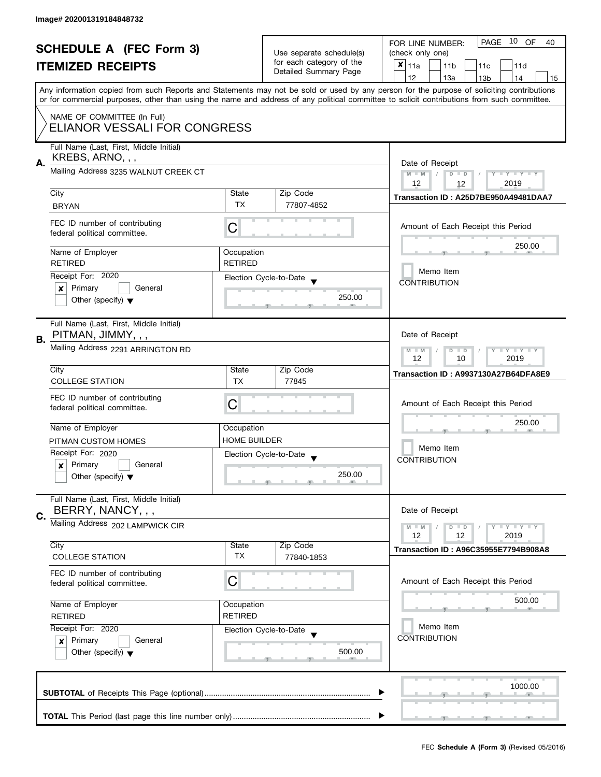|                                                            |                                                                    |                                                        |                          | PAGE 10<br>OF<br>FOR LINE NUMBER:<br>40                                                                                                    |  |  |
|------------------------------------------------------------|--------------------------------------------------------------------|--------------------------------------------------------|--------------------------|--------------------------------------------------------------------------------------------------------------------------------------------|--|--|
| <b>SCHEDULE A (FEC Form 3)</b><br><b>ITEMIZED RECEIPTS</b> |                                                                    | Use separate schedule(s)                               | (check only one)         |                                                                                                                                            |  |  |
|                                                            |                                                                    |                                                        | for each category of the | $x _{11a}$<br>11 <sub>b</sub><br>11d<br>11c                                                                                                |  |  |
|                                                            |                                                                    |                                                        | Detailed Summary Page    | 12<br>13a<br>14<br>13 <sub>b</sub><br>15                                                                                                   |  |  |
|                                                            |                                                                    |                                                        |                          | Any information copied from such Reports and Statements may not be sold or used by any person for the purpose of soliciting contributions  |  |  |
|                                                            |                                                                    |                                                        |                          | or for commercial purposes, other than using the name and address of any political committee to solicit contributions from such committee. |  |  |
|                                                            | NAME OF COMMITTEE (In Full)                                        |                                                        |                          |                                                                                                                                            |  |  |
|                                                            | ELIANOR VESSALI FOR CONGRESS                                       |                                                        |                          |                                                                                                                                            |  |  |
|                                                            |                                                                    |                                                        |                          |                                                                                                                                            |  |  |
|                                                            | Full Name (Last, First, Middle Initial)                            |                                                        |                          |                                                                                                                                            |  |  |
| А.                                                         | KREBS, ARNO, , ,                                                   |                                                        |                          | Date of Receipt                                                                                                                            |  |  |
|                                                            | Mailing Address 3235 WALNUT CREEK CT                               | $M - M$<br>$D$ $D$<br>$\vert$ /<br>$Y - Y - Y - Y - Y$ |                          |                                                                                                                                            |  |  |
|                                                            |                                                                    | 12<br>2019<br>12                                       |                          |                                                                                                                                            |  |  |
|                                                            | City                                                               | State                                                  | Zip Code                 | Transaction ID: A25D7BE950A49481DAA7                                                                                                       |  |  |
|                                                            | <b>BRYAN</b>                                                       | <b>TX</b>                                              | 77807-4852               |                                                                                                                                            |  |  |
|                                                            |                                                                    |                                                        |                          |                                                                                                                                            |  |  |
|                                                            | FEC ID number of contributing                                      | C                                                      |                          | Amount of Each Receipt this Period                                                                                                         |  |  |
|                                                            | federal political committee.                                       |                                                        |                          |                                                                                                                                            |  |  |
|                                                            | Name of Employer                                                   | Occupation                                             |                          | 250.00                                                                                                                                     |  |  |
|                                                            | <b>RETIRED</b>                                                     | <b>RETIRED</b>                                         |                          |                                                                                                                                            |  |  |
|                                                            | Receipt For: 2020                                                  |                                                        | Election Cycle-to-Date   | Memo Item                                                                                                                                  |  |  |
|                                                            | Primary<br>General<br>$\boldsymbol{x}$                             |                                                        |                          | <b>CONTRIBUTION</b>                                                                                                                        |  |  |
|                                                            | Other (specify) $\blacktriangledown$                               |                                                        | 250.00                   |                                                                                                                                            |  |  |
|                                                            |                                                                    |                                                        |                          |                                                                                                                                            |  |  |
|                                                            | Full Name (Last, First, Middle Initial)                            |                                                        |                          |                                                                                                                                            |  |  |
|                                                            | PITMAN, JIMMY, , ,                                                 |                                                        |                          | Date of Receipt                                                                                                                            |  |  |
| В.                                                         | Mailing Address 2291 ARRINGTON RD                                  |                                                        |                          |                                                                                                                                            |  |  |
|                                                            |                                                                    |                                                        |                          | $\bot$ $\gamma$ $\bot$ $\gamma$ $\bot$ $\gamma$<br>$M - M$<br>D<br>$\blacksquare$<br>10<br>2019<br>12                                      |  |  |
|                                                            | City                                                               | State                                                  | Zip Code                 |                                                                                                                                            |  |  |
|                                                            | <b>COLLEGE STATION</b>                                             | TX                                                     | 77845                    | Transaction ID: A9937130A27B64DFA8E9                                                                                                       |  |  |
|                                                            |                                                                    |                                                        |                          |                                                                                                                                            |  |  |
|                                                            | FEC ID number of contributing                                      | С                                                      |                          | Amount of Each Receipt this Period                                                                                                         |  |  |
|                                                            | federal political committee.                                       |                                                        |                          |                                                                                                                                            |  |  |
|                                                            | Name of Employer                                                   | Occupation                                             |                          | 250.00                                                                                                                                     |  |  |
|                                                            | PITMAN CUSTOM HOMES                                                | <b>HOME BUILDER</b>                                    |                          |                                                                                                                                            |  |  |
|                                                            | Receipt For: 2020                                                  |                                                        | Election Cycle-to-Date   | Memo Item                                                                                                                                  |  |  |
|                                                            | Primary<br>General<br>X                                            |                                                        |                          | <b>CONTRIBUTION</b>                                                                                                                        |  |  |
|                                                            | Other (specify) $\blacktriangledown$                               |                                                        | 250.00                   |                                                                                                                                            |  |  |
|                                                            |                                                                    |                                                        |                          |                                                                                                                                            |  |  |
|                                                            | Full Name (Last, First, Middle Initial)                            |                                                        |                          |                                                                                                                                            |  |  |
|                                                            | BERRY, NANCY, , ,                                                  |                                                        |                          | Date of Receipt                                                                                                                            |  |  |
| C.                                                         | Mailing Address 202 LAMPWICK CIR                                   |                                                        |                          |                                                                                                                                            |  |  |
|                                                            |                                                                    |                                                        |                          | $\bot$ $\gamma$ $\bot$ $\gamma$ $\bot$ $\gamma$<br>$M - M$<br>$D$ $D$<br>12<br>2019<br>12                                                  |  |  |
|                                                            | City                                                               | State                                                  | Zip Code                 | Transaction ID: A96C35955E7794B908A8                                                                                                       |  |  |
|                                                            | <b>COLLEGE STATION</b>                                             | TX                                                     | 77840-1853               |                                                                                                                                            |  |  |
|                                                            | FEC ID number of contributing                                      |                                                        |                          |                                                                                                                                            |  |  |
|                                                            | federal political committee.                                       | C                                                      |                          | Amount of Each Receipt this Period                                                                                                         |  |  |
|                                                            |                                                                    |                                                        |                          |                                                                                                                                            |  |  |
|                                                            | Name of Employer<br>Occupation<br><b>RETIRED</b><br><b>RETIRED</b> |                                                        |                          | 500.00                                                                                                                                     |  |  |
|                                                            |                                                                    |                                                        |                          |                                                                                                                                            |  |  |
|                                                            | Receipt For: 2020                                                  |                                                        | Election Cycle-to-Date   | Memo Item                                                                                                                                  |  |  |
|                                                            | Primary<br>General<br>×                                            |                                                        |                          | <b>CONTRIBUTION</b>                                                                                                                        |  |  |
|                                                            | Other (specify) $\blacktriangledown$                               |                                                        | 500.00                   |                                                                                                                                            |  |  |
|                                                            |                                                                    |                                                        |                          |                                                                                                                                            |  |  |
|                                                            |                                                                    |                                                        |                          |                                                                                                                                            |  |  |
|                                                            |                                                                    |                                                        |                          | 1000.00                                                                                                                                    |  |  |
|                                                            |                                                                    |                                                        |                          |                                                                                                                                            |  |  |
|                                                            |                                                                    |                                                        |                          |                                                                                                                                            |  |  |
|                                                            |                                                                    |                                                        |                          | $\overline{1}$ and $\overline{1}$ and $\overline{1}$ and $\overline{1}$                                                                    |  |  |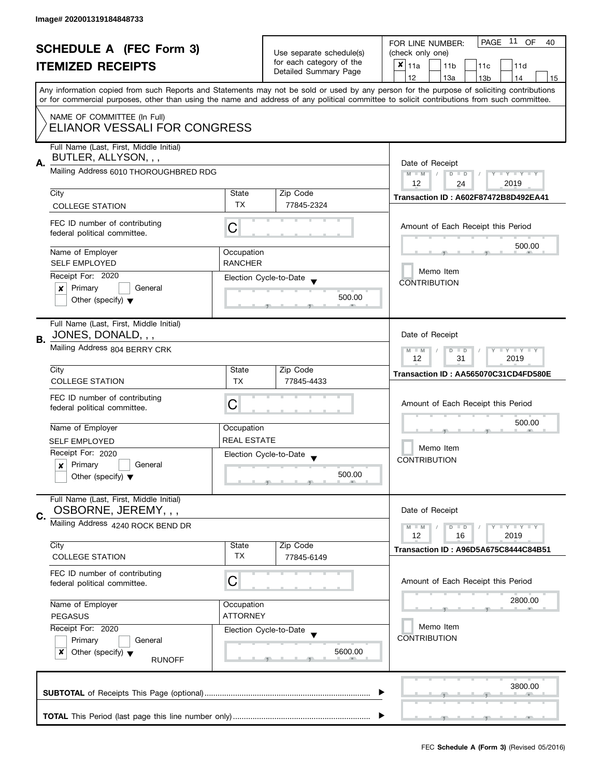|                                                                                  | <b>SCHEDULE A (FEC Form 3)</b><br><b>ITEMIZED RECEIPTS</b>                                               |                    | Use separate schedule(s)<br>for each category of the<br>Detailed Summary Page | PAGE 11 OF<br>FOR LINE NUMBER:<br>40<br>(check only one)<br>$x _{11a}$<br>11 <sub>b</sub><br>11 <sub>c</sub><br>11d<br>12<br>13a<br>14<br>13 <sub>b</sub><br>15<br>Any information copied from such Reports and Statements may not be sold or used by any person for the purpose of soliciting contributions |  |
|----------------------------------------------------------------------------------|----------------------------------------------------------------------------------------------------------|--------------------|-------------------------------------------------------------------------------|--------------------------------------------------------------------------------------------------------------------------------------------------------------------------------------------------------------------------------------------------------------------------------------------------------------|--|
|                                                                                  | NAME OF COMMITTEE (In Full)<br>ELIANOR VESSALI FOR CONGRESS                                              |                    |                                                                               | or for commercial purposes, other than using the name and address of any political committee to solicit contributions from such committee.                                                                                                                                                                   |  |
| А.                                                                               | Full Name (Last, First, Middle Initial)<br>BUTLER, ALLYSON, , ,<br>Mailing Address 6010 THOROUGHBRED RDG |                    | Zip Code                                                                      | Date of Receipt<br>$M - M$<br>$D$ $D$<br>$Y - Y - Y - Y - Y$<br>12<br>2019<br>24                                                                                                                                                                                                                             |  |
|                                                                                  | City                                                                                                     | State<br><b>TX</b> | 77845-2324                                                                    | <b>Transaction ID: A602F87472B8D492EA41</b>                                                                                                                                                                                                                                                                  |  |
|                                                                                  | <b>COLLEGE STATION</b><br>FEC ID number of contributing<br>federal political committee.                  | С                  |                                                                               | Amount of Each Receipt this Period                                                                                                                                                                                                                                                                           |  |
|                                                                                  | Name of Employer                                                                                         | Occupation         |                                                                               | 500.00                                                                                                                                                                                                                                                                                                       |  |
|                                                                                  | <b>SELF EMPLOYED</b>                                                                                     | <b>RANCHER</b>     |                                                                               |                                                                                                                                                                                                                                                                                                              |  |
|                                                                                  | Receipt For: 2020                                                                                        |                    | Election Cycle-to-Date                                                        | Memo Item                                                                                                                                                                                                                                                                                                    |  |
|                                                                                  | Primary<br>General<br>$\mathsf{x}$                                                                       |                    |                                                                               | <b>CONTRIBUTION</b>                                                                                                                                                                                                                                                                                          |  |
|                                                                                  | Other (specify) $\blacktriangledown$                                                                     |                    | 500.00<br>an.                                                                 |                                                                                                                                                                                                                                                                                                              |  |
| В.                                                                               | Full Name (Last, First, Middle Initial)<br>JONES, DONALD, , ,                                            |                    |                                                                               | Date of Receipt                                                                                                                                                                                                                                                                                              |  |
|                                                                                  | Mailing Address 804 BERRY CRK                                                                            |                    |                                                                               | $Y - Y - Y$<br>$M - M$<br>$\overline{D}$<br>$\Box$<br>12<br>31<br>2019                                                                                                                                                                                                                                       |  |
|                                                                                  | City                                                                                                     | State              | Zip Code                                                                      | Transaction ID: AA565070C31CD4FD580E                                                                                                                                                                                                                                                                         |  |
|                                                                                  | <b>COLLEGE STATION</b>                                                                                   | <b>TX</b>          | 77845-4433                                                                    |                                                                                                                                                                                                                                                                                                              |  |
|                                                                                  | FEC ID number of contributing<br>federal political committee.                                            | C                  |                                                                               | Amount of Each Receipt this Period                                                                                                                                                                                                                                                                           |  |
|                                                                                  | Name of Employer                                                                                         | Occupation         |                                                                               | 500.00                                                                                                                                                                                                                                                                                                       |  |
|                                                                                  | <b>SELF EMPLOYED</b>                                                                                     | <b>REAL ESTATE</b> |                                                                               |                                                                                                                                                                                                                                                                                                              |  |
|                                                                                  | Receipt For: 2020                                                                                        |                    | Election Cycle-to-Date                                                        | Memo Item                                                                                                                                                                                                                                                                                                    |  |
|                                                                                  | Primary<br>General<br>×                                                                                  |                    |                                                                               | <b>CONTRIBUTION</b>                                                                                                                                                                                                                                                                                          |  |
|                                                                                  | Other (specify) $\blacktriangledown$                                                                     |                    | 500.00<br>$\overline{1}$ and $\overline{1}$ and $\overline{1}$                |                                                                                                                                                                                                                                                                                                              |  |
| C.                                                                               | Full Name (Last, First, Middle Initial)<br>OSBORNE, JEREMY, , ,                                          |                    |                                                                               | Date of Receipt                                                                                                                                                                                                                                                                                              |  |
|                                                                                  | Mailing Address 4240 ROCK BEND DR                                                                        |                    |                                                                               | $Y - Y - Y$<br>$M - M$<br>D<br>$\blacksquare$<br>12<br>2019<br>16                                                                                                                                                                                                                                            |  |
|                                                                                  | City                                                                                                     | <b>State</b>       | Zip Code                                                                      | Transaction ID: A96D5A675C8444C84B51                                                                                                                                                                                                                                                                         |  |
|                                                                                  | <b>COLLEGE STATION</b>                                                                                   | <b>TX</b>          | 77845-6149                                                                    |                                                                                                                                                                                                                                                                                                              |  |
|                                                                                  | FEC ID number of contributing<br>federal political committee.                                            | С                  |                                                                               | Amount of Each Receipt this Period                                                                                                                                                                                                                                                                           |  |
|                                                                                  | Name of Employer<br>Occupation<br><b>ATTORNEY</b><br><b>PEGASUS</b><br>Receipt For: 2020                 |                    |                                                                               | 2800.00                                                                                                                                                                                                                                                                                                      |  |
|                                                                                  |                                                                                                          |                    | Election Cycle-to-Date                                                        | Memo Item                                                                                                                                                                                                                                                                                                    |  |
| Primary<br>General<br>x<br>Other (specify) $\blacktriangledown$<br><b>RUNOFF</b> |                                                                                                          | 5600.00            | <b>CONTRIBUTION</b>                                                           |                                                                                                                                                                                                                                                                                                              |  |
|                                                                                  |                                                                                                          |                    |                                                                               | 3800.00                                                                                                                                                                                                                                                                                                      |  |
|                                                                                  |                                                                                                          |                    |                                                                               |                                                                                                                                                                                                                                                                                                              |  |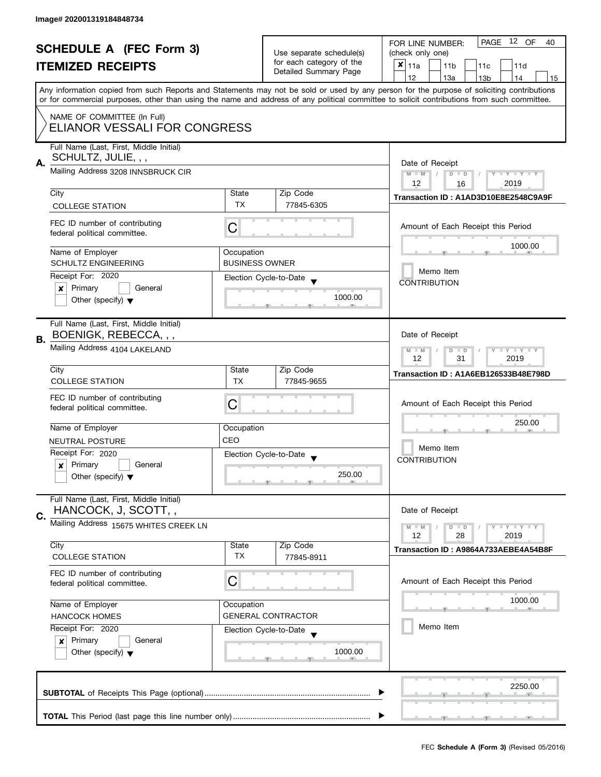|    |                                                                                                                                               |                       |                                                      | PAGE 12 OF<br>FOR LINE NUMBER:<br>40                                                                                                                                                                                                                                                    |  |  |  |  |
|----|-----------------------------------------------------------------------------------------------------------------------------------------------|-----------------------|------------------------------------------------------|-----------------------------------------------------------------------------------------------------------------------------------------------------------------------------------------------------------------------------------------------------------------------------------------|--|--|--|--|
|    | <b>SCHEDULE A (FEC Form 3)</b>                                                                                                                |                       | Use separate schedule(s)<br>for each category of the | (check only one)                                                                                                                                                                                                                                                                        |  |  |  |  |
|    | <b>ITEMIZED RECEIPTS</b>                                                                                                                      |                       | Detailed Summary Page                                | $x _{11a}$<br>11 <sub>b</sub><br>11c<br>11d                                                                                                                                                                                                                                             |  |  |  |  |
|    |                                                                                                                                               |                       |                                                      | 12<br>13a<br>13 <sub>b</sub><br>14<br>15                                                                                                                                                                                                                                                |  |  |  |  |
|    |                                                                                                                                               |                       |                                                      | Any information copied from such Reports and Statements may not be sold or used by any person for the purpose of soliciting contributions<br>or for commercial purposes, other than using the name and address of any political committee to solicit contributions from such committee. |  |  |  |  |
|    | NAME OF COMMITTEE (In Full)<br>ELIANOR VESSALI FOR CONGRESS                                                                                   |                       |                                                      |                                                                                                                                                                                                                                                                                         |  |  |  |  |
|    | Full Name (Last, First, Middle Initial)<br>SCHULTZ, JULIE, , ,<br>А.<br>Mailing Address 3208 INNSBRUCK CIR                                    |                       |                                                      | Date of Receipt                                                                                                                                                                                                                                                                         |  |  |  |  |
|    |                                                                                                                                               |                       |                                                      | $M - M$<br>$\frac{1}{2}$<br>$D$ $D$<br>Y I Y I Y I Y<br>12<br>2019<br>16                                                                                                                                                                                                                |  |  |  |  |
|    | City                                                                                                                                          | State                 | Zip Code                                             | Transaction ID: A1AD3D10E8E2548C9A9F                                                                                                                                                                                                                                                    |  |  |  |  |
|    | <b>COLLEGE STATION</b>                                                                                                                        | TX                    | 77845-6305                                           |                                                                                                                                                                                                                                                                                         |  |  |  |  |
|    | FEC ID number of contributing<br>federal political committee.                                                                                 | C                     |                                                      | Amount of Each Receipt this Period                                                                                                                                                                                                                                                      |  |  |  |  |
|    | Name of Employer                                                                                                                              | Occupation            |                                                      | 1000.00                                                                                                                                                                                                                                                                                 |  |  |  |  |
|    | <b>SCHULTZ ENGINEERING</b>                                                                                                                    | <b>BUSINESS OWNER</b> |                                                      |                                                                                                                                                                                                                                                                                         |  |  |  |  |
|    | Receipt For: 2020                                                                                                                             |                       | Election Cycle-to-Date                               | Memo Item                                                                                                                                                                                                                                                                               |  |  |  |  |
|    | Primary<br>General<br>X                                                                                                                       |                       |                                                      | <b>CONTRIBUTION</b>                                                                                                                                                                                                                                                                     |  |  |  |  |
|    | Other (specify) $\blacktriangledown$                                                                                                          |                       | 1000.00                                              |                                                                                                                                                                                                                                                                                         |  |  |  |  |
| В. | Full Name (Last, First, Middle Initial)<br>BOENIGK, REBECCA, , ,                                                                              |                       |                                                      | Date of Receipt                                                                                                                                                                                                                                                                         |  |  |  |  |
|    | Mailing Address 4104 LAKELAND                                                                                                                 |                       |                                                      | $\bot$ $\gamma$ $\bot$ $\gamma$ $\bot$ $\gamma$<br>$M - M$<br>D<br>$\Box$<br>31<br>12<br>2019                                                                                                                                                                                           |  |  |  |  |
|    | City                                                                                                                                          | State                 | Zip Code                                             | Transaction ID: A1A6EB126533B48E798D                                                                                                                                                                                                                                                    |  |  |  |  |
|    | <b>COLLEGE STATION</b>                                                                                                                        | <b>TX</b>             | 77845-9655                                           |                                                                                                                                                                                                                                                                                         |  |  |  |  |
|    | FEC ID number of contributing<br>federal political committee.                                                                                 | C                     |                                                      | Amount of Each Receipt this Period<br>250.00                                                                                                                                                                                                                                            |  |  |  |  |
|    | Name of Employer                                                                                                                              | Occupation            |                                                      |                                                                                                                                                                                                                                                                                         |  |  |  |  |
|    | <b>NEUTRAL POSTURE</b>                                                                                                                        | CEO                   |                                                      |                                                                                                                                                                                                                                                                                         |  |  |  |  |
|    | Receipt For: 2020                                                                                                                             |                       | Election Cycle-to-Date                               | Memo Item                                                                                                                                                                                                                                                                               |  |  |  |  |
|    | Primary<br>General<br>×                                                                                                                       |                       |                                                      | <b>CONTRIBUTION</b>                                                                                                                                                                                                                                                                     |  |  |  |  |
|    | Other (specify) $\blacktriangledown$                                                                                                          |                       | 250.00                                               |                                                                                                                                                                                                                                                                                         |  |  |  |  |
| C. | Full Name (Last, First, Middle Initial)<br>HANCOCK, J, SCOTT, ,                                                                               |                       |                                                      | Date of Receipt                                                                                                                                                                                                                                                                         |  |  |  |  |
|    | Mailing Address 15675 WHITES CREEK LN                                                                                                         |                       |                                                      | $M - M$<br>$Y - Y - Y$<br>$D$ $D$<br>12<br>28<br>2019                                                                                                                                                                                                                                   |  |  |  |  |
|    | City                                                                                                                                          | State                 | Zip Code                                             | Transaction ID: A9864A733AEBE4A54B8F                                                                                                                                                                                                                                                    |  |  |  |  |
|    | <b>COLLEGE STATION</b>                                                                                                                        | TX                    | 77845-8911                                           |                                                                                                                                                                                                                                                                                         |  |  |  |  |
|    | FEC ID number of contributing<br>federal political committee.                                                                                 | C                     |                                                      | Amount of Each Receipt this Period                                                                                                                                                                                                                                                      |  |  |  |  |
|    | Name of Employer<br>Occupation<br><b>HANCOCK HOMES</b><br>Receipt For: 2020<br>Election Cycle-to-Date<br>Primary<br>General<br>$\pmb{\times}$ |                       | <b>GENERAL CONTRACTOR</b>                            | 1000.00                                                                                                                                                                                                                                                                                 |  |  |  |  |
|    |                                                                                                                                               |                       |                                                      | Memo Item                                                                                                                                                                                                                                                                               |  |  |  |  |
|    |                                                                                                                                               |                       |                                                      |                                                                                                                                                                                                                                                                                         |  |  |  |  |
|    | Other (specify) $\blacktriangledown$                                                                                                          |                       | 1000.00                                              |                                                                                                                                                                                                                                                                                         |  |  |  |  |
|    | 2250.00                                                                                                                                       |                       |                                                      |                                                                                                                                                                                                                                                                                         |  |  |  |  |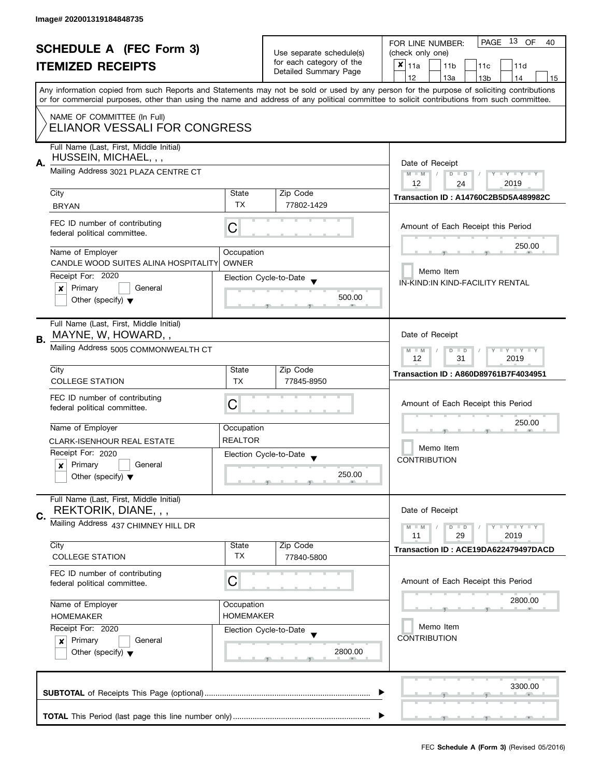| <b>SCHEDULE A (FEC Form 3)</b> |                                                                 |                  | Use separate schedule(s) | PAGE 13 OF<br>FOR LINE NUMBER:<br>40<br>(check only one)                                                                                                                                                                                                                                |
|--------------------------------|-----------------------------------------------------------------|------------------|--------------------------|-----------------------------------------------------------------------------------------------------------------------------------------------------------------------------------------------------------------------------------------------------------------------------------------|
|                                |                                                                 |                  | for each category of the |                                                                                                                                                                                                                                                                                         |
|                                | <b>ITEMIZED RECEIPTS</b>                                        |                  | Detailed Summary Page    | $x _{11a}$<br>11 <sub>b</sub><br>11 <sub>c</sub><br>11d                                                                                                                                                                                                                                 |
|                                |                                                                 |                  |                          | 12<br>13a<br>14<br>13 <sub>b</sub><br>15                                                                                                                                                                                                                                                |
|                                |                                                                 |                  |                          | Any information copied from such Reports and Statements may not be sold or used by any person for the purpose of soliciting contributions<br>or for commercial purposes, other than using the name and address of any political committee to solicit contributions from such committee. |
|                                |                                                                 |                  |                          |                                                                                                                                                                                                                                                                                         |
|                                | NAME OF COMMITTEE (In Full)<br>ELIANOR VESSALI FOR CONGRESS     |                  |                          |                                                                                                                                                                                                                                                                                         |
|                                | Full Name (Last, First, Middle Initial)                         |                  |                          |                                                                                                                                                                                                                                                                                         |
|                                | HUSSEIN, MICHAEL, , ,                                           |                  |                          |                                                                                                                                                                                                                                                                                         |
| А.                             |                                                                 |                  |                          | Date of Receipt                                                                                                                                                                                                                                                                         |
|                                | Mailing Address 3021 PLAZA CENTRE CT                            |                  |                          | $D$ $D$<br>$M - M$<br>$Y - Y - Y - Y - Y$                                                                                                                                                                                                                                               |
|                                |                                                                 |                  |                          | 12<br>2019<br>24                                                                                                                                                                                                                                                                        |
|                                | City                                                            | State            | Zip Code                 | <b>Transaction ID: A14760C2B5D5A489982C</b>                                                                                                                                                                                                                                             |
|                                | <b>BRYAN</b>                                                    | <b>TX</b>        | 77802-1429               |                                                                                                                                                                                                                                                                                         |
|                                |                                                                 |                  |                          |                                                                                                                                                                                                                                                                                         |
|                                | FEC ID number of contributing                                   | C                |                          | Amount of Each Receipt this Period                                                                                                                                                                                                                                                      |
|                                | federal political committee.                                    |                  |                          |                                                                                                                                                                                                                                                                                         |
|                                | Name of Employer                                                | Occupation       |                          | 250.00                                                                                                                                                                                                                                                                                  |
|                                | CANDLE WOOD SUITES ALINA HOSPITALITY                            | <b>OWNER</b>     |                          |                                                                                                                                                                                                                                                                                         |
|                                |                                                                 |                  |                          | Memo Item                                                                                                                                                                                                                                                                               |
|                                | Receipt For: 2020                                               |                  | Election Cycle-to-Date   | IN-KIND:IN KIND-FACILITY RENTAL                                                                                                                                                                                                                                                         |
|                                | Primary<br>General<br>X                                         |                  |                          |                                                                                                                                                                                                                                                                                         |
|                                | Other (specify) $\blacktriangledown$                            |                  | 500.00                   |                                                                                                                                                                                                                                                                                         |
|                                |                                                                 |                  |                          |                                                                                                                                                                                                                                                                                         |
|                                | Full Name (Last, First, Middle Initial)                         |                  |                          |                                                                                                                                                                                                                                                                                         |
|                                | MAYNE, W, HOWARD,,                                              |                  |                          | Date of Receipt                                                                                                                                                                                                                                                                         |
| В.                             |                                                                 |                  |                          |                                                                                                                                                                                                                                                                                         |
|                                | Mailing Address 5005 COMMONWEALTH CT                            |                  |                          | $+Y+Y+Y$<br>$M - M$<br>D<br>$\Box$                                                                                                                                                                                                                                                      |
|                                |                                                                 |                  |                          | 12<br>31<br>2019                                                                                                                                                                                                                                                                        |
|                                | City                                                            | State            | Zip Code                 | Transaction ID: A860D89761B7F4034951                                                                                                                                                                                                                                                    |
|                                | <b>COLLEGE STATION</b>                                          | <b>TX</b>        | 77845-8950               |                                                                                                                                                                                                                                                                                         |
|                                | FEC ID number of contributing                                   |                  |                          |                                                                                                                                                                                                                                                                                         |
|                                | federal political committee.                                    | С                |                          | Amount of Each Receipt this Period                                                                                                                                                                                                                                                      |
|                                |                                                                 |                  |                          |                                                                                                                                                                                                                                                                                         |
|                                | Name of Employer                                                | Occupation       |                          | 250.00                                                                                                                                                                                                                                                                                  |
|                                | <b>CLARK-ISENHOUR REAL ESTATE</b>                               | <b>REALTOR</b>   |                          |                                                                                                                                                                                                                                                                                         |
|                                |                                                                 |                  |                          | Memo Item                                                                                                                                                                                                                                                                               |
|                                | Receipt For: 2020                                               |                  | Election Cycle-to-Date   | <b>CONTRIBUTION</b>                                                                                                                                                                                                                                                                     |
|                                | Primary<br>General<br>×                                         |                  |                          |                                                                                                                                                                                                                                                                                         |
|                                | Other (specify) $\blacktriangledown$                            |                  | 250.00<br>$-$            |                                                                                                                                                                                                                                                                                         |
|                                |                                                                 |                  |                          |                                                                                                                                                                                                                                                                                         |
|                                | Full Name (Last, First, Middle Initial)                         |                  |                          |                                                                                                                                                                                                                                                                                         |
|                                | REKTORIK, DIANE, , ,                                            |                  |                          | Date of Receipt                                                                                                                                                                                                                                                                         |
| C.                             | Mailing Address 437 CHIMNEY HILL DR                             |                  |                          |                                                                                                                                                                                                                                                                                         |
|                                |                                                                 |                  |                          | $\bot$ $\gamma$ $\bot$ $\gamma$ $\bot$ $\gamma$<br>$M - M$<br>$D$ $D$<br>2019<br>11<br>29                                                                                                                                                                                               |
|                                | City                                                            | State            | Zip Code                 |                                                                                                                                                                                                                                                                                         |
|                                | <b>COLLEGE STATION</b>                                          | <b>TX</b>        | 77840-5800               | Transaction ID: ACE19DA622479497DACD                                                                                                                                                                                                                                                    |
|                                |                                                                 |                  |                          |                                                                                                                                                                                                                                                                                         |
|                                | FEC ID number of contributing                                   |                  |                          |                                                                                                                                                                                                                                                                                         |
|                                | federal political committee.                                    | C                |                          | Amount of Each Receipt this Period                                                                                                                                                                                                                                                      |
|                                |                                                                 |                  |                          | 2800.00                                                                                                                                                                                                                                                                                 |
|                                | Name of Employer                                                | Occupation       |                          |                                                                                                                                                                                                                                                                                         |
|                                | <b>HOMEMAKER</b>                                                | <b>HOMEMAKER</b> |                          |                                                                                                                                                                                                                                                                                         |
|                                | Receipt For: 2020                                               |                  | Election Cycle-to-Date   | Memo Item                                                                                                                                                                                                                                                                               |
|                                | Primary<br>General<br>×<br>Other (specify) $\blacktriangledown$ |                  |                          | <b>CONTRIBUTION</b>                                                                                                                                                                                                                                                                     |
|                                |                                                                 |                  | 2800.00                  |                                                                                                                                                                                                                                                                                         |
|                                |                                                                 |                  |                          |                                                                                                                                                                                                                                                                                         |
|                                |                                                                 |                  |                          |                                                                                                                                                                                                                                                                                         |
|                                |                                                                 |                  |                          |                                                                                                                                                                                                                                                                                         |
|                                |                                                                 | 3300.00          |                          |                                                                                                                                                                                                                                                                                         |
|                                |                                                                 |                  |                          |                                                                                                                                                                                                                                                                                         |
|                                |                                                                 |                  |                          |                                                                                                                                                                                                                                                                                         |
|                                |                                                                 |                  |                          | $-1$                                                                                                                                                                                                                                                                                    |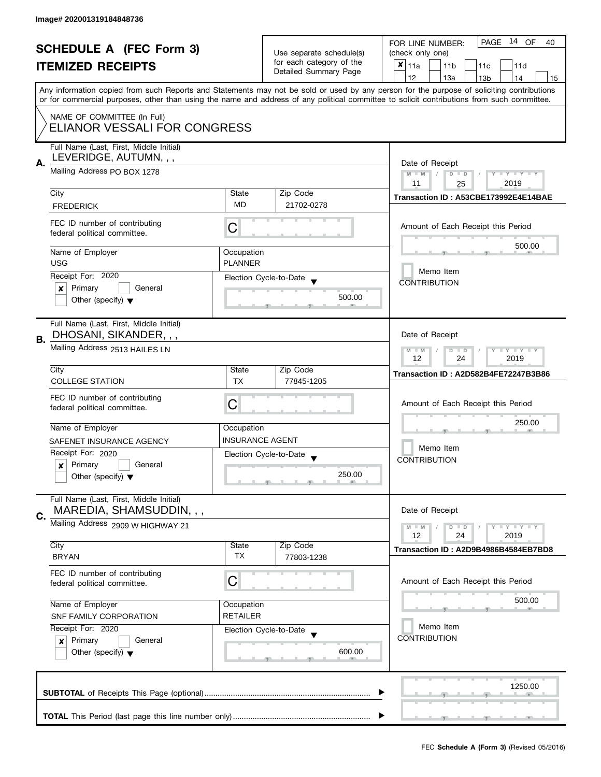|                  | <b>SCHEDULE A (FEC Form 3)</b><br><b>ITEMIZED RECEIPTS</b>                                       |                        | Use separate schedule(s)<br>for each category of the<br>Detailed Summary Page | PAGE 14 OF<br>FOR LINE NUMBER:<br>40<br>(check only one)<br>$\pmb{\times}$<br>11a<br>11 <sub>b</sub><br>11c<br>11d<br>12<br>13a<br>14<br>13 <sub>b</sub><br>15<br>Any information copied from such Reports and Statements may not be sold or used by any person for the purpose of soliciting contributions |  |  |  |
|------------------|--------------------------------------------------------------------------------------------------|------------------------|-------------------------------------------------------------------------------|-------------------------------------------------------------------------------------------------------------------------------------------------------------------------------------------------------------------------------------------------------------------------------------------------------------|--|--|--|
|                  | NAME OF COMMITTEE (In Full)<br>ELIANOR VESSALI FOR CONGRESS                                      |                        |                                                                               | or for commercial purposes, other than using the name and address of any political committee to solicit contributions from such committee.                                                                                                                                                                  |  |  |  |
| А.               | Full Name (Last, First, Middle Initial)<br>LEVERIDGE, AUTUMN, , ,<br>Mailing Address PO BOX 1278 |                        |                                                                               | Date of Receipt<br>Y FYLY FY<br>$M - M$<br>$D$ $D$<br>2019<br>11<br>25                                                                                                                                                                                                                                      |  |  |  |
|                  | City                                                                                             | State<br><b>MD</b>     | Zip Code<br>21702-0278                                                        | Transaction ID: A53CBE173992E4E14BAE                                                                                                                                                                                                                                                                        |  |  |  |
|                  | <b>FREDERICK</b><br>FEC ID number of contributing<br>federal political committee.                | С                      |                                                                               | Amount of Each Receipt this Period                                                                                                                                                                                                                                                                          |  |  |  |
|                  | Name of Employer                                                                                 | Occupation             |                                                                               | 500.00                                                                                                                                                                                                                                                                                                      |  |  |  |
|                  | <b>USG</b>                                                                                       | <b>PLANNER</b>         |                                                                               | Memo Item                                                                                                                                                                                                                                                                                                   |  |  |  |
|                  | Receipt For: 2020<br>General                                                                     |                        | Election Cycle-to-Date                                                        | <b>CONTRIBUTION</b>                                                                                                                                                                                                                                                                                         |  |  |  |
|                  | Primary<br>×<br>Other (specify) $\blacktriangledown$                                             |                        | 500.00                                                                        |                                                                                                                                                                                                                                                                                                             |  |  |  |
| В.               | Full Name (Last, First, Middle Initial)<br>DHOSANI, SIKANDER, , ,                                |                        |                                                                               | Date of Receipt                                                                                                                                                                                                                                                                                             |  |  |  |
|                  | Mailing Address 2513 HAILES LN                                                                   |                        |                                                                               | Y I Y I Y I Y<br>$M - M$<br>$D$ $D$<br>12<br>24<br>2019                                                                                                                                                                                                                                                     |  |  |  |
|                  | City                                                                                             | State                  | Zip Code                                                                      | Transaction ID: A2D582B4FE72247B3B86                                                                                                                                                                                                                                                                        |  |  |  |
|                  | <b>COLLEGE STATION</b>                                                                           | <b>TX</b>              | 77845-1205                                                                    |                                                                                                                                                                                                                                                                                                             |  |  |  |
|                  | FEC ID number of contributing<br>federal political committee.                                    | С                      |                                                                               | Amount of Each Receipt this Period                                                                                                                                                                                                                                                                          |  |  |  |
|                  | Name of Employer                                                                                 | Occupation             |                                                                               | 250.00                                                                                                                                                                                                                                                                                                      |  |  |  |
|                  | SAFENET INSURANCE AGENCY                                                                         | <b>INSURANCE AGENT</b> |                                                                               | Memo Item                                                                                                                                                                                                                                                                                                   |  |  |  |
|                  | Receipt For: 2020                                                                                |                        | Election Cycle-to-Date                                                        | <b>CONTRIBUTION</b>                                                                                                                                                                                                                                                                                         |  |  |  |
|                  | Primary<br>General<br>$\boldsymbol{x}$<br>Other (specify) $\blacktriangledown$                   |                        | 250.00                                                                        |                                                                                                                                                                                                                                                                                                             |  |  |  |
| C.               | Full Name (Last, First, Middle Initial)<br>MAREDIA, SHAMSUDDIN, , ,                              |                        |                                                                               | Date of Receipt                                                                                                                                                                                                                                                                                             |  |  |  |
|                  | Mailing Address 2909 W HIGHWAY 21                                                                |                        |                                                                               | Y FY FY FY<br>$M - M$<br>$D$ $D$<br>12<br>2019<br>24                                                                                                                                                                                                                                                        |  |  |  |
|                  | City<br><b>BRYAN</b>                                                                             | State<br>TX            | Zip Code<br>77803-1238                                                        | Transaction ID: A2D9B4986B4584EB7BD8                                                                                                                                                                                                                                                                        |  |  |  |
|                  | FEC ID number of contributing<br>federal political committee.                                    | С                      |                                                                               | Amount of Each Receipt this Period                                                                                                                                                                                                                                                                          |  |  |  |
| Name of Employer |                                                                                                  | Occupation             |                                                                               | 500.00                                                                                                                                                                                                                                                                                                      |  |  |  |
|                  | <b>RETAILER</b><br>SNF FAMILY CORPORATION                                                        |                        |                                                                               |                                                                                                                                                                                                                                                                                                             |  |  |  |
|                  | Receipt For: 2020                                                                                |                        | Election Cycle-to-Date                                                        | Memo Item<br><b>CONTRIBUTION</b>                                                                                                                                                                                                                                                                            |  |  |  |
|                  | Primary<br>General<br>×<br>Other (specify) $\blacktriangledown$                                  |                        | 600.00                                                                        |                                                                                                                                                                                                                                                                                                             |  |  |  |
|                  |                                                                                                  |                        |                                                                               | 1250.00                                                                                                                                                                                                                                                                                                     |  |  |  |
|                  |                                                                                                  |                        |                                                                               |                                                                                                                                                                                                                                                                                                             |  |  |  |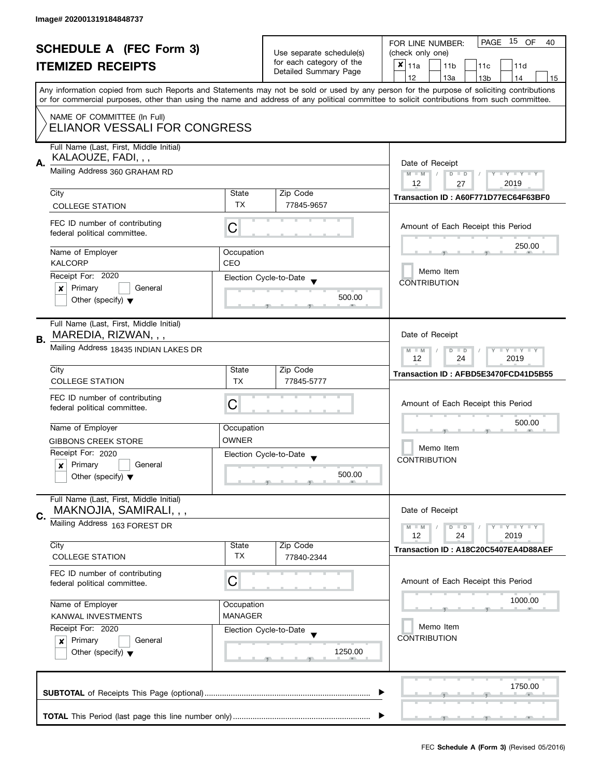| <b>SCHEDULE A (FEC Form 3)</b> |                                                                                                                                                                                                                                                                             | Use separate schedule(s)<br>for each category of the | PAGE 15 OF<br>FOR LINE NUMBER:<br>40<br>(check only one) |                                                                                                                                           |  |
|--------------------------------|-----------------------------------------------------------------------------------------------------------------------------------------------------------------------------------------------------------------------------------------------------------------------------|------------------------------------------------------|----------------------------------------------------------|-------------------------------------------------------------------------------------------------------------------------------------------|--|
|                                | <b>ITEMIZED RECEIPTS</b>                                                                                                                                                                                                                                                    |                                                      | Detailed Summary Page                                    | $x _{11a}$<br>11 <sub>b</sub><br>11d<br>11 <sub>c</sub>                                                                                   |  |
|                                |                                                                                                                                                                                                                                                                             |                                                      |                                                          | 12<br>14<br>13a<br>13 <sub>b</sub><br>15                                                                                                  |  |
|                                | or for commercial purposes, other than using the name and address of any political committee to solicit contributions from such committee.                                                                                                                                  |                                                      |                                                          | Any information copied from such Reports and Statements may not be sold or used by any person for the purpose of soliciting contributions |  |
|                                | NAME OF COMMITTEE (In Full)<br>ELIANOR VESSALI FOR CONGRESS                                                                                                                                                                                                                 |                                                      |                                                          |                                                                                                                                           |  |
|                                | Full Name (Last, First, Middle Initial)<br>KALAOUZE, FADI, , ,<br>А.<br>Mailing Address 360 GRAHAM RD                                                                                                                                                                       |                                                      |                                                          | Date of Receipt                                                                                                                           |  |
|                                |                                                                                                                                                                                                                                                                             |                                                      |                                                          | $M - M$<br>$\vert$ /<br>$D$ $D$<br>$Y - Y - Y - Y - Y$<br>12<br>2019<br>27                                                                |  |
|                                | City                                                                                                                                                                                                                                                                        | State                                                | Zip Code                                                 | Transaction ID: A60F771D77EC64F63BF0                                                                                                      |  |
|                                | <b>COLLEGE STATION</b>                                                                                                                                                                                                                                                      | <b>TX</b>                                            | 77845-9657                                               |                                                                                                                                           |  |
|                                | FEC ID number of contributing<br>federal political committee.                                                                                                                                                                                                               | C                                                    |                                                          | Amount of Each Receipt this Period                                                                                                        |  |
|                                | Name of Employer<br><b>KALCORP</b>                                                                                                                                                                                                                                          | Occupation<br>CEO                                    |                                                          | 250.00                                                                                                                                    |  |
|                                | Receipt For: 2020                                                                                                                                                                                                                                                           |                                                      | Election Cycle-to-Date                                   | Memo Item                                                                                                                                 |  |
|                                | Primary<br>General<br>$\boldsymbol{x}$                                                                                                                                                                                                                                      |                                                      |                                                          | <b>CONTRIBUTION</b>                                                                                                                       |  |
|                                | Other (specify) $\blacktriangledown$                                                                                                                                                                                                                                        |                                                      | 500.00                                                   |                                                                                                                                           |  |
| В.                             | Full Name (Last, First, Middle Initial)<br>MAREDIA, RIZWAN, , ,                                                                                                                                                                                                             |                                                      |                                                          | Date of Receipt                                                                                                                           |  |
|                                | Mailing Address 18435 INDIAN LAKES DR                                                                                                                                                                                                                                       |                                                      |                                                          | $T - Y = T - Y$<br>$M - M$<br>D<br>$\blacksquare$<br>24<br>12<br>2019                                                                     |  |
|                                | City<br><b>COLLEGE STATION</b>                                                                                                                                                                                                                                              | State<br><b>TX</b>                                   | Zip Code<br>77845-5777                                   | Transaction ID: AFBD5E3470FCD41D5B55                                                                                                      |  |
|                                |                                                                                                                                                                                                                                                                             |                                                      |                                                          |                                                                                                                                           |  |
|                                | FEC ID number of contributing<br>federal political committee.                                                                                                                                                                                                               | C                                                    |                                                          | Amount of Each Receipt this Period                                                                                                        |  |
|                                | Name of Employer                                                                                                                                                                                                                                                            | Occupation                                           |                                                          | 500.00                                                                                                                                    |  |
|                                | <b>GIBBONS CREEK STORE</b>                                                                                                                                                                                                                                                  | <b>OWNER</b>                                         |                                                          | Memo Item                                                                                                                                 |  |
|                                | Receipt For: 2020                                                                                                                                                                                                                                                           |                                                      | Election Cycle-to-Date                                   | <b>CONTRIBUTION</b>                                                                                                                       |  |
|                                | Primary<br>General<br>×<br>Other (specify) $\blacktriangledown$                                                                                                                                                                                                             |                                                      | 500.00                                                   |                                                                                                                                           |  |
|                                | Full Name (Last, First, Middle Initial)<br>MAKNOJIA, SAMIRALI, , ,                                                                                                                                                                                                          |                                                      |                                                          | Date of Receipt                                                                                                                           |  |
| C.                             | Mailing Address 163 FOREST DR                                                                                                                                                                                                                                               |                                                      |                                                          | $\mathbf{I}$ $\mathbf{Y}$ $\mathbf{I}$ $\mathbf{Y}$ $\mathbf{I}$ $\mathbf{Y}$<br>$M - M$<br>$D$ $D$<br>12<br>2019<br>24                   |  |
|                                | City                                                                                                                                                                                                                                                                        | State                                                | Zip Code                                                 | Transaction ID: A18C20C5407EA4D88AEF                                                                                                      |  |
|                                | <b>COLLEGE STATION</b>                                                                                                                                                                                                                                                      | TX                                                   | 77840-2344                                               |                                                                                                                                           |  |
|                                | FEC ID number of contributing<br>C<br>federal political committee.<br>Name of Employer<br>Occupation<br><b>MANAGER</b><br>KANWAL INVESTMENTS<br>Receipt For: 2020<br>Election Cycle-to-Date<br>Primary<br>General<br>$\pmb{\times}$<br>Other (specify) $\blacktriangledown$ |                                                      |                                                          | Amount of Each Receipt this Period                                                                                                        |  |
|                                |                                                                                                                                                                                                                                                                             |                                                      |                                                          | 1000.00                                                                                                                                   |  |
|                                |                                                                                                                                                                                                                                                                             |                                                      |                                                          | Memo Item                                                                                                                                 |  |
|                                |                                                                                                                                                                                                                                                                             |                                                      |                                                          | <b>CONTRIBUTION</b>                                                                                                                       |  |
|                                |                                                                                                                                                                                                                                                                             |                                                      | 1250.00                                                  |                                                                                                                                           |  |
|                                |                                                                                                                                                                                                                                                                             |                                                      |                                                          | 1750.00                                                                                                                                   |  |
|                                |                                                                                                                                                                                                                                                                             |                                                      |                                                          |                                                                                                                                           |  |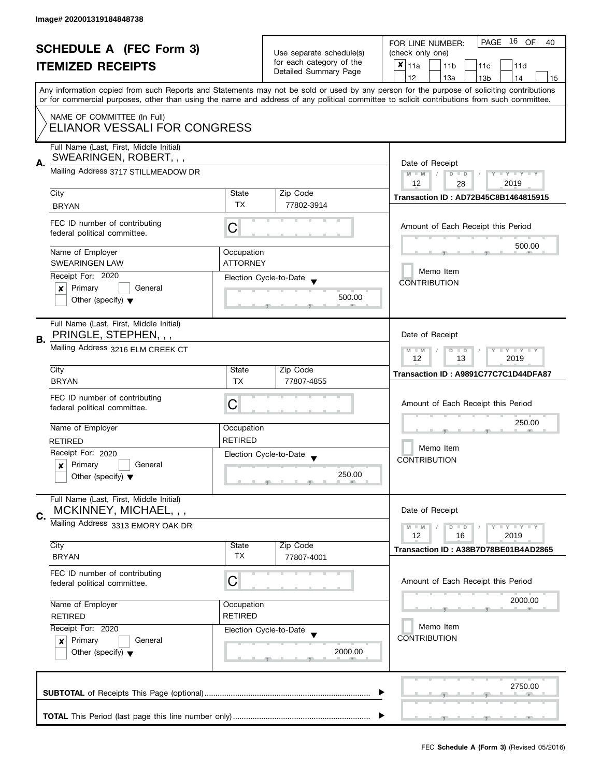| <b>SCHEDULE A (FEC Form 3)</b> |                                                                                                                                                                                                                               |                                                                                  | 16 OF<br>PAGE<br>FOR LINE NUMBER:<br>40                                       |                                                                                                                                                                                                                                                                                         |  |  |
|--------------------------------|-------------------------------------------------------------------------------------------------------------------------------------------------------------------------------------------------------------------------------|----------------------------------------------------------------------------------|-------------------------------------------------------------------------------|-----------------------------------------------------------------------------------------------------------------------------------------------------------------------------------------------------------------------------------------------------------------------------------------|--|--|
|                                |                                                                                                                                                                                                                               |                                                                                  | Use separate schedule(s)<br>for each category of the<br>Detailed Summary Page | (check only one)                                                                                                                                                                                                                                                                        |  |  |
|                                | <b>ITEMIZED RECEIPTS</b>                                                                                                                                                                                                      |                                                                                  |                                                                               | $x _{11a}$<br>11 <sub>b</sub><br>11 <sub>c</sub><br>11d                                                                                                                                                                                                                                 |  |  |
|                                |                                                                                                                                                                                                                               |                                                                                  |                                                                               | 12<br>13a<br>13 <sub>b</sub><br>14<br>15                                                                                                                                                                                                                                                |  |  |
|                                |                                                                                                                                                                                                                               |                                                                                  |                                                                               | Any information copied from such Reports and Statements may not be sold or used by any person for the purpose of soliciting contributions<br>or for commercial purposes, other than using the name and address of any political committee to solicit contributions from such committee. |  |  |
|                                |                                                                                                                                                                                                                               |                                                                                  |                                                                               |                                                                                                                                                                                                                                                                                         |  |  |
|                                | NAME OF COMMITTEE (In Full)<br>ELIANOR VESSALI FOR CONGRESS                                                                                                                                                                   |                                                                                  |                                                                               |                                                                                                                                                                                                                                                                                         |  |  |
|                                | Full Name (Last, First, Middle Initial)<br>SWEARINGEN, ROBERT, , ,                                                                                                                                                            |                                                                                  |                                                                               |                                                                                                                                                                                                                                                                                         |  |  |
| А.                             | Mailing Address 3717 STILLMEADOW DR                                                                                                                                                                                           | Date of Receipt<br>$M - M$<br>$D$ $D$<br>$Y - Y - Y - Y - Y$<br>12<br>2019<br>28 |                                                                               |                                                                                                                                                                                                                                                                                         |  |  |
|                                | City                                                                                                                                                                                                                          | State                                                                            | Zip Code                                                                      | <b>Transaction ID: AD72B45C8B1464815915</b>                                                                                                                                                                                                                                             |  |  |
|                                | <b>BRYAN</b>                                                                                                                                                                                                                  | <b>TX</b>                                                                        | 77802-3914                                                                    |                                                                                                                                                                                                                                                                                         |  |  |
|                                | FEC ID number of contributing<br>federal political committee.                                                                                                                                                                 | C                                                                                |                                                                               | Amount of Each Receipt this Period                                                                                                                                                                                                                                                      |  |  |
|                                | Name of Employer                                                                                                                                                                                                              | Occupation                                                                       |                                                                               | 500.00                                                                                                                                                                                                                                                                                  |  |  |
|                                | <b>SWEARINGEN LAW</b>                                                                                                                                                                                                         | <b>ATTORNEY</b>                                                                  |                                                                               |                                                                                                                                                                                                                                                                                         |  |  |
|                                | Receipt For: 2020                                                                                                                                                                                                             |                                                                                  | Election Cycle-to-Date                                                        | Memo Item                                                                                                                                                                                                                                                                               |  |  |
|                                | Primary<br>General<br>x                                                                                                                                                                                                       |                                                                                  |                                                                               | <b>CONTRIBUTION</b>                                                                                                                                                                                                                                                                     |  |  |
|                                | Other (specify) $\blacktriangledown$                                                                                                                                                                                          |                                                                                  | 500.00                                                                        |                                                                                                                                                                                                                                                                                         |  |  |
|                                |                                                                                                                                                                                                                               |                                                                                  |                                                                               |                                                                                                                                                                                                                                                                                         |  |  |
| В.                             | Full Name (Last, First, Middle Initial)<br>PRINGLE, STEPHEN, , ,                                                                                                                                                              |                                                                                  |                                                                               | Date of Receipt                                                                                                                                                                                                                                                                         |  |  |
|                                | Mailing Address 3216 ELM CREEK CT                                                                                                                                                                                             | $Y = Y = Y$<br>$M - M$<br>D<br>$\Box$<br>12<br>2019<br>13                        |                                                                               |                                                                                                                                                                                                                                                                                         |  |  |
|                                | City                                                                                                                                                                                                                          | State                                                                            | Zip Code                                                                      | Transaction ID: A9891C77C7C1D44DFA87                                                                                                                                                                                                                                                    |  |  |
|                                | <b>BRYAN</b>                                                                                                                                                                                                                  | <b>TX</b>                                                                        | 77807-4855                                                                    |                                                                                                                                                                                                                                                                                         |  |  |
|                                | FEC ID number of contributing                                                                                                                                                                                                 | С                                                                                |                                                                               | Amount of Each Receipt this Period                                                                                                                                                                                                                                                      |  |  |
|                                | federal political committee.                                                                                                                                                                                                  |                                                                                  |                                                                               |                                                                                                                                                                                                                                                                                         |  |  |
|                                | Name of Employer                                                                                                                                                                                                              | Occupation                                                                       |                                                                               | 250.00                                                                                                                                                                                                                                                                                  |  |  |
|                                | <b>RETIRED</b>                                                                                                                                                                                                                | <b>RETIRED</b>                                                                   |                                                                               |                                                                                                                                                                                                                                                                                         |  |  |
|                                | Receipt For: 2020                                                                                                                                                                                                             |                                                                                  | Election Cycle-to-Date                                                        | Memo Item                                                                                                                                                                                                                                                                               |  |  |
|                                | Primary<br>General<br>x                                                                                                                                                                                                       |                                                                                  |                                                                               | <b>CONTRIBUTION</b>                                                                                                                                                                                                                                                                     |  |  |
|                                | Other (specify) $\blacktriangledown$                                                                                                                                                                                          |                                                                                  | 250.00                                                                        |                                                                                                                                                                                                                                                                                         |  |  |
| C.                             | Full Name (Last, First, Middle Initial)<br>MCKINNEY, MICHAEL, , ,                                                                                                                                                             |                                                                                  |                                                                               | Date of Receipt                                                                                                                                                                                                                                                                         |  |  |
|                                | Mailing Address 3313 EMORY OAK DR                                                                                                                                                                                             |                                                                                  |                                                                               | $Y = Y + Y$<br>$M - M$<br>$D$ $D$                                                                                                                                                                                                                                                       |  |  |
|                                |                                                                                                                                                                                                                               |                                                                                  |                                                                               | 12<br>2019<br>16                                                                                                                                                                                                                                                                        |  |  |
|                                | City<br><b>BRYAN</b>                                                                                                                                                                                                          | State<br>TX                                                                      | Zip Code<br>77807-4001                                                        | Transaction ID: A38B7D78BE01B4AD2865                                                                                                                                                                                                                                                    |  |  |
|                                | FEC ID number of contributing<br>C<br>federal political committee.<br>Name of Employer<br>Occupation<br><b>RETIRED</b><br><b>RETIRED</b><br>Receipt For: 2020<br>Election Cycle-to-Date<br>Primary<br>General<br>$\mathbf{x}$ |                                                                                  |                                                                               | Amount of Each Receipt this Period                                                                                                                                                                                                                                                      |  |  |
|                                |                                                                                                                                                                                                                               |                                                                                  |                                                                               | 2000.00                                                                                                                                                                                                                                                                                 |  |  |
|                                |                                                                                                                                                                                                                               |                                                                                  |                                                                               |                                                                                                                                                                                                                                                                                         |  |  |
|                                |                                                                                                                                                                                                                               |                                                                                  |                                                                               | Memo Item                                                                                                                                                                                                                                                                               |  |  |
|                                |                                                                                                                                                                                                                               |                                                                                  |                                                                               | <b>CONTRIBUTION</b>                                                                                                                                                                                                                                                                     |  |  |
|                                | Other (specify) $\blacktriangledown$                                                                                                                                                                                          |                                                                                  | 2000.00                                                                       |                                                                                                                                                                                                                                                                                         |  |  |
|                                |                                                                                                                                                                                                                               |                                                                                  |                                                                               | 2750.00                                                                                                                                                                                                                                                                                 |  |  |
|                                |                                                                                                                                                                                                                               |                                                                                  |                                                                               |                                                                                                                                                                                                                                                                                         |  |  |
|                                |                                                                                                                                                                                                                               |                                                                                  |                                                                               |                                                                                                                                                                                                                                                                                         |  |  |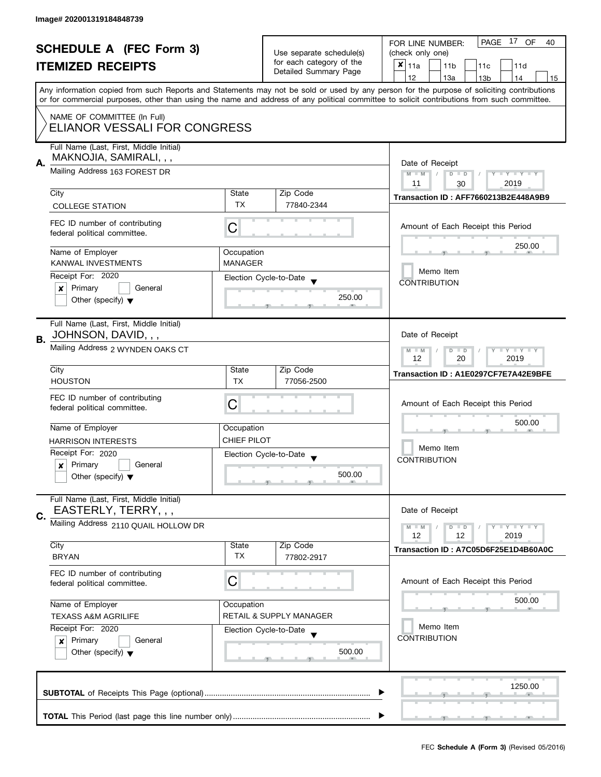| <b>SCHEDULE A (FEC Form 3)</b><br><b>ITEMIZED RECEIPTS</b> |                                                               |                                                                               | PAGE 17 OF<br>FOR LINE NUMBER:<br>40                                 |                                                                                                                                            |
|------------------------------------------------------------|---------------------------------------------------------------|-------------------------------------------------------------------------------|----------------------------------------------------------------------|--------------------------------------------------------------------------------------------------------------------------------------------|
|                                                            |                                                               | Use separate schedule(s)<br>for each category of the<br>Detailed Summary Page | (check only one)                                                     |                                                                                                                                            |
|                                                            |                                                               |                                                                               | $\boldsymbol{x}$<br>11a<br>11 <sub>b</sub><br>11 <sub>c</sub><br>11d |                                                                                                                                            |
|                                                            |                                                               |                                                                               |                                                                      | 12<br>14<br>13a<br>13 <sub>b</sub><br>15                                                                                                   |
|                                                            |                                                               |                                                                               |                                                                      | Any information copied from such Reports and Statements may not be sold or used by any person for the purpose of soliciting contributions  |
|                                                            |                                                               |                                                                               |                                                                      | or for commercial purposes, other than using the name and address of any political committee to solicit contributions from such committee. |
|                                                            | NAME OF COMMITTEE (In Full)                                   |                                                                               |                                                                      |                                                                                                                                            |
|                                                            | ELIANOR VESSALI FOR CONGRESS                                  |                                                                               |                                                                      |                                                                                                                                            |
|                                                            |                                                               |                                                                               |                                                                      |                                                                                                                                            |
|                                                            | Full Name (Last, First, Middle Initial)                       |                                                                               |                                                                      |                                                                                                                                            |
| А.                                                         | MAKNOJIA, SAMIRALI, , ,                                       | Date of Receipt                                                               |                                                                      |                                                                                                                                            |
|                                                            | Mailing Address 163 FOREST DR                                 |                                                                               |                                                                      | $M - M$<br>$D$ $D$<br>$\vert \vert$ /<br>Y I Y I Y I Y                                                                                     |
|                                                            |                                                               |                                                                               |                                                                      | 11<br>2019<br>30                                                                                                                           |
|                                                            | City                                                          | State                                                                         | Zip Code                                                             | Transaction ID: AFF7660213B2E448A9B9                                                                                                       |
|                                                            | <b>COLLEGE STATION</b>                                        | <b>TX</b>                                                                     | 77840-2344                                                           |                                                                                                                                            |
|                                                            |                                                               |                                                                               |                                                                      |                                                                                                                                            |
|                                                            | FEC ID number of contributing<br>federal political committee. | C                                                                             |                                                                      | Amount of Each Receipt this Period                                                                                                         |
|                                                            |                                                               |                                                                               |                                                                      | 250.00                                                                                                                                     |
|                                                            | Name of Employer                                              | Occupation                                                                    |                                                                      |                                                                                                                                            |
|                                                            | <b>KANWAL INVESTMENTS</b>                                     | <b>MANAGER</b>                                                                |                                                                      |                                                                                                                                            |
|                                                            | Receipt For: 2020                                             |                                                                               | Election Cycle-to-Date                                               | Memo Item                                                                                                                                  |
|                                                            | General<br>Primary<br>X                                       |                                                                               |                                                                      | <b>CONTRIBUTION</b>                                                                                                                        |
|                                                            | Other (specify) $\blacktriangledown$                          |                                                                               | 250.00                                                               |                                                                                                                                            |
|                                                            |                                                               |                                                                               |                                                                      |                                                                                                                                            |
|                                                            | Full Name (Last, First, Middle Initial)                       |                                                                               |                                                                      |                                                                                                                                            |
| В.                                                         | JOHNSON, DAVID, , ,                                           |                                                                               |                                                                      | Date of Receipt                                                                                                                            |
|                                                            | Mailing Address 2 WYNDEN OAKS CT                              |                                                                               |                                                                      | $\bot$ $\gamma$ $\bot$ $\gamma$ $\bot$ $\gamma$<br>$M - M$<br>D<br>$\blacksquare$                                                          |
|                                                            |                                                               |                                                                               |                                                                      | 20<br>2019<br>12                                                                                                                           |
|                                                            | City                                                          | State                                                                         | Zip Code                                                             | Transaction ID: A1E0297CF7E7A42E9BFE                                                                                                       |
|                                                            | <b>HOUSTON</b>                                                | TX.                                                                           | 77056-2500                                                           |                                                                                                                                            |
|                                                            | FEC ID number of contributing                                 |                                                                               |                                                                      |                                                                                                                                            |
|                                                            | federal political committee.                                  | C                                                                             |                                                                      | Amount of Each Receipt this Period                                                                                                         |
|                                                            |                                                               |                                                                               |                                                                      | 500.00                                                                                                                                     |
|                                                            | Name of Employer                                              | Occupation                                                                    |                                                                      |                                                                                                                                            |
|                                                            | <b>HARRISON INTERESTS</b>                                     | <b>CHIEF PILOT</b>                                                            |                                                                      |                                                                                                                                            |
|                                                            | Receipt For: 2020                                             |                                                                               | Election Cycle-to-Date                                               | Memo Item                                                                                                                                  |
|                                                            | Primary<br>General<br>$\pmb{\times}$                          |                                                                               |                                                                      | <b>CONTRIBUTION</b>                                                                                                                        |
|                                                            | Other (specify) $\blacktriangledown$                          |                                                                               | 500.00<br>-91                                                        |                                                                                                                                            |
|                                                            |                                                               |                                                                               |                                                                      |                                                                                                                                            |
|                                                            | Full Name (Last, First, Middle Initial)                       |                                                                               |                                                                      |                                                                                                                                            |
| C.                                                         | EASTERLY, TERRY, , ,                                          |                                                                               |                                                                      | Date of Receipt                                                                                                                            |
|                                                            | Mailing Address 2110 QUAIL HOLLOW DR                          |                                                                               |                                                                      | $\bot$ $\gamma$ $\bot$ $\gamma$ $\bot$ $\gamma$<br>$M - M$<br>$D$ $D$                                                                      |
|                                                            |                                                               |                                                                               |                                                                      | 12<br>2019<br>12                                                                                                                           |
|                                                            | City                                                          | State                                                                         | Zip Code                                                             | Transaction ID: A7C05D6F25E1D4B60A0C                                                                                                       |
|                                                            | <b>BRYAN</b>                                                  | TX                                                                            | 77802-2917                                                           |                                                                                                                                            |
|                                                            | FEC ID number of contributing                                 |                                                                               |                                                                      |                                                                                                                                            |
|                                                            | federal political committee.                                  | C                                                                             |                                                                      | Amount of Each Receipt this Period                                                                                                         |
|                                                            |                                                               |                                                                               |                                                                      | 500.00                                                                                                                                     |
|                                                            | Name of Employer                                              | Occupation                                                                    |                                                                      |                                                                                                                                            |
|                                                            | <b>TEXASS A&amp;M AGRILIFE</b>                                |                                                                               | <b>RETAIL &amp; SUPPLY MANAGER</b>                                   |                                                                                                                                            |
|                                                            | Receipt For: 2020                                             |                                                                               | Election Cycle-to-Date                                               | Memo Item<br><b>CONTRIBUTION</b>                                                                                                           |
|                                                            | Primary<br>General<br>×                                       |                                                                               |                                                                      |                                                                                                                                            |
|                                                            | Other (specify) $\blacktriangledown$                          |                                                                               | 500.00                                                               |                                                                                                                                            |
|                                                            |                                                               |                                                                               |                                                                      |                                                                                                                                            |
|                                                            |                                                               |                                                                               |                                                                      |                                                                                                                                            |
|                                                            |                                                               |                                                                               |                                                                      | 1250.00                                                                                                                                    |
|                                                            |                                                               |                                                                               |                                                                      |                                                                                                                                            |
|                                                            |                                                               |                                                                               |                                                                      | المستحق المستنقذ                                                                                                                           |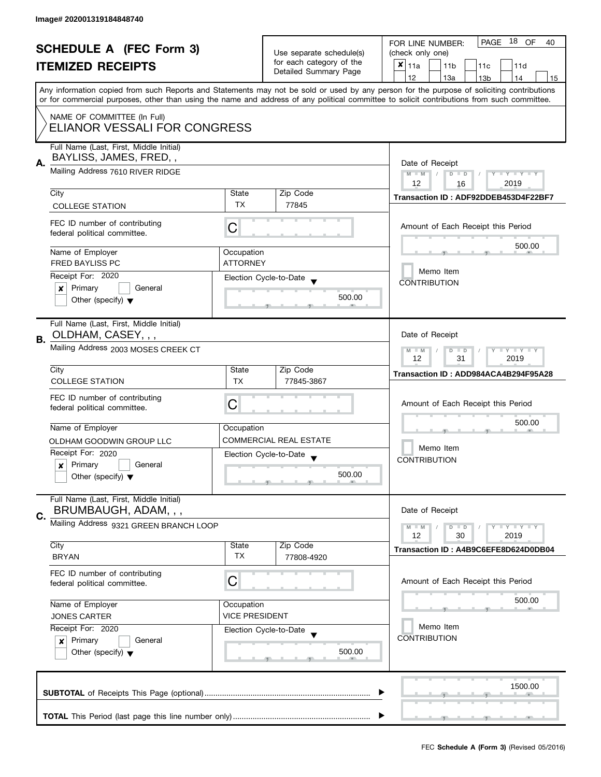| <b>SCHEDULE A (FEC Form 3)</b> |                                                                                                                                                                           |                                                                                                                                            | PAGE 18 OF<br>FOR LINE NUMBER:<br>40              |                                                                                                                                           |
|--------------------------------|---------------------------------------------------------------------------------------------------------------------------------------------------------------------------|--------------------------------------------------------------------------------------------------------------------------------------------|---------------------------------------------------|-------------------------------------------------------------------------------------------------------------------------------------------|
|                                |                                                                                                                                                                           | Use separate schedule(s)                                                                                                                   | (check only one)                                  |                                                                                                                                           |
|                                | <b>ITEMIZED RECEIPTS</b>                                                                                                                                                  |                                                                                                                                            | for each category of the<br>Detailed Summary Page | $x _{11a}$<br>11 <sub>b</sub><br>11 <sub>c</sub><br>11d                                                                                   |
|                                |                                                                                                                                                                           |                                                                                                                                            |                                                   | 12<br>13a<br>13 <sub>b</sub><br>14<br>15                                                                                                  |
|                                |                                                                                                                                                                           |                                                                                                                                            |                                                   | Any information copied from such Reports and Statements may not be sold or used by any person for the purpose of soliciting contributions |
|                                |                                                                                                                                                                           | or for commercial purposes, other than using the name and address of any political committee to solicit contributions from such committee. |                                                   |                                                                                                                                           |
|                                | NAME OF COMMITTEE (In Full)                                                                                                                                               |                                                                                                                                            |                                                   |                                                                                                                                           |
|                                | ELIANOR VESSALI FOR CONGRESS                                                                                                                                              |                                                                                                                                            |                                                   |                                                                                                                                           |
|                                |                                                                                                                                                                           |                                                                                                                                            |                                                   |                                                                                                                                           |
|                                | Full Name (Last, First, Middle Initial)                                                                                                                                   |                                                                                                                                            |                                                   |                                                                                                                                           |
| Α.                             | BAYLISS, JAMES, FRED, ,                                                                                                                                                   |                                                                                                                                            |                                                   | Date of Receipt                                                                                                                           |
|                                | Mailing Address 7610 RIVER RIDGE                                                                                                                                          |                                                                                                                                            |                                                   | $M - M$<br>$\sqrt{ }$<br>$D$ $D$<br>$Y - Y - Y - Y - Y$                                                                                   |
|                                |                                                                                                                                                                           |                                                                                                                                            |                                                   | 12<br>2019<br>16                                                                                                                          |
|                                | City                                                                                                                                                                      | State<br><b>TX</b>                                                                                                                         | Zip Code                                          | Transaction ID: ADF92DDEB453D4F22BF7                                                                                                      |
|                                | <b>COLLEGE STATION</b>                                                                                                                                                    |                                                                                                                                            | 77845                                             |                                                                                                                                           |
|                                | FEC ID number of contributing                                                                                                                                             | C                                                                                                                                          |                                                   | Amount of Each Receipt this Period                                                                                                        |
|                                | federal political committee.                                                                                                                                              |                                                                                                                                            |                                                   |                                                                                                                                           |
|                                |                                                                                                                                                                           |                                                                                                                                            |                                                   | 500.00                                                                                                                                    |
|                                | Name of Employer<br><b>FRED BAYLISS PC</b>                                                                                                                                | Occupation<br><b>ATTORNEY</b>                                                                                                              |                                                   |                                                                                                                                           |
|                                |                                                                                                                                                                           |                                                                                                                                            |                                                   | Memo Item                                                                                                                                 |
|                                | Receipt For: 2020                                                                                                                                                         |                                                                                                                                            | Election Cycle-to-Date                            | <b>CONTRIBUTION</b>                                                                                                                       |
|                                | General<br>Primary<br>×<br>Other (specify) $\blacktriangledown$                                                                                                           |                                                                                                                                            | 500.00                                            |                                                                                                                                           |
|                                |                                                                                                                                                                           |                                                                                                                                            |                                                   |                                                                                                                                           |
|                                | Full Name (Last, First, Middle Initial)                                                                                                                                   |                                                                                                                                            |                                                   |                                                                                                                                           |
|                                | OLDHAM, CASEY, , ,                                                                                                                                                        |                                                                                                                                            |                                                   | Date of Receipt                                                                                                                           |
| В.                             |                                                                                                                                                                           |                                                                                                                                            |                                                   |                                                                                                                                           |
|                                | Mailing Address 2003 MOSES CREEK CT                                                                                                                                       |                                                                                                                                            |                                                   | $Y = Y = Y$<br>$M - M$<br>D<br>$\Box$<br>12<br>31<br>2019                                                                                 |
|                                | City                                                                                                                                                                      | State                                                                                                                                      | Zip Code                                          |                                                                                                                                           |
|                                | <b>COLLEGE STATION</b>                                                                                                                                                    | <b>TX</b>                                                                                                                                  | 77845-3867                                        | Transaction ID: ADD984ACA4B294F95A28                                                                                                      |
|                                |                                                                                                                                                                           |                                                                                                                                            |                                                   |                                                                                                                                           |
|                                | FEC ID number of contributing<br>federal political committee.                                                                                                             | C                                                                                                                                          |                                                   | Amount of Each Receipt this Period                                                                                                        |
|                                |                                                                                                                                                                           |                                                                                                                                            |                                                   | 500.00                                                                                                                                    |
|                                | Name of Employer                                                                                                                                                          | Occupation                                                                                                                                 |                                                   |                                                                                                                                           |
|                                | OLDHAM GOODWIN GROUP LLC                                                                                                                                                  |                                                                                                                                            | <b>COMMERCIAL REAL ESTATE</b>                     |                                                                                                                                           |
|                                | Receipt For: 2020                                                                                                                                                         |                                                                                                                                            | Election Cycle-to-Date                            | Memo Item                                                                                                                                 |
|                                | Primary<br>General<br>x                                                                                                                                                   |                                                                                                                                            |                                                   | <b>CONTRIBUTION</b>                                                                                                                       |
|                                | Other (specify) $\blacktriangledown$                                                                                                                                      |                                                                                                                                            | 500.00                                            |                                                                                                                                           |
|                                |                                                                                                                                                                           |                                                                                                                                            |                                                   |                                                                                                                                           |
|                                | Full Name (Last, First, Middle Initial)                                                                                                                                   |                                                                                                                                            |                                                   |                                                                                                                                           |
| C.                             | BRUMBAUGH, ADAM, , ,                                                                                                                                                      |                                                                                                                                            |                                                   | Date of Receipt                                                                                                                           |
|                                | Mailing Address 9321 GREEN BRANCH LOOP                                                                                                                                    |                                                                                                                                            |                                                   | $Y = Y + Y$<br>$M - M$<br>D<br>$\blacksquare$                                                                                             |
|                                |                                                                                                                                                                           |                                                                                                                                            |                                                   | 12<br>30<br>2019                                                                                                                          |
|                                | City<br><b>BRYAN</b>                                                                                                                                                      | State<br><b>TX</b>                                                                                                                         | Zip Code<br>77808-4920                            | Transaction ID: A4B9C6EFE8D624D0DB04                                                                                                      |
|                                |                                                                                                                                                                           |                                                                                                                                            |                                                   |                                                                                                                                           |
|                                | FEC ID number of contributing                                                                                                                                             | C                                                                                                                                          |                                                   | Amount of Each Receipt this Period                                                                                                        |
|                                | federal political committee.                                                                                                                                              |                                                                                                                                            |                                                   |                                                                                                                                           |
|                                | Name of Employer                                                                                                                                                          | Occupation                                                                                                                                 |                                                   | 500.00                                                                                                                                    |
|                                | <b>VICE PRESIDENT</b><br><b>JONES CARTER</b><br>Receipt For: 2020<br>Election Cycle-to-Date<br>Primary<br>General<br>$\mathsf{x}$<br>Other (specify) $\blacktriangledown$ |                                                                                                                                            |                                                   |                                                                                                                                           |
|                                |                                                                                                                                                                           |                                                                                                                                            |                                                   | Memo Item                                                                                                                                 |
|                                |                                                                                                                                                                           |                                                                                                                                            |                                                   | <b>CONTRIBUTION</b>                                                                                                                       |
|                                |                                                                                                                                                                           |                                                                                                                                            | 500.00                                            |                                                                                                                                           |
|                                |                                                                                                                                                                           |                                                                                                                                            |                                                   |                                                                                                                                           |
|                                |                                                                                                                                                                           |                                                                                                                                            |                                                   |                                                                                                                                           |
|                                |                                                                                                                                                                           |                                                                                                                                            |                                                   | 1500.00                                                                                                                                   |
|                                |                                                                                                                                                                           |                                                                                                                                            |                                                   |                                                                                                                                           |
|                                |                                                                                                                                                                           |                                                                                                                                            |                                                   |                                                                                                                                           |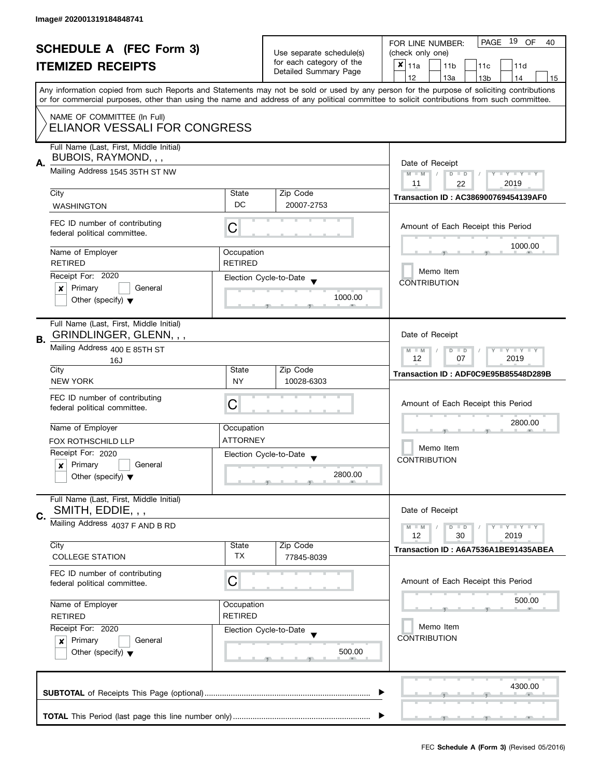| <b>SCHEDULE A (FEC Form 3)</b> |                                                                                                                                                                                                 |                          | 19 OF<br>PAGE<br>FOR LINE NUMBER:<br>40           |                                                                                                                                            |
|--------------------------------|-------------------------------------------------------------------------------------------------------------------------------------------------------------------------------------------------|--------------------------|---------------------------------------------------|--------------------------------------------------------------------------------------------------------------------------------------------|
|                                |                                                                                                                                                                                                 | Use separate schedule(s) | (check only one)                                  |                                                                                                                                            |
|                                | <b>ITEMIZED RECEIPTS</b>                                                                                                                                                                        |                          | for each category of the<br>Detailed Summary Page | $x _{11a}$<br>11 <sub>b</sub><br>11 <sub>c</sub><br>11d                                                                                    |
|                                |                                                                                                                                                                                                 |                          |                                                   | 12<br>13a<br>13 <sub>b</sub><br>14<br>15                                                                                                   |
|                                |                                                                                                                                                                                                 |                          |                                                   | Any information copied from such Reports and Statements may not be sold or used by any person for the purpose of soliciting contributions  |
|                                |                                                                                                                                                                                                 |                          |                                                   | or for commercial purposes, other than using the name and address of any political committee to solicit contributions from such committee. |
|                                | NAME OF COMMITTEE (In Full)                                                                                                                                                                     |                          |                                                   |                                                                                                                                            |
|                                | ELIANOR VESSALI FOR CONGRESS                                                                                                                                                                    |                          |                                                   |                                                                                                                                            |
|                                |                                                                                                                                                                                                 |                          |                                                   |                                                                                                                                            |
|                                | Full Name (Last, First, Middle Initial)                                                                                                                                                         |                          |                                                   |                                                                                                                                            |
| А.                             | BUBOIS, RAYMOND, , ,                                                                                                                                                                            |                          |                                                   | Date of Receipt                                                                                                                            |
|                                | Mailing Address 1545 35TH ST NW                                                                                                                                                                 |                          |                                                   | $M - M$<br>$D$ $D$<br>$Y - Y - Y - Y - Y$                                                                                                  |
|                                |                                                                                                                                                                                                 |                          |                                                   | 2019<br>11<br>22                                                                                                                           |
|                                | City                                                                                                                                                                                            | State                    | Zip Code                                          | <b>Transaction ID: AC386900769454139AF0</b>                                                                                                |
|                                | <b>WASHINGTON</b>                                                                                                                                                                               | DC                       | 20007-2753                                        |                                                                                                                                            |
|                                | FEC ID number of contributing                                                                                                                                                                   |                          |                                                   |                                                                                                                                            |
|                                | federal political committee.                                                                                                                                                                    | С                        |                                                   | Amount of Each Receipt this Period                                                                                                         |
|                                |                                                                                                                                                                                                 |                          |                                                   | 1000.00                                                                                                                                    |
|                                | Name of Employer                                                                                                                                                                                | Occupation               |                                                   |                                                                                                                                            |
|                                | <b>RETIRED</b>                                                                                                                                                                                  | <b>RETIRED</b>           |                                                   | Memo Item                                                                                                                                  |
|                                | Receipt For: 2020                                                                                                                                                                               |                          | Election Cycle-to-Date                            | <b>CONTRIBUTION</b>                                                                                                                        |
|                                | Primary<br>General<br>×                                                                                                                                                                         |                          |                                                   |                                                                                                                                            |
|                                | Other (specify) $\blacktriangledown$                                                                                                                                                            |                          | 1000.00                                           |                                                                                                                                            |
|                                |                                                                                                                                                                                                 |                          |                                                   |                                                                                                                                            |
|                                | Full Name (Last, First, Middle Initial)                                                                                                                                                         |                          |                                                   |                                                                                                                                            |
| В.                             | GRINDLINGER, GLENN, , ,                                                                                                                                                                         |                          |                                                   | Date of Receipt                                                                                                                            |
|                                | Mailing Address 400 E 85TH ST                                                                                                                                                                   |                          |                                                   | $Y = Y = Y$<br>$M - M$<br>D<br>$\Box$                                                                                                      |
|                                | 16J                                                                                                                                                                                             | 12<br>2019<br>07         |                                                   |                                                                                                                                            |
|                                | City                                                                                                                                                                                            | State                    | Zip Code                                          | Transaction ID: ADF0C9E95B85548D289B                                                                                                       |
|                                | <b>NEW YORK</b>                                                                                                                                                                                 | <b>NY</b>                | 10028-6303                                        |                                                                                                                                            |
|                                | FEC ID number of contributing                                                                                                                                                                   |                          |                                                   |                                                                                                                                            |
|                                | federal political committee.                                                                                                                                                                    | С                        |                                                   | Amount of Each Receipt this Period                                                                                                         |
|                                |                                                                                                                                                                                                 |                          |                                                   | 2800.00                                                                                                                                    |
|                                | Name of Employer                                                                                                                                                                                | Occupation               |                                                   |                                                                                                                                            |
|                                | <b>FOX ROTHSCHILD LLP</b>                                                                                                                                                                       | <b>ATTORNEY</b>          |                                                   | Memo Item                                                                                                                                  |
|                                | Receipt For: 2020                                                                                                                                                                               |                          | Election Cycle-to-Date                            | <b>CONTRIBUTION</b>                                                                                                                        |
|                                | Primary<br>General<br>x                                                                                                                                                                         |                          | 2800.00                                           |                                                                                                                                            |
|                                | Other (specify) $\blacktriangledown$                                                                                                                                                            |                          |                                                   |                                                                                                                                            |
|                                | Full Name (Last, First, Middle Initial)                                                                                                                                                         |                          |                                                   |                                                                                                                                            |
|                                | SMITH, EDDIE, , ,                                                                                                                                                                               |                          |                                                   | Date of Receipt                                                                                                                            |
| C.                             |                                                                                                                                                                                                 |                          |                                                   |                                                                                                                                            |
|                                | Mailing Address 4037 F AND B RD                                                                                                                                                                 |                          |                                                   | $Y = Y + Y$<br>$M - M$<br>$D$ $D$<br>12                                                                                                    |
|                                | City                                                                                                                                                                                            | State                    | Zip Code                                          | 30<br>2019                                                                                                                                 |
|                                | <b>COLLEGE STATION</b>                                                                                                                                                                          | TX                       | 77845-8039                                        | Transaction ID: A6A7536A1BE91435ABEA                                                                                                       |
|                                |                                                                                                                                                                                                 |                          |                                                   |                                                                                                                                            |
|                                | FEC ID number of contributing                                                                                                                                                                   | C                        |                                                   | Amount of Each Receipt this Period                                                                                                         |
|                                | federal political committee.                                                                                                                                                                    |                          |                                                   |                                                                                                                                            |
|                                | Name of Employer<br>Occupation<br><b>RETIRED</b><br><b>RETIRED</b><br>Receipt For: 2020<br>Election Cycle-to-Date<br>Primary<br>General<br>$\mathbf{x}$<br>Other (specify) $\blacktriangledown$ |                          |                                                   | 500.00                                                                                                                                     |
|                                |                                                                                                                                                                                                 |                          |                                                   |                                                                                                                                            |
|                                |                                                                                                                                                                                                 |                          |                                                   | Memo Item                                                                                                                                  |
|                                |                                                                                                                                                                                                 |                          |                                                   | <b>CONTRIBUTION</b>                                                                                                                        |
|                                |                                                                                                                                                                                                 |                          | 500.00                                            |                                                                                                                                            |
|                                |                                                                                                                                                                                                 |                          |                                                   |                                                                                                                                            |
|                                |                                                                                                                                                                                                 |                          |                                                   |                                                                                                                                            |
|                                |                                                                                                                                                                                                 |                          |                                                   | 4300.00                                                                                                                                    |
|                                |                                                                                                                                                                                                 |                          |                                                   |                                                                                                                                            |
|                                |                                                                                                                                                                                                 |                          |                                                   |                                                                                                                                            |
|                                |                                                                                                                                                                                                 |                          |                                                   |                                                                                                                                            |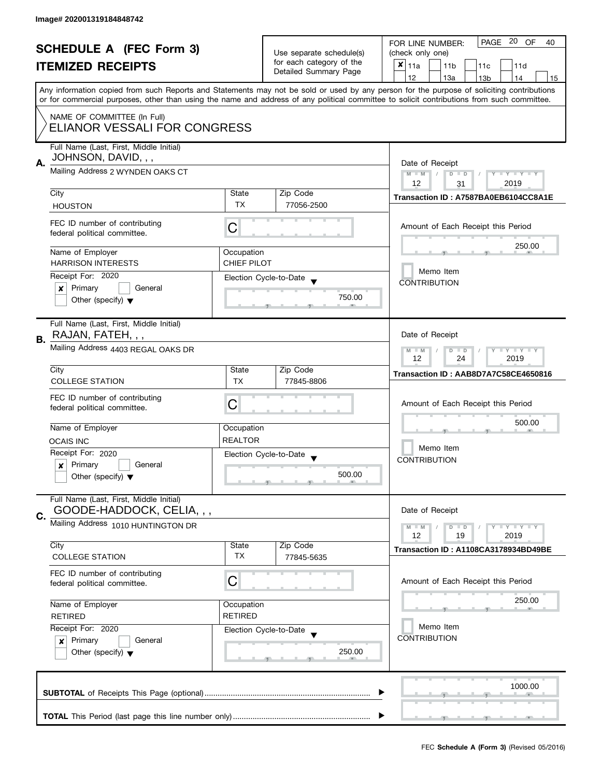|    | <b>SCHEDULE A (FEC Form 3)</b><br><b>ITEMIZED RECEIPTS</b>                                                 |                                  | Use separate schedule(s)<br>for each category of the<br>Detailed Summary Page | PAGE 20<br><b>OF</b><br>FOR LINE NUMBER:<br>40<br>(check only one)<br>$\boldsymbol{x}$<br>11a<br>11 <sub>b</sub><br>11 <sub>c</sub><br>11d<br>12<br>14<br>13a                                                                                                                                                    |  |
|----|------------------------------------------------------------------------------------------------------------|----------------------------------|-------------------------------------------------------------------------------|------------------------------------------------------------------------------------------------------------------------------------------------------------------------------------------------------------------------------------------------------------------------------------------------------------------|--|
|    |                                                                                                            |                                  |                                                                               | 13 <sub>b</sub><br>15<br>Any information copied from such Reports and Statements may not be sold or used by any person for the purpose of soliciting contributions<br>or for commercial purposes, other than using the name and address of any political committee to solicit contributions from such committee. |  |
|    | NAME OF COMMITTEE (In Full)<br>ELIANOR VESSALI FOR CONGRESS                                                |                                  |                                                                               |                                                                                                                                                                                                                                                                                                                  |  |
| А. | Full Name (Last, First, Middle Initial)<br>JOHNSON, DAVID, , ,<br>Mailing Address 2 WYNDEN OAKS CT         |                                  |                                                                               | Date of Receipt<br>$M - M$<br>$D$ $D$<br>$\vert \vert$ /<br>Y I Y I Y I Y                                                                                                                                                                                                                                        |  |
|    | City                                                                                                       | State<br><b>TX</b>               | Zip Code<br>77056-2500                                                        | 12<br>2019<br>31<br>Transaction ID: A7587BA0EB6104CC8A1E                                                                                                                                                                                                                                                         |  |
|    | <b>HOUSTON</b><br>FEC ID number of contributing<br>federal political committee.                            | C                                |                                                                               | Amount of Each Receipt this Period                                                                                                                                                                                                                                                                               |  |
|    | Name of Employer<br><b>HARRISON INTERESTS</b>                                                              | Occupation<br><b>CHIEF PILOT</b> |                                                                               | 250.00<br>Memo Item                                                                                                                                                                                                                                                                                              |  |
|    | Receipt For: 2020<br>General<br>Primary<br>X<br>Other (specify) $\blacktriangledown$                       |                                  | Election Cycle-to-Date<br>750.00                                              | <b>CONTRIBUTION</b>                                                                                                                                                                                                                                                                                              |  |
| В. | Full Name (Last, First, Middle Initial)<br>RAJAN, FATEH, , ,<br>Mailing Address 4403 REGAL OAKS DR         |                                  |                                                                               | Date of Receipt                                                                                                                                                                                                                                                                                                  |  |
|    | City                                                                                                       | State                            | Zip Code                                                                      | $\bot$ $\gamma$ $\bot$ $\gamma$ $\bot$ $\gamma$<br>$M - M$<br>D<br>$\blacksquare$<br>24<br>2019<br>12<br>Transaction ID: AAB8D7A7C58CE4650816                                                                                                                                                                    |  |
|    | <b>COLLEGE STATION</b><br>FEC ID number of contributing<br>federal political committee.                    | TX.<br>C                         | 77845-8806                                                                    | Amount of Each Receipt this Period                                                                                                                                                                                                                                                                               |  |
|    | Name of Employer<br><b>OCAIS INC</b>                                                                       | Occupation<br><b>REALTOR</b>     |                                                                               | 500.00                                                                                                                                                                                                                                                                                                           |  |
|    | Receipt For: 2020<br>Primary<br>General<br>$\pmb{\times}$<br>Other (specify) $\blacktriangledown$          |                                  | Election Cycle-to-Date<br>500.00<br>__                                        | Memo Item<br><b>CONTRIBUTION</b>                                                                                                                                                                                                                                                                                 |  |
| C. | Full Name (Last, First, Middle Initial)<br>GOODE-HADDOCK, CELIA, , ,<br>Mailing Address 1010 HUNTINGTON DR |                                  |                                                                               | Date of Receipt<br>$\Box$ $\Upsilon$ $\Box$ $\Upsilon$ $\Upsilon$ $\Upsilon$<br>$M - M$<br>$D$ $D$                                                                                                                                                                                                               |  |
|    | City<br><b>COLLEGE STATION</b>                                                                             | State<br><b>TX</b>               | Zip Code<br>77845-5635                                                        | 12<br>2019<br>19<br>Transaction ID: A1108CA3178934BD49BE                                                                                                                                                                                                                                                         |  |
|    | FEC ID number of contributing<br>federal political committee.                                              | C                                |                                                                               | Amount of Each Receipt this Period                                                                                                                                                                                                                                                                               |  |
|    | Name of Employer<br>Occupation<br><b>RETIRED</b><br><b>RETIRED</b>                                         |                                  |                                                                               | 250.00<br>Memo Item                                                                                                                                                                                                                                                                                              |  |
|    | Receipt For: 2020<br>Primary<br>General<br>×<br>Other (specify) $\blacktriangledown$                       |                                  | Election Cycle-to-Date<br>250.00                                              | <b>CONTRIBUTION</b>                                                                                                                                                                                                                                                                                              |  |
|    |                                                                                                            |                                  |                                                                               | 1000.00                                                                                                                                                                                                                                                                                                          |  |
|    |                                                                                                            |                                  |                                                                               |                                                                                                                                                                                                                                                                                                                  |  |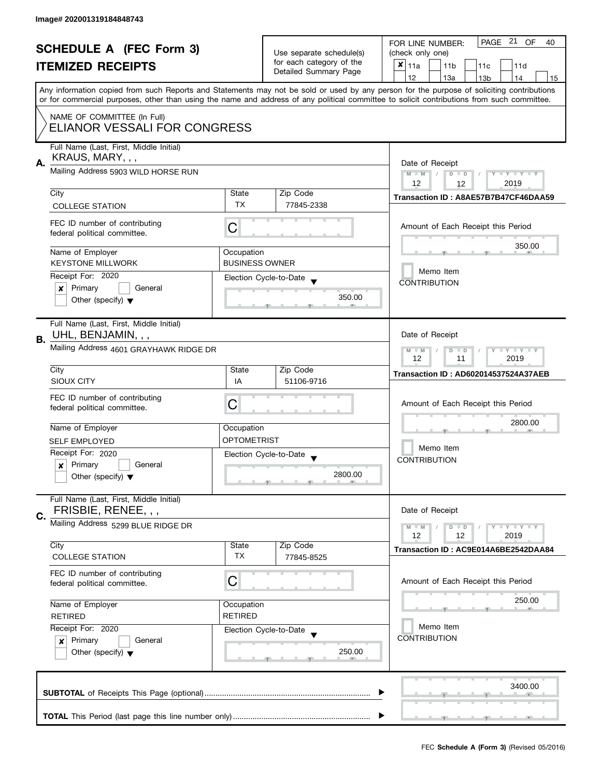|    | <b>SCHEDULE A (FEC Form 3)</b><br><b>ITEMIZED RECEIPTS</b>                                              |                       | Use separate schedule(s)<br>for each category of the<br>Detailed Summary Page | PAGE 21 OF<br>FOR LINE NUMBER:<br>40<br>(check only one)<br>$x _{11a}$<br>11 <sub>b</sub><br>11d<br>11 <sub>c</sub><br>12<br>13a<br>14<br>13 <sub>b</sub><br>15<br>Any information copied from such Reports and Statements may not be sold or used by any person for the purpose of soliciting contributions |
|----|---------------------------------------------------------------------------------------------------------|-----------------------|-------------------------------------------------------------------------------|--------------------------------------------------------------------------------------------------------------------------------------------------------------------------------------------------------------------------------------------------------------------------------------------------------------|
|    | NAME OF COMMITTEE (In Full)<br>ELIANOR VESSALI FOR CONGRESS                                             |                       |                                                                               | or for commercial purposes, other than using the name and address of any political committee to solicit contributions from such committee.                                                                                                                                                                   |
| Α. | Full Name (Last, First, Middle Initial)<br>KRAUS, MARY, , ,<br>Mailing Address 5903 WILD HORSE RUN      |                       |                                                                               | Date of Receipt<br>$M - M$<br>$D$ $D$<br>$Y - Y - Y - Y - Y$<br>12<br>2019<br>12                                                                                                                                                                                                                             |
|    | City<br><b>COLLEGE STATION</b>                                                                          | State<br><b>TX</b>    | Zip Code<br>77845-2338                                                        | Transaction ID: A8AE57B7B47CF46DAA59                                                                                                                                                                                                                                                                         |
|    | FEC ID number of contributing<br>federal political committee.                                           | C                     |                                                                               | Amount of Each Receipt this Period                                                                                                                                                                                                                                                                           |
|    | Name of Employer                                                                                        | Occupation            |                                                                               | 350.00                                                                                                                                                                                                                                                                                                       |
|    | <b>KEYSTONE MILLWORK</b>                                                                                | <b>BUSINESS OWNER</b> |                                                                               | Memo Item                                                                                                                                                                                                                                                                                                    |
|    | Receipt For: 2020<br>Primary<br>General<br>$\mathsf{x}$<br>Other (specify) $\blacktriangledown$         |                       | Election Cycle-to-Date<br>350.00<br>an.                                       | <b>CONTRIBUTION</b>                                                                                                                                                                                                                                                                                          |
| В. | Full Name (Last, First, Middle Initial)<br>UHL, BENJAMIN, , ,<br>Mailing Address 4601 GRAYHAWK RIDGE DR |                       |                                                                               | Date of Receipt                                                                                                                                                                                                                                                                                              |
|    |                                                                                                         |                       |                                                                               | $Y - Y - Y$<br>$M - M$<br>D<br>$\Box$<br>12<br>11<br>2019                                                                                                                                                                                                                                                    |
|    | City<br>SIOUX CITY                                                                                      | State<br>IA           | Zip Code<br>51106-9716                                                        | <b>Transaction ID: AD602014537524A37AEB</b>                                                                                                                                                                                                                                                                  |
|    | FEC ID number of contributing<br>federal political committee.                                           | C                     |                                                                               | Amount of Each Receipt this Period                                                                                                                                                                                                                                                                           |
|    | Name of Employer                                                                                        | Occupation            |                                                                               | 2800.00                                                                                                                                                                                                                                                                                                      |
|    | <b>SELF EMPLOYED</b>                                                                                    | <b>OPTOMETRIST</b>    |                                                                               | Memo Item                                                                                                                                                                                                                                                                                                    |
|    | Receipt For: 2020<br>Primary<br>General<br>X<br>Other (specify) $\blacktriangledown$                    |                       | Election Cycle-to-Date<br>2800.00<br>$\overline{1}$<br>$-9$                   | <b>CONTRIBUTION</b>                                                                                                                                                                                                                                                                                          |
|    | Full Name (Last, First, Middle Initial)                                                                 |                       |                                                                               |                                                                                                                                                                                                                                                                                                              |
| C. | FRISBIE, RENEE, , ,<br>Mailing Address 5299 BLUE RIDGE DR                                               |                       |                                                                               | Date of Receipt<br>$Y - Y - Y$<br>$M - M$<br>D<br>$\blacksquare$<br>12<br>2019<br>12                                                                                                                                                                                                                         |
|    | City<br><b>COLLEGE STATION</b>                                                                          | State<br><b>TX</b>    | Zip Code<br>77845-8525                                                        | Transaction ID: AC9E014A6BE2542DAA84                                                                                                                                                                                                                                                                         |
|    | FEC ID number of contributing<br>federal political committee.                                           | C                     |                                                                               | Amount of Each Receipt this Period                                                                                                                                                                                                                                                                           |
|    | Name of Employer                                                                                        | Occupation            |                                                                               | 250.00                                                                                                                                                                                                                                                                                                       |
|    | <b>RETIRED</b><br><b>RETIRED</b>                                                                        |                       |                                                                               | Memo Item                                                                                                                                                                                                                                                                                                    |
|    | Receipt For: 2020<br>Primary<br>General<br>×<br>Other (specify) $\blacktriangledown$                    |                       | Election Cycle-to-Date<br>250.00                                              | <b>CONTRIBUTION</b>                                                                                                                                                                                                                                                                                          |
|    |                                                                                                         |                       |                                                                               | 3400.00                                                                                                                                                                                                                                                                                                      |
|    |                                                                                                         |                       |                                                                               | g.,                                                                                                                                                                                                                                                                                                          |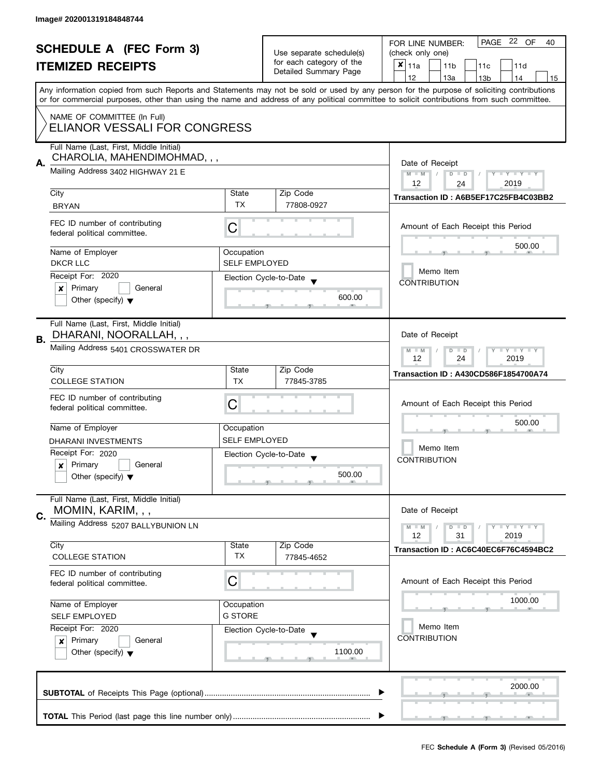|                                                                                | <b>SCHEDULE A (FEC Form 3)</b>                                                                               |                                    | Use separate schedule(s)<br>for each category of the | PAGE 22 OF<br>FOR LINE NUMBER:<br>40<br>(check only one)                                                                                                                                                                                                                                |  |  |  |
|--------------------------------------------------------------------------------|--------------------------------------------------------------------------------------------------------------|------------------------------------|------------------------------------------------------|-----------------------------------------------------------------------------------------------------------------------------------------------------------------------------------------------------------------------------------------------------------------------------------------|--|--|--|
|                                                                                | <b>ITEMIZED RECEIPTS</b>                                                                                     |                                    | Detailed Summary Page                                | $x _{11a}$<br>11 <sub>b</sub><br>11c<br>11d                                                                                                                                                                                                                                             |  |  |  |
|                                                                                |                                                                                                              |                                    |                                                      | 12<br>13a<br>13 <sub>b</sub><br>14<br>15                                                                                                                                                                                                                                                |  |  |  |
|                                                                                |                                                                                                              |                                    |                                                      | Any information copied from such Reports and Statements may not be sold or used by any person for the purpose of soliciting contributions<br>or for commercial purposes, other than using the name and address of any political committee to solicit contributions from such committee. |  |  |  |
|                                                                                | NAME OF COMMITTEE (In Full)<br><b>ELIANOR VESSALI FOR CONGRESS</b>                                           |                                    |                                                      |                                                                                                                                                                                                                                                                                         |  |  |  |
| А.                                                                             | Full Name (Last, First, Middle Initial)<br>CHAROLIA, MAHENDIMOHMAD, , ,<br>Mailing Address 3402 HIGHWAY 21 E |                                    |                                                      | Date of Receipt                                                                                                                                                                                                                                                                         |  |  |  |
|                                                                                |                                                                                                              |                                    |                                                      | $M - M$<br>$\frac{1}{2}$<br>$D$ $D$<br>Y I Y I Y I Y<br>12<br>2019<br>24                                                                                                                                                                                                                |  |  |  |
|                                                                                | City                                                                                                         | State                              | Zip Code                                             | Transaction ID: A6B5EF17C25FB4C03BB2                                                                                                                                                                                                                                                    |  |  |  |
|                                                                                | <b>BRYAN</b>                                                                                                 | <b>TX</b>                          | 77808-0927                                           |                                                                                                                                                                                                                                                                                         |  |  |  |
|                                                                                | FEC ID number of contributing<br>federal political committee.                                                | C                                  |                                                      | Amount of Each Receipt this Period                                                                                                                                                                                                                                                      |  |  |  |
|                                                                                | Name of Employer<br><b>DKCR LLC</b>                                                                          | Occupation<br><b>SELF EMPLOYED</b> |                                                      | 500.00                                                                                                                                                                                                                                                                                  |  |  |  |
|                                                                                | Receipt For: 2020                                                                                            |                                    | Election Cycle-to-Date                               | Memo Item                                                                                                                                                                                                                                                                               |  |  |  |
|                                                                                | Primary<br>General<br>$\boldsymbol{x}$                                                                       |                                    |                                                      | <b>CONTRIBUTION</b>                                                                                                                                                                                                                                                                     |  |  |  |
|                                                                                | Other (specify) $\blacktriangledown$                                                                         |                                    | 600.00                                               |                                                                                                                                                                                                                                                                                         |  |  |  |
| В.                                                                             | Full Name (Last, First, Middle Initial)<br>DHARANI, NOORALLAH, , ,                                           |                                    |                                                      | Date of Receipt                                                                                                                                                                                                                                                                         |  |  |  |
|                                                                                | Mailing Address 5401 CROSSWATER DR                                                                           |                                    |                                                      | $\bot$ Y $\bot$ Y $\bot$ Y<br>$M - M$<br>D<br>$\blacksquare$<br>24<br>12<br>2019                                                                                                                                                                                                        |  |  |  |
|                                                                                | City                                                                                                         | State                              | Zip Code                                             | <b>Transaction ID: A430CD586F1854700A74</b>                                                                                                                                                                                                                                             |  |  |  |
|                                                                                | <b>COLLEGE STATION</b>                                                                                       | <b>TX</b>                          | 77845-3785                                           |                                                                                                                                                                                                                                                                                         |  |  |  |
|                                                                                | FEC ID number of contributing<br>federal political committee.                                                | C                                  |                                                      | Amount of Each Receipt this Period<br>500.00                                                                                                                                                                                                                                            |  |  |  |
|                                                                                | Name of Employer                                                                                             | Occupation                         |                                                      |                                                                                                                                                                                                                                                                                         |  |  |  |
|                                                                                | <b>DHARANI INVESTMENTS</b>                                                                                   | <b>SELF EMPLOYED</b>               |                                                      |                                                                                                                                                                                                                                                                                         |  |  |  |
|                                                                                | Receipt For: 2020                                                                                            |                                    | Election Cycle-to-Date                               | Memo Item                                                                                                                                                                                                                                                                               |  |  |  |
|                                                                                | Primary<br>General<br>×                                                                                      |                                    |                                                      | <b>CONTRIBUTION</b>                                                                                                                                                                                                                                                                     |  |  |  |
|                                                                                | Other (specify) $\blacktriangledown$                                                                         |                                    | 500.00                                               |                                                                                                                                                                                                                                                                                         |  |  |  |
| C.                                                                             | Full Name (Last, First, Middle Initial)<br>MOMIN, KARIM, , ,                                                 |                                    |                                                      | Date of Receipt                                                                                                                                                                                                                                                                         |  |  |  |
|                                                                                | Mailing Address 5207 BALLYBUNION LN                                                                          |                                    |                                                      | $T - Y = T - Y$<br>$M - M$<br>$D$ $D$<br>12<br>31<br>2019                                                                                                                                                                                                                               |  |  |  |
|                                                                                | City                                                                                                         | State                              | Zip Code                                             | Transaction ID: AC6C40EC6F76C4594BC2                                                                                                                                                                                                                                                    |  |  |  |
|                                                                                | <b>COLLEGE STATION</b>                                                                                       | TX                                 | 77845-4652                                           |                                                                                                                                                                                                                                                                                         |  |  |  |
|                                                                                | FEC ID number of contributing<br>federal political committee.                                                | C                                  |                                                      | Amount of Each Receipt this Period                                                                                                                                                                                                                                                      |  |  |  |
|                                                                                | Name of Employer<br>Occupation<br><b>G STORE</b><br><b>SELF EMPLOYED</b><br>Receipt For: 2020                |                                    |                                                      | 1000.00                                                                                                                                                                                                                                                                                 |  |  |  |
|                                                                                |                                                                                                              |                                    |                                                      |                                                                                                                                                                                                                                                                                         |  |  |  |
|                                                                                |                                                                                                              |                                    | Election Cycle-to-Date                               | Memo Item                                                                                                                                                                                                                                                                               |  |  |  |
| Primary<br>General<br>$\boldsymbol{x}$<br>Other (specify) $\blacktriangledown$ |                                                                                                              | 1100.00                            | <b>CONTRIBUTION</b>                                  |                                                                                                                                                                                                                                                                                         |  |  |  |
|                                                                                | 2000.00                                                                                                      |                                    |                                                      |                                                                                                                                                                                                                                                                                         |  |  |  |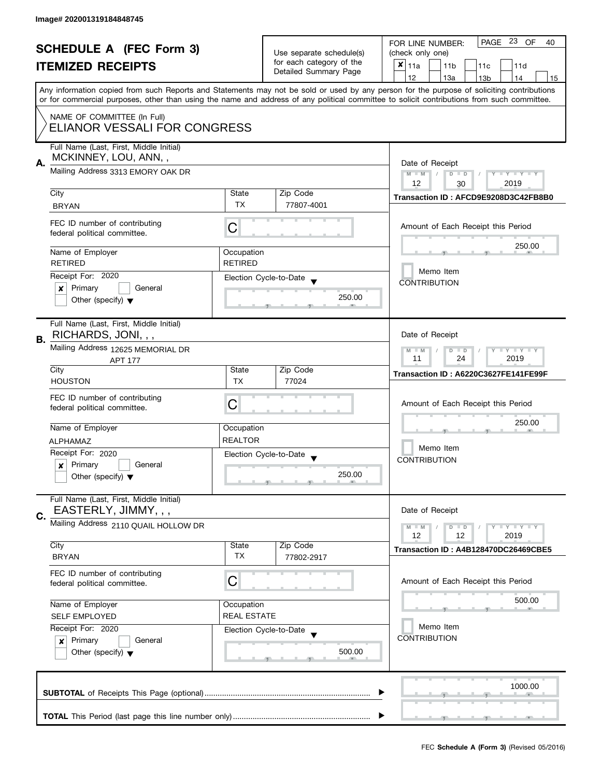|    | <b>SCHEDULE A (FEC Form 3)</b><br><b>ITEMIZED RECEIPTS</b>                                              |                                                                        | Use separate schedule(s)<br>for each category of the<br>Detailed Summary Page            | PAGE 23 OF<br>FOR LINE NUMBER:<br>40<br>(check only one)<br>$x _{11a}$<br>11 <sub>b</sub><br>11 <sub>c</sub><br>11d<br>12<br>13a<br>14<br>13 <sub>b</sub><br>15<br>Any information copied from such Reports and Statements may not be sold or used by any person for the purpose of soliciting contributions |  |  |  |  |
|----|---------------------------------------------------------------------------------------------------------|------------------------------------------------------------------------|------------------------------------------------------------------------------------------|--------------------------------------------------------------------------------------------------------------------------------------------------------------------------------------------------------------------------------------------------------------------------------------------------------------|--|--|--|--|
|    | NAME OF COMMITTEE (In Full)<br>ELIANOR VESSALI FOR CONGRESS                                             |                                                                        |                                                                                          | or for commercial purposes, other than using the name and address of any political committee to solicit contributions from such committee.                                                                                                                                                                   |  |  |  |  |
| Α. | Full Name (Last, First, Middle Initial)<br>MCKINNEY, LOU, ANN,,<br>Mailing Address 3313 EMORY OAK DR    |                                                                        |                                                                                          | Date of Receipt<br>$D$ $D$<br>$M - M$<br>$Y - Y - Y - Y - Y$<br>12<br>2019<br>30                                                                                                                                                                                                                             |  |  |  |  |
|    | City<br><b>BRYAN</b>                                                                                    | State<br><b>TX</b>                                                     | Zip Code<br>77807-4001                                                                   | Transaction ID: AFCD9E9208D3C42FB8B0                                                                                                                                                                                                                                                                         |  |  |  |  |
|    | FEC ID number of contributing<br>federal political committee.                                           | С                                                                      |                                                                                          | Amount of Each Receipt this Period                                                                                                                                                                                                                                                                           |  |  |  |  |
|    | Name of Employer<br><b>RETIRED</b>                                                                      | Occupation<br><b>RETIRED</b>                                           |                                                                                          | 250.00                                                                                                                                                                                                                                                                                                       |  |  |  |  |
|    | Receipt For: 2020<br>Primary<br>General<br>$\boldsymbol{x}$<br>Other (specify) $\blacktriangledown$     |                                                                        | Election Cycle-to-Date<br>250.00                                                         | Memo Item<br><b>CONTRIBUTION</b>                                                                                                                                                                                                                                                                             |  |  |  |  |
| В. | Full Name (Last, First, Middle Initial)<br>RICHARDS, JONI, , ,                                          |                                                                        |                                                                                          | Date of Receipt                                                                                                                                                                                                                                                                                              |  |  |  |  |
|    | Mailing Address 12625 MEMORIAL DR<br><b>APT 177</b>                                                     | $Y - Y - Y$<br>$M - M$<br>$\overline{D}$<br>$\Box$<br>11<br>24<br>2019 |                                                                                          |                                                                                                                                                                                                                                                                                                              |  |  |  |  |
|    | City<br><b>HOUSTON</b>                                                                                  | State<br>TX                                                            | Zip Code<br>77024                                                                        | Transaction ID: A6220C3627FE141FE99F                                                                                                                                                                                                                                                                         |  |  |  |  |
|    | FEC ID number of contributing<br>federal political committee.                                           | C                                                                      |                                                                                          | Amount of Each Receipt this Period                                                                                                                                                                                                                                                                           |  |  |  |  |
|    | Name of Employer                                                                                        | Occupation                                                             |                                                                                          | 250.00                                                                                                                                                                                                                                                                                                       |  |  |  |  |
|    | <b>ALPHAMAZ</b><br>Receipt For: 2020<br>Primary<br>General<br>X<br>Other (specify) $\blacktriangledown$ | <b>REALTOR</b>                                                         | Election Cycle-to-Date<br>250.00<br>$\overline{1}$ and $\overline{1}$ and $\overline{1}$ | Memo Item<br><b>CONTRIBUTION</b>                                                                                                                                                                                                                                                                             |  |  |  |  |
| C. | Full Name (Last, First, Middle Initial)<br>EASTERLY, JIMMY, , ,<br>Mailing Address 2110 QUAIL HOLLOW DR |                                                                        |                                                                                          | Date of Receipt<br>$Y - Y - Y$<br>$M - M$<br>D<br>$\Box$                                                                                                                                                                                                                                                     |  |  |  |  |
|    |                                                                                                         |                                                                        |                                                                                          | 12<br>2019<br>12                                                                                                                                                                                                                                                                                             |  |  |  |  |
|    | City<br><b>BRYAN</b>                                                                                    | State<br>TX                                                            | Zip Code<br>77802-2917                                                                   | Transaction ID: A4B128470DC26469CBE5                                                                                                                                                                                                                                                                         |  |  |  |  |
|    | FEC ID number of contributing<br>federal political committee.                                           | С                                                                      |                                                                                          | Amount of Each Receipt this Period                                                                                                                                                                                                                                                                           |  |  |  |  |
|    | Name of Employer<br>Occupation<br><b>REAL ESTATE</b><br><b>SELF EMPLOYED</b><br>Receipt For: 2020       |                                                                        |                                                                                          | 500.00                                                                                                                                                                                                                                                                                                       |  |  |  |  |
|    |                                                                                                         |                                                                        | Election Cycle-to-Date                                                                   | Memo Item                                                                                                                                                                                                                                                                                                    |  |  |  |  |
|    | Primary<br>General<br>×<br>Other (specify) $\blacktriangledown$                                         |                                                                        | 500.00                                                                                   | <b>CONTRIBUTION</b>                                                                                                                                                                                                                                                                                          |  |  |  |  |
|    |                                                                                                         |                                                                        |                                                                                          | 1000.00                                                                                                                                                                                                                                                                                                      |  |  |  |  |
|    | g.                                                                                                      |                                                                        |                                                                                          |                                                                                                                                                                                                                                                                                                              |  |  |  |  |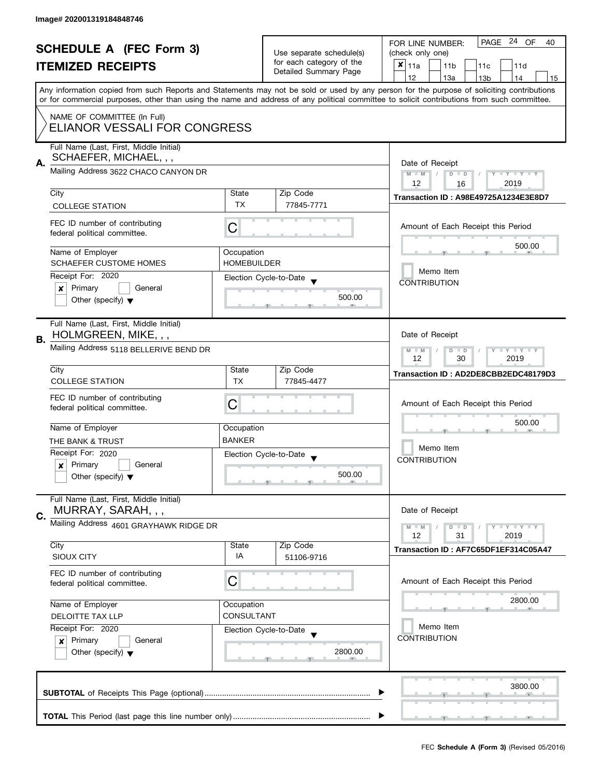| <b>SCHEDULE A (FEC Form 3)</b><br><b>ITEMIZED RECEIPTS</b> |                                                                            |                                                   | PAGE 24 OF<br>FOR LINE NUMBER:<br>40                                                                                                                                                                                                                                                    |                                                           |  |  |
|------------------------------------------------------------|----------------------------------------------------------------------------|---------------------------------------------------|-----------------------------------------------------------------------------------------------------------------------------------------------------------------------------------------------------------------------------------------------------------------------------------------|-----------------------------------------------------------|--|--|
|                                                            |                                                                            | Use separate schedule(s)                          | (check only one)                                                                                                                                                                                                                                                                        |                                                           |  |  |
|                                                            |                                                                            | for each category of the<br>Detailed Summary Page | $x _{11a}$<br>11 <sub>b</sub><br>11c<br>11d                                                                                                                                                                                                                                             |                                                           |  |  |
|                                                            |                                                                            |                                                   |                                                                                                                                                                                                                                                                                         | 12<br>13a<br>13 <sub>b</sub><br>14<br>15                  |  |  |
|                                                            |                                                                            |                                                   | Any information copied from such Reports and Statements may not be sold or used by any person for the purpose of soliciting contributions<br>or for commercial purposes, other than using the name and address of any political committee to solicit contributions from such committee. |                                                           |  |  |
|                                                            | NAME OF COMMITTEE (In Full)                                                |                                                   |                                                                                                                                                                                                                                                                                         |                                                           |  |  |
|                                                            | ELIANOR VESSALI FOR CONGRESS                                               |                                                   |                                                                                                                                                                                                                                                                                         |                                                           |  |  |
|                                                            | Full Name (Last, First, Middle Initial)<br>SCHAEFER, MICHAEL, , ,          |                                                   |                                                                                                                                                                                                                                                                                         |                                                           |  |  |
| А.                                                         | Mailing Address 3622 CHACO CANYON DR                                       |                                                   |                                                                                                                                                                                                                                                                                         | Date of Receipt<br>Y TY TY TY<br>$M - M$<br>$D$ $D$       |  |  |
|                                                            | City                                                                       | State                                             | Zip Code                                                                                                                                                                                                                                                                                | 12<br>2019<br>16                                          |  |  |
|                                                            | <b>COLLEGE STATION</b>                                                     | TX                                                | 77845-7771                                                                                                                                                                                                                                                                              | <b>Transaction ID: A98E49725A1234E3E8D7</b>               |  |  |
|                                                            |                                                                            |                                                   |                                                                                                                                                                                                                                                                                         |                                                           |  |  |
|                                                            | FEC ID number of contributing<br>federal political committee.              | С                                                 |                                                                                                                                                                                                                                                                                         | Amount of Each Receipt this Period                        |  |  |
|                                                            | Name of Employer                                                           | Occupation                                        |                                                                                                                                                                                                                                                                                         | 500.00                                                    |  |  |
|                                                            | <b>SCHAEFER CUSTOME HOMES</b>                                              | <b>HOMEBUILDER</b>                                |                                                                                                                                                                                                                                                                                         |                                                           |  |  |
|                                                            | Receipt For: 2020                                                          |                                                   | Election Cycle-to-Date                                                                                                                                                                                                                                                                  | Memo Item                                                 |  |  |
|                                                            | Primary<br>General<br>×                                                    |                                                   |                                                                                                                                                                                                                                                                                         | <b>CONTRIBUTION</b>                                       |  |  |
|                                                            | Other (specify) $\blacktriangledown$                                       |                                                   | 500.00                                                                                                                                                                                                                                                                                  |                                                           |  |  |
|                                                            | Full Name (Last, First, Middle Initial)                                    |                                                   |                                                                                                                                                                                                                                                                                         |                                                           |  |  |
| В.                                                         | HOLMGREEN, MIKE, , ,                                                       |                                                   |                                                                                                                                                                                                                                                                                         | Date of Receipt                                           |  |  |
|                                                            | Mailing Address 5118 BELLERIVE BEND DR                                     |                                                   | $T - Y = T - Y$<br>$M - M$<br>$D$ $D$<br>12<br>30<br>2019                                                                                                                                                                                                                               |                                                           |  |  |
|                                                            | City                                                                       | State                                             | Zip Code                                                                                                                                                                                                                                                                                | Transaction ID: AD2DE8CBB2EDC48179D3                      |  |  |
|                                                            | <b>COLLEGE STATION</b>                                                     | <b>TX</b>                                         | 77845-4477                                                                                                                                                                                                                                                                              |                                                           |  |  |
|                                                            | FEC ID number of contributing                                              |                                                   |                                                                                                                                                                                                                                                                                         |                                                           |  |  |
|                                                            | federal political committee.                                               | С                                                 |                                                                                                                                                                                                                                                                                         | Amount of Each Receipt this Period                        |  |  |
|                                                            | Name of Employer                                                           |                                                   |                                                                                                                                                                                                                                                                                         | 500.00                                                    |  |  |
|                                                            |                                                                            | Occupation<br><b>BANKER</b>                       |                                                                                                                                                                                                                                                                                         |                                                           |  |  |
|                                                            | THE BANK & TRUST<br>Receipt For: 2020                                      |                                                   |                                                                                                                                                                                                                                                                                         | Memo Item                                                 |  |  |
|                                                            | Primary<br>General<br>x                                                    |                                                   | Election Cycle-to-Date<br>$\overline{\phantom{a}}$                                                                                                                                                                                                                                      | <b>CONTRIBUTION</b>                                       |  |  |
|                                                            | Other (specify) $\blacktriangledown$                                       |                                                   | 500.00                                                                                                                                                                                                                                                                                  |                                                           |  |  |
|                                                            |                                                                            |                                                   |                                                                                                                                                                                                                                                                                         |                                                           |  |  |
|                                                            | Full Name (Last, First, Middle Initial)<br>MURRAY, SARAH, , ,              |                                                   |                                                                                                                                                                                                                                                                                         | Date of Receipt                                           |  |  |
| C.                                                         | Mailing Address 4601 GRAYHAWK RIDGE DR                                     |                                                   |                                                                                                                                                                                                                                                                                         |                                                           |  |  |
|                                                            |                                                                            |                                                   |                                                                                                                                                                                                                                                                                         | $T - Y = T - Y$<br>$M - M$<br>$D$ $D$<br>12<br>31<br>2019 |  |  |
|                                                            | City                                                                       | State                                             | Zip Code                                                                                                                                                                                                                                                                                | Transaction ID: AF7C65DF1EF314C05A47                      |  |  |
|                                                            | SIOUX CITY                                                                 | IA                                                | 51106-9716                                                                                                                                                                                                                                                                              |                                                           |  |  |
|                                                            | FEC ID number of contributing                                              |                                                   |                                                                                                                                                                                                                                                                                         |                                                           |  |  |
|                                                            | federal political committee.                                               | С                                                 |                                                                                                                                                                                                                                                                                         | Amount of Each Receipt this Period                        |  |  |
|                                                            | Name of Employer<br>Occupation                                             |                                                   |                                                                                                                                                                                                                                                                                         | 2800.00                                                   |  |  |
|                                                            |                                                                            |                                                   |                                                                                                                                                                                                                                                                                         |                                                           |  |  |
| CONSULTANT<br><b>DELOITTE TAX LLP</b>                      |                                                                            |                                                   | Memo Item                                                                                                                                                                                                                                                                               |                                                           |  |  |
|                                                            | Receipt For: 2020<br>Election Cycle-to-Date                                |                                                   |                                                                                                                                                                                                                                                                                         | <b>CONTRIBUTION</b>                                       |  |  |
|                                                            | Primary<br>General<br>$\mathbf{x}$<br>Other (specify) $\blacktriangledown$ |                                                   | 2800.00                                                                                                                                                                                                                                                                                 |                                                           |  |  |
|                                                            |                                                                            |                                                   |                                                                                                                                                                                                                                                                                         |                                                           |  |  |
|                                                            |                                                                            |                                                   |                                                                                                                                                                                                                                                                                         |                                                           |  |  |
|                                                            |                                                                            |                                                   |                                                                                                                                                                                                                                                                                         | 3800.00                                                   |  |  |
|                                                            |                                                                            |                                                   |                                                                                                                                                                                                                                                                                         |                                                           |  |  |
|                                                            |                                                                            |                                                   |                                                                                                                                                                                                                                                                                         |                                                           |  |  |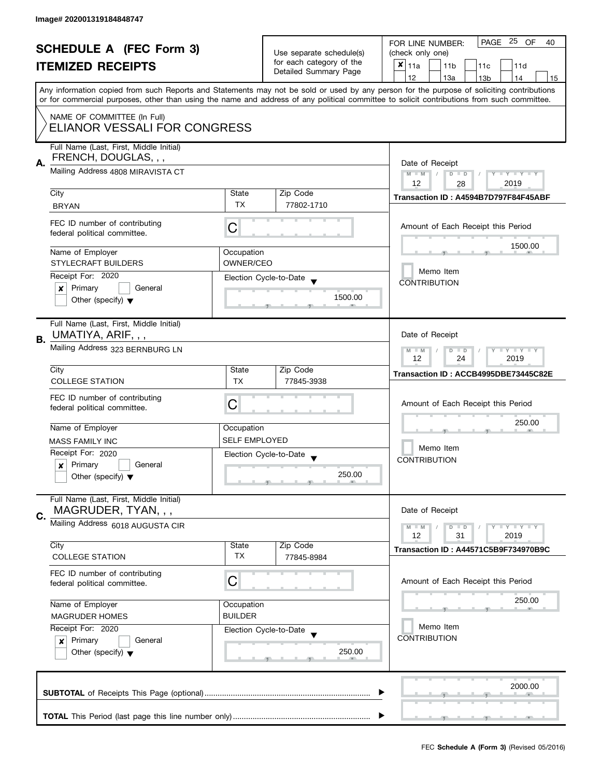|                                                                         | <b>SCHEDULE A (FEC Form 3)</b><br><b>ITEMIZED RECEIPTS</b>                                           |                        | Use separate schedule(s)<br>for each category of the<br>Detailed Summary Page | PAGE 25 OF<br>FOR LINE NUMBER:<br>40<br>(check only one)<br>$x _{11a}$<br>11 <sub>b</sub><br>11d<br>11 <sub>c</sub><br>12<br>14<br>13a<br>13 <sub>b</sub><br>15<br>Any information copied from such Reports and Statements may not be sold or used by any person for the purpose of soliciting contributions<br>or for commercial purposes, other than using the name and address of any political committee to solicit contributions from such committee. |  |  |  |  |
|-------------------------------------------------------------------------|------------------------------------------------------------------------------------------------------|------------------------|-------------------------------------------------------------------------------|------------------------------------------------------------------------------------------------------------------------------------------------------------------------------------------------------------------------------------------------------------------------------------------------------------------------------------------------------------------------------------------------------------------------------------------------------------|--|--|--|--|
|                                                                         | NAME OF COMMITTEE (In Full)<br>ELIANOR VESSALI FOR CONGRESS                                          |                        |                                                                               |                                                                                                                                                                                                                                                                                                                                                                                                                                                            |  |  |  |  |
| А.                                                                      | Full Name (Last, First, Middle Initial)<br>FRENCH, DOUGLAS, , ,<br>Mailing Address 4808 MIRAVISTA CT |                        |                                                                               | Date of Receipt<br>$M - M$<br>$\vert$ /<br>$D$ $D$<br>$Y - Y - Y - Y - Y$<br>12<br>2019<br>28                                                                                                                                                                                                                                                                                                                                                              |  |  |  |  |
|                                                                         | City                                                                                                 | State<br><b>TX</b>     | Zip Code                                                                      | Transaction ID: A4594B7D797F84F45ABF                                                                                                                                                                                                                                                                                                                                                                                                                       |  |  |  |  |
|                                                                         | <b>BRYAN</b>                                                                                         |                        | 77802-1710                                                                    |                                                                                                                                                                                                                                                                                                                                                                                                                                                            |  |  |  |  |
|                                                                         | FEC ID number of contributing<br>federal political committee.                                        | C                      |                                                                               | Amount of Each Receipt this Period<br>1500.00                                                                                                                                                                                                                                                                                                                                                                                                              |  |  |  |  |
|                                                                         | Name of Employer                                                                                     | Occupation             |                                                                               |                                                                                                                                                                                                                                                                                                                                                                                                                                                            |  |  |  |  |
|                                                                         | <b>STYLECRAFT BUILDERS</b><br>Receipt For: 2020                                                      | OWNER/CEO              |                                                                               | Memo Item                                                                                                                                                                                                                                                                                                                                                                                                                                                  |  |  |  |  |
|                                                                         | Primary<br>General<br>X                                                                              |                        | Election Cycle-to-Date                                                        | <b>CONTRIBUTION</b>                                                                                                                                                                                                                                                                                                                                                                                                                                        |  |  |  |  |
|                                                                         | Other (specify) $\blacktriangledown$                                                                 |                        | 1500.00                                                                       |                                                                                                                                                                                                                                                                                                                                                                                                                                                            |  |  |  |  |
| В.                                                                      | Full Name (Last, First, Middle Initial)<br>UMATIYA, ARIF, , ,                                        |                        |                                                                               | Date of Receipt                                                                                                                                                                                                                                                                                                                                                                                                                                            |  |  |  |  |
|                                                                         | Mailing Address 323 BERNBURG LN                                                                      |                        |                                                                               | $T - Y = T - Y$<br>$M - M$<br>D<br>$\blacksquare$<br>24<br>2019<br>12                                                                                                                                                                                                                                                                                                                                                                                      |  |  |  |  |
|                                                                         | City                                                                                                 | State                  | Zip Code                                                                      | Transaction ID: ACCB4995DBE73445C82E                                                                                                                                                                                                                                                                                                                                                                                                                       |  |  |  |  |
|                                                                         | <b>COLLEGE STATION</b>                                                                               | <b>TX</b>              | 77845-3938                                                                    |                                                                                                                                                                                                                                                                                                                                                                                                                                                            |  |  |  |  |
|                                                                         | FEC ID number of contributing<br>federal political committee.                                        | C                      |                                                                               | Amount of Each Receipt this Period                                                                                                                                                                                                                                                                                                                                                                                                                         |  |  |  |  |
|                                                                         | Name of Employer                                                                                     | Occupation             |                                                                               | 250.00                                                                                                                                                                                                                                                                                                                                                                                                                                                     |  |  |  |  |
|                                                                         | <b>MASS FAMILY INC</b>                                                                               | <b>SELF EMPLOYED</b>   |                                                                               | Memo Item                                                                                                                                                                                                                                                                                                                                                                                                                                                  |  |  |  |  |
|                                                                         | Receipt For: 2020                                                                                    |                        | Election Cycle-to-Date                                                        | <b>CONTRIBUTION</b>                                                                                                                                                                                                                                                                                                                                                                                                                                        |  |  |  |  |
|                                                                         | Primary<br>General<br>×<br>Other (specify) $\blacktriangledown$                                      |                        | 250.00                                                                        |                                                                                                                                                                                                                                                                                                                                                                                                                                                            |  |  |  |  |
| C.                                                                      | Full Name (Last, First, Middle Initial)<br>MAGRUDER, TYAN, , ,                                       |                        |                                                                               | Date of Receipt                                                                                                                                                                                                                                                                                                                                                                                                                                            |  |  |  |  |
|                                                                         | Mailing Address 6018 AUGUSTA CIR                                                                     |                        |                                                                               | $\mathbf{I}$ $\mathbf{Y}$ $\mathbf{I}$ $\mathbf{Y}$ $\mathbf{I}$ $\mathbf{Y}$<br>$M - M$<br>$D$ $D$                                                                                                                                                                                                                                                                                                                                                        |  |  |  |  |
|                                                                         | City                                                                                                 | State                  | Zip Code                                                                      | 12<br>31<br>2019                                                                                                                                                                                                                                                                                                                                                                                                                                           |  |  |  |  |
|                                                                         | <b>COLLEGE STATION</b>                                                                               | <b>TX</b>              | 77845-8984                                                                    | Transaction ID: A44571C5B9F734970B9C                                                                                                                                                                                                                                                                                                                                                                                                                       |  |  |  |  |
|                                                                         | FEC ID number of contributing<br>C<br>federal political committee.<br>Name of Employer<br>Occupation |                        |                                                                               | Amount of Each Receipt this Period                                                                                                                                                                                                                                                                                                                                                                                                                         |  |  |  |  |
|                                                                         |                                                                                                      |                        |                                                                               | 250.00                                                                                                                                                                                                                                                                                                                                                                                                                                                     |  |  |  |  |
| <b>BUILDER</b><br><b>MAGRUDER HOMES</b><br>Receipt For: 2020<br>General |                                                                                                      |                        |                                                                               |                                                                                                                                                                                                                                                                                                                                                                                                                                                            |  |  |  |  |
|                                                                         |                                                                                                      | Election Cycle-to-Date | Memo Item<br><b>CONTRIBUTION</b>                                              |                                                                                                                                                                                                                                                                                                                                                                                                                                                            |  |  |  |  |
|                                                                         | Primary<br>$\pmb{\times}$<br>Other (specify) $\blacktriangledown$                                    |                        | 250.00                                                                        |                                                                                                                                                                                                                                                                                                                                                                                                                                                            |  |  |  |  |
|                                                                         |                                                                                                      |                        |                                                                               | 2000.00                                                                                                                                                                                                                                                                                                                                                                                                                                                    |  |  |  |  |
|                                                                         | (写)                                                                                                  |                        |                                                                               |                                                                                                                                                                                                                                                                                                                                                                                                                                                            |  |  |  |  |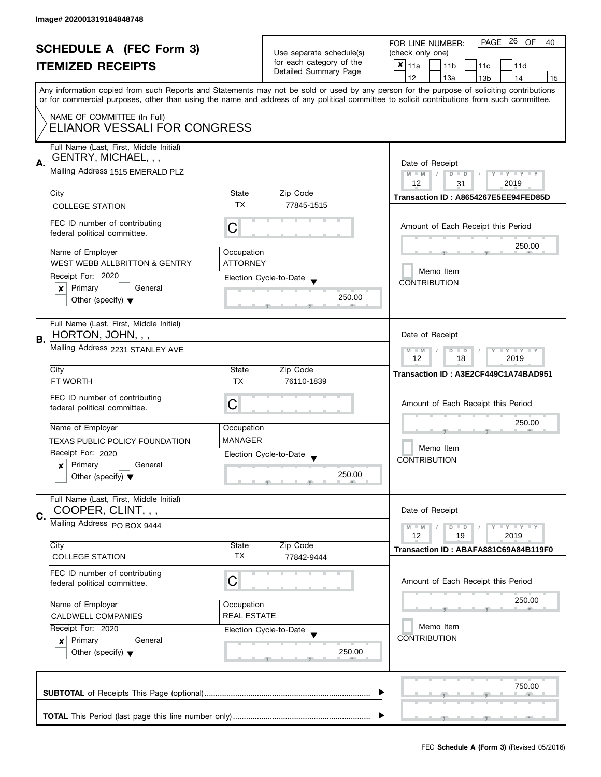| <b>SCHEDULE A (FEC Form 3)</b>                                                 |                                                                                                                                                                       |                          | PAGE 26 OF<br>FOR LINE NUMBER:<br>40              |                                                                                                                                            |  |
|--------------------------------------------------------------------------------|-----------------------------------------------------------------------------------------------------------------------------------------------------------------------|--------------------------|---------------------------------------------------|--------------------------------------------------------------------------------------------------------------------------------------------|--|
|                                                                                |                                                                                                                                                                       | Use separate schedule(s) | (check only one)                                  |                                                                                                                                            |  |
|                                                                                | <b>ITEMIZED RECEIPTS</b>                                                                                                                                              |                          | for each category of the<br>Detailed Summary Page | $x _{11a}$<br>11 <sub>b</sub><br>11c<br>11d                                                                                                |  |
|                                                                                |                                                                                                                                                                       |                          |                                                   | 12<br>13a<br>14<br>15<br>13 <sub>b</sub>                                                                                                   |  |
|                                                                                |                                                                                                                                                                       |                          |                                                   | Any information copied from such Reports and Statements may not be sold or used by any person for the purpose of soliciting contributions  |  |
|                                                                                |                                                                                                                                                                       |                          |                                                   | or for commercial purposes, other than using the name and address of any political committee to solicit contributions from such committee. |  |
|                                                                                | NAME OF COMMITTEE (In Full)                                                                                                                                           |                          |                                                   |                                                                                                                                            |  |
|                                                                                | ELIANOR VESSALI FOR CONGRESS                                                                                                                                          |                          |                                                   |                                                                                                                                            |  |
|                                                                                | Full Name (Last, First, Middle Initial)                                                                                                                               |                          |                                                   |                                                                                                                                            |  |
| А.                                                                             | GENTRY, MICHAEL, , ,                                                                                                                                                  |                          |                                                   | Date of Receipt                                                                                                                            |  |
|                                                                                | Mailing Address 1515 EMERALD PLZ                                                                                                                                      |                          |                                                   | $M - M$<br>$D$ $D$<br>$Y - Y - Y - Y - Y$                                                                                                  |  |
|                                                                                |                                                                                                                                                                       |                          |                                                   | 12<br>2019<br>31                                                                                                                           |  |
|                                                                                | City                                                                                                                                                                  | State                    | Zip Code                                          | Transaction ID: A8654267E5EE94FED85D                                                                                                       |  |
|                                                                                | <b>COLLEGE STATION</b>                                                                                                                                                | <b>TX</b>                | 77845-1515                                        |                                                                                                                                            |  |
|                                                                                | FEC ID number of contributing                                                                                                                                         |                          |                                                   |                                                                                                                                            |  |
|                                                                                | federal political committee.                                                                                                                                          | C                        |                                                   | Amount of Each Receipt this Period                                                                                                         |  |
|                                                                                |                                                                                                                                                                       |                          |                                                   | 250.00                                                                                                                                     |  |
|                                                                                | Name of Employer                                                                                                                                                      | Occupation               |                                                   |                                                                                                                                            |  |
|                                                                                | <b>WEST WEBB ALLBRITTON &amp; GENTRY</b>                                                                                                                              | <b>ATTORNEY</b>          |                                                   | Memo Item                                                                                                                                  |  |
|                                                                                | Receipt For: 2020                                                                                                                                                     |                          | Election Cycle-to-Date                            | <b>CONTRIBUTION</b>                                                                                                                        |  |
|                                                                                | Primary<br>General<br>×                                                                                                                                               |                          | 250.00                                            |                                                                                                                                            |  |
|                                                                                | Other (specify) $\blacktriangledown$                                                                                                                                  |                          |                                                   |                                                                                                                                            |  |
|                                                                                | Full Name (Last, First, Middle Initial)                                                                                                                               |                          |                                                   |                                                                                                                                            |  |
|                                                                                | HORTON, JOHN, , ,                                                                                                                                                     |                          |                                                   | Date of Receipt                                                                                                                            |  |
| В.                                                                             | Mailing Address 2231 STANLEY AVE                                                                                                                                      |                          |                                                   |                                                                                                                                            |  |
|                                                                                |                                                                                                                                                                       |                          |                                                   | $Y = Y = Y$<br>$M - M$<br>$D$ $D$<br>12<br>18<br>2019                                                                                      |  |
|                                                                                | City                                                                                                                                                                  | State                    | Zip Code                                          | Transaction ID: A3E2CF449C1A74BAD951                                                                                                       |  |
|                                                                                | FT WORTH                                                                                                                                                              | <b>TX</b>                | 76110-1839                                        |                                                                                                                                            |  |
|                                                                                | FEC ID number of contributing                                                                                                                                         |                          |                                                   |                                                                                                                                            |  |
|                                                                                | federal political committee.                                                                                                                                          | С                        |                                                   | Amount of Each Receipt this Period                                                                                                         |  |
|                                                                                |                                                                                                                                                                       |                          |                                                   | 250.00                                                                                                                                     |  |
|                                                                                | Name of Employer                                                                                                                                                      | Occupation               |                                                   |                                                                                                                                            |  |
|                                                                                | TEXAS PUBLIC POLICY FOUNDATION                                                                                                                                        | <b>MANAGER</b>           |                                                   | Memo Item                                                                                                                                  |  |
|                                                                                | Receipt For: 2020                                                                                                                                                     |                          | Election Cycle-to-Date                            | <b>CONTRIBUTION</b>                                                                                                                        |  |
|                                                                                | Primary<br>General<br>x                                                                                                                                               |                          |                                                   |                                                                                                                                            |  |
|                                                                                | Other (specify) $\blacktriangledown$                                                                                                                                  |                          | 250.00                                            |                                                                                                                                            |  |
|                                                                                | Full Name (Last, First, Middle Initial)                                                                                                                               |                          |                                                   |                                                                                                                                            |  |
|                                                                                | COOPER, CLINT, , ,                                                                                                                                                    |                          |                                                   | Date of Receipt                                                                                                                            |  |
| C.                                                                             | Mailing Address PO BOX 9444                                                                                                                                           |                          |                                                   |                                                                                                                                            |  |
|                                                                                |                                                                                                                                                                       |                          |                                                   | Y LY LY<br>$M - M$<br>$D$ $D$<br>12<br>2019<br>19                                                                                          |  |
|                                                                                | City                                                                                                                                                                  | State                    | Zip Code                                          | Transaction ID: ABAFA881C69A84B119F0                                                                                                       |  |
|                                                                                | <b>COLLEGE STATION</b>                                                                                                                                                | <b>TX</b>                | 77842-9444                                        |                                                                                                                                            |  |
|                                                                                | FEC ID number of contributing                                                                                                                                         |                          |                                                   |                                                                                                                                            |  |
|                                                                                | С<br>federal political committee.<br>Name of Employer<br>Occupation<br><b>REAL ESTATE</b><br><b>CALDWELL COMPANIES</b><br>Receipt For: 2020<br>Election Cycle-to-Date |                          |                                                   | Amount of Each Receipt this Period                                                                                                         |  |
|                                                                                |                                                                                                                                                                       |                          |                                                   | 250.00                                                                                                                                     |  |
|                                                                                |                                                                                                                                                                       |                          |                                                   |                                                                                                                                            |  |
|                                                                                |                                                                                                                                                                       |                          |                                                   | Memo Item                                                                                                                                  |  |
|                                                                                |                                                                                                                                                                       |                          |                                                   | <b>CONTRIBUTION</b>                                                                                                                        |  |
| Primary<br>General<br>$\boldsymbol{x}$<br>Other (specify) $\blacktriangledown$ |                                                                                                                                                                       | 250.00                   |                                                   |                                                                                                                                            |  |
|                                                                                |                                                                                                                                                                       |                          |                                                   |                                                                                                                                            |  |
|                                                                                |                                                                                                                                                                       |                          |                                                   |                                                                                                                                            |  |
|                                                                                |                                                                                                                                                                       |                          |                                                   | 750.00                                                                                                                                     |  |
|                                                                                |                                                                                                                                                                       |                          |                                                   |                                                                                                                                            |  |
|                                                                                |                                                                                                                                                                       |                          |                                                   |                                                                                                                                            |  |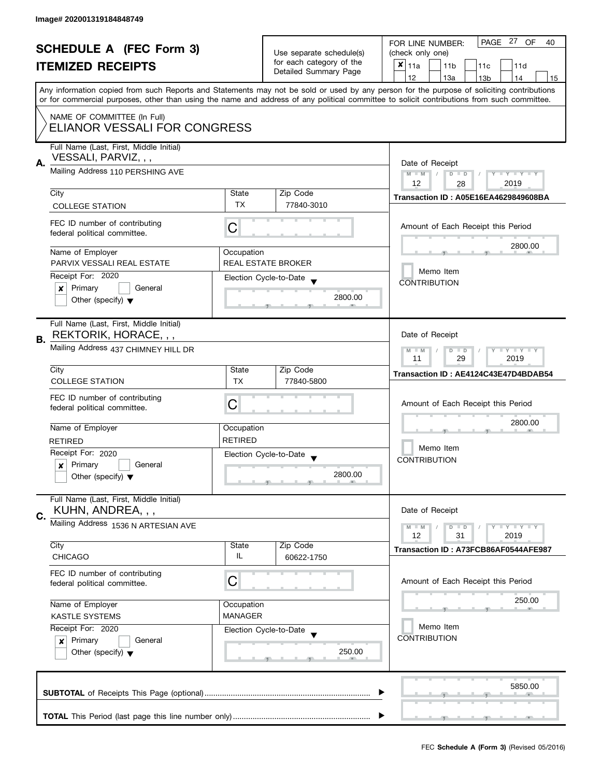| <b>SCHEDULE A (FEC Form 3)</b><br><b>ITEMIZED RECEIPTS</b>    |                                                                                                | Use separate schedule(s)<br>for each category of the              | PAGE 27 OF<br>FOR LINE NUMBER:<br>40<br>(check only one)<br>×<br>11a<br>11 <sub>b</sub><br>11c<br>11d |                                                                                                                                            |
|---------------------------------------------------------------|------------------------------------------------------------------------------------------------|-------------------------------------------------------------------|-------------------------------------------------------------------------------------------------------|--------------------------------------------------------------------------------------------------------------------------------------------|
|                                                               |                                                                                                |                                                                   | Detailed Summary Page                                                                                 | 12<br>13a<br>14<br>13 <sub>b</sub><br>15                                                                                                   |
|                                                               |                                                                                                |                                                                   |                                                                                                       | Any information copied from such Reports and Statements may not be sold or used by any person for the purpose of soliciting contributions  |
|                                                               |                                                                                                |                                                                   |                                                                                                       | or for commercial purposes, other than using the name and address of any political committee to solicit contributions from such committee. |
|                                                               | NAME OF COMMITTEE (In Full)<br>ELIANOR VESSALI FOR CONGRESS                                    |                                                                   |                                                                                                       |                                                                                                                                            |
| А.                                                            | Full Name (Last, First, Middle Initial)<br>VESSALI, PARVIZ, , ,                                |                                                                   |                                                                                                       |                                                                                                                                            |
|                                                               | Mailing Address 110 PERSHING AVE                                                               |                                                                   |                                                                                                       | Date of Receipt<br>$M - M$<br>$D$ $D$<br>$\frac{1}{2}$<br>$Y - Y - Y - Y - Y$<br>12<br>2019<br>28                                          |
|                                                               | City                                                                                           | State                                                             | Zip Code                                                                                              | Transaction ID: A05E16EA4629849608BA                                                                                                       |
|                                                               | <b>COLLEGE STATION</b>                                                                         | <b>TX</b>                                                         | 77840-3010                                                                                            |                                                                                                                                            |
|                                                               | FEC ID number of contributing<br>federal political committee.                                  | C                                                                 |                                                                                                       | Amount of Each Receipt this Period                                                                                                         |
|                                                               | Name of Employer                                                                               | Occupation                                                        |                                                                                                       | 2800.00                                                                                                                                    |
|                                                               | PARVIX VESSALI REAL ESTATE                                                                     |                                                                   | <b>REAL ESTATE BROKER</b>                                                                             | Memo Item                                                                                                                                  |
|                                                               | Receipt For: 2020<br>Primary<br>General<br>x                                                   |                                                                   | Election Cycle-to-Date                                                                                | <b>CONTRIBUTION</b>                                                                                                                        |
|                                                               | Other (specify) $\blacktriangledown$                                                           |                                                                   | 2800.00                                                                                               |                                                                                                                                            |
| В.                                                            | Full Name (Last, First, Middle Initial)<br>REKTORIK, HORACE, , ,                               |                                                                   |                                                                                                       | Date of Receipt                                                                                                                            |
|                                                               | Mailing Address 437 CHIMNEY HILL DR                                                            | $M - M$<br>$Y - Y - Y$<br>D<br>$\blacksquare$<br>29<br>2019<br>11 |                                                                                                       |                                                                                                                                            |
|                                                               | City                                                                                           | State                                                             | Zip Code                                                                                              | Transaction ID: AE4124C43E47D4BDAB54                                                                                                       |
|                                                               | <b>COLLEGE STATION</b>                                                                         | TX                                                                | 77840-5800                                                                                            |                                                                                                                                            |
|                                                               | FEC ID number of contributing<br>federal political committee.                                  | С                                                                 |                                                                                                       | Amount of Each Receipt this Period                                                                                                         |
|                                                               | Name of Employer                                                                               | Occupation                                                        |                                                                                                       | 2800.00                                                                                                                                    |
|                                                               | <b>RETIRED</b>                                                                                 | <b>RETIRED</b>                                                    |                                                                                                       |                                                                                                                                            |
|                                                               | Receipt For: 2020                                                                              |                                                                   | Election Cycle-to-Date                                                                                | Memo Item                                                                                                                                  |
|                                                               | Primary<br>General<br>×                                                                        |                                                                   |                                                                                                       | <b>CONTRIBUTION</b>                                                                                                                        |
|                                                               | Other (specify) $\blacktriangledown$                                                           |                                                                   | 2800.00<br>__                                                                                         |                                                                                                                                            |
| C.                                                            | Full Name (Last, First, Middle Initial)<br>KUHN, ANDREA, , ,                                   |                                                                   |                                                                                                       | Date of Receipt                                                                                                                            |
|                                                               | Mailing Address 1536 N ARTESIAN AVE                                                            |                                                                   |                                                                                                       | $\bot$ $\gamma$ $\bot$ $\gamma$ $\bot$ $\gamma$<br>$M - M$<br>$D$ $D$                                                                      |
|                                                               |                                                                                                |                                                                   |                                                                                                       | 12<br>2019<br>31                                                                                                                           |
|                                                               | City<br><b>CHICAGO</b>                                                                         | State<br>IL                                                       | Zip Code<br>60622-1750                                                                                | Transaction ID: A73FCB86AF0544AFE987                                                                                                       |
| FEC ID number of contributing<br>federal political committee. |                                                                                                | C                                                                 |                                                                                                       | Amount of Each Receipt this Period                                                                                                         |
|                                                               | Name of Employer<br>Occupation<br><b>MANAGER</b><br><b>KASTLE SYSTEMS</b><br>Receipt For: 2020 |                                                                   |                                                                                                       | 250.00                                                                                                                                     |
|                                                               |                                                                                                |                                                                   |                                                                                                       |                                                                                                                                            |
|                                                               |                                                                                                |                                                                   | Election Cycle-to-Date                                                                                | Memo Item                                                                                                                                  |
| Primary<br>General<br>$\boldsymbol{x}$                        |                                                                                                | 250.00                                                            | <b>CONTRIBUTION</b>                                                                                   |                                                                                                                                            |
|                                                               | Other (specify) $\blacktriangledown$                                                           |                                                                   |                                                                                                       |                                                                                                                                            |
|                                                               |                                                                                                |                                                                   |                                                                                                       | 5850.00                                                                                                                                    |
|                                                               |                                                                                                |                                                                   |                                                                                                       | $-9$                                                                                                                                       |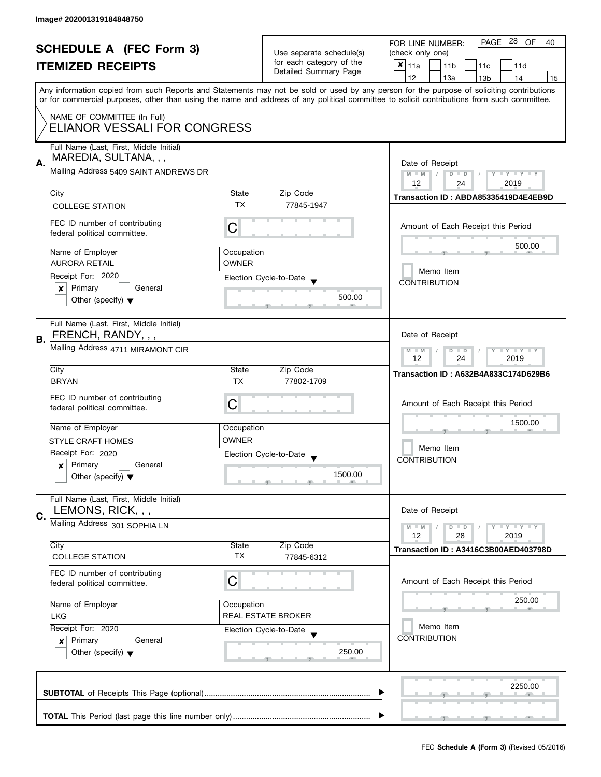| <b>SCHEDULE A (FEC Form 3)</b>                                     |                                                                                                                                     | Use separate schedule(s)<br>for each category of the                             | PAGE 28 OF<br>FOR LINE NUMBER:<br>40<br>(check only one) |                                                                                                                                                                                                                                                                                         |  |  |  |  |  |
|--------------------------------------------------------------------|-------------------------------------------------------------------------------------------------------------------------------------|----------------------------------------------------------------------------------|----------------------------------------------------------|-----------------------------------------------------------------------------------------------------------------------------------------------------------------------------------------------------------------------------------------------------------------------------------------|--|--|--|--|--|
|                                                                    | <b>ITEMIZED RECEIPTS</b>                                                                                                            |                                                                                  | Detailed Summary Page                                    | $x _{11a}$<br>11 <sub>b</sub><br>11c<br>11d                                                                                                                                                                                                                                             |  |  |  |  |  |
|                                                                    |                                                                                                                                     |                                                                                  |                                                          | 12<br>13a<br>13 <sub>b</sub><br>14<br>15                                                                                                                                                                                                                                                |  |  |  |  |  |
|                                                                    |                                                                                                                                     |                                                                                  |                                                          | Any information copied from such Reports and Statements may not be sold or used by any person for the purpose of soliciting contributions<br>or for commercial purposes, other than using the name and address of any political committee to solicit contributions from such committee. |  |  |  |  |  |
|                                                                    | NAME OF COMMITTEE (In Full)<br>ELIANOR VESSALI FOR CONGRESS                                                                         |                                                                                  |                                                          |                                                                                                                                                                                                                                                                                         |  |  |  |  |  |
|                                                                    | Full Name (Last, First, Middle Initial)<br>MAREDIA, SULTANA, , ,                                                                    |                                                                                  |                                                          | Date of Receipt                                                                                                                                                                                                                                                                         |  |  |  |  |  |
| А.                                                                 | Mailing Address 5409 SAINT ANDREWS DR                                                                                               |                                                                                  |                                                          |                                                                                                                                                                                                                                                                                         |  |  |  |  |  |
|                                                                    | City                                                                                                                                | State                                                                            | Zip Code                                                 | 24<br>Transaction ID: ABDA85335419D4E4EB9D                                                                                                                                                                                                                                              |  |  |  |  |  |
|                                                                    | <b>COLLEGE STATION</b>                                                                                                              | TX                                                                               | 77845-1947                                               |                                                                                                                                                                                                                                                                                         |  |  |  |  |  |
|                                                                    | FEC ID number of contributing<br>federal political committee.                                                                       | C                                                                                |                                                          | Amount of Each Receipt this Period                                                                                                                                                                                                                                                      |  |  |  |  |  |
|                                                                    | Name of Employer                                                                                                                    | Occupation                                                                       |                                                          | 500.00                                                                                                                                                                                                                                                                                  |  |  |  |  |  |
|                                                                    | <b>AURORA RETAIL</b>                                                                                                                | <b>OWNER</b>                                                                     |                                                          |                                                                                                                                                                                                                                                                                         |  |  |  |  |  |
|                                                                    | Receipt For: 2020                                                                                                                   |                                                                                  | Election Cycle-to-Date                                   | Memo Item                                                                                                                                                                                                                                                                               |  |  |  |  |  |
|                                                                    | Primary<br>General<br>X                                                                                                             |                                                                                  |                                                          | <b>CONTRIBUTION</b>                                                                                                                                                                                                                                                                     |  |  |  |  |  |
|                                                                    | Other (specify) $\blacktriangledown$                                                                                                |                                                                                  | 500.00                                                   |                                                                                                                                                                                                                                                                                         |  |  |  |  |  |
| В.                                                                 | Full Name (Last, First, Middle Initial)<br>FRENCH, RANDY, , ,                                                                       |                                                                                  |                                                          | Date of Receipt                                                                                                                                                                                                                                                                         |  |  |  |  |  |
|                                                                    | Mailing Address 4711 MIRAMONT CIR                                                                                                   | $\bot$ Y $\bot$ Y $\bot$ Y<br>$M - M$<br>D<br>$\blacksquare$<br>24<br>12<br>2019 |                                                          |                                                                                                                                                                                                                                                                                         |  |  |  |  |  |
|                                                                    | City                                                                                                                                | State                                                                            | Zip Code                                                 | Transaction ID: A632B4A833C174D629B6                                                                                                                                                                                                                                                    |  |  |  |  |  |
|                                                                    | <b>BRYAN</b>                                                                                                                        | <b>TX</b>                                                                        | 77802-1709                                               |                                                                                                                                                                                                                                                                                         |  |  |  |  |  |
|                                                                    | FEC ID number of contributing<br>federal political committee.                                                                       | C                                                                                |                                                          | Amount of Each Receipt this Period                                                                                                                                                                                                                                                      |  |  |  |  |  |
|                                                                    | Name of Employer                                                                                                                    | Occupation                                                                       |                                                          | 1500.00                                                                                                                                                                                                                                                                                 |  |  |  |  |  |
|                                                                    | <b>STYLE CRAFT HOMES</b>                                                                                                            | <b>OWNER</b>                                                                     |                                                          |                                                                                                                                                                                                                                                                                         |  |  |  |  |  |
|                                                                    | Receipt For: 2020                                                                                                                   |                                                                                  | Election Cycle-to-Date                                   | Memo Item                                                                                                                                                                                                                                                                               |  |  |  |  |  |
|                                                                    | Primary<br>General<br>×                                                                                                             |                                                                                  |                                                          | <b>CONTRIBUTION</b>                                                                                                                                                                                                                                                                     |  |  |  |  |  |
|                                                                    | Other (specify) $\blacktriangledown$                                                                                                |                                                                                  | 1500.00                                                  |                                                                                                                                                                                                                                                                                         |  |  |  |  |  |
| C.                                                                 | Full Name (Last, First, Middle Initial)<br>LEMONS, RICK, , ,                                                                        |                                                                                  |                                                          | Date of Receipt                                                                                                                                                                                                                                                                         |  |  |  |  |  |
|                                                                    | Mailing Address 301 SOPHIA LN                                                                                                       |                                                                                  |                                                          | $M - M$<br>$\bot$ $\gamma$ $\bot$ $\gamma$ $\bot$ $\gamma$<br>$D$ $D$<br>12<br>28<br>2019                                                                                                                                                                                               |  |  |  |  |  |
|                                                                    | City                                                                                                                                | State                                                                            | Zip Code                                                 | Transaction ID: A3416C3B00AED403798D                                                                                                                                                                                                                                                    |  |  |  |  |  |
|                                                                    | <b>COLLEGE STATION</b>                                                                                                              | TX                                                                               | 77845-6312                                               |                                                                                                                                                                                                                                                                                         |  |  |  |  |  |
| FEC ID number of contributing<br>C<br>federal political committee. |                                                                                                                                     |                                                                                  |                                                          | Amount of Each Receipt this Period                                                                                                                                                                                                                                                      |  |  |  |  |  |
|                                                                    | Name of Employer<br>Occupation<br><b>LKG</b><br>Receipt For: 2020<br>Election Cycle-to-Date<br>Primary<br>General<br>$\pmb{\times}$ |                                                                                  | REAL ESTATE BROKER                                       | 250.00                                                                                                                                                                                                                                                                                  |  |  |  |  |  |
|                                                                    |                                                                                                                                     |                                                                                  |                                                          | Memo Item                                                                                                                                                                                                                                                                               |  |  |  |  |  |
|                                                                    |                                                                                                                                     |                                                                                  |                                                          | <b>CONTRIBUTION</b>                                                                                                                                                                                                                                                                     |  |  |  |  |  |
|                                                                    | Other (specify) $\blacktriangledown$                                                                                                |                                                                                  | 250.00                                                   |                                                                                                                                                                                                                                                                                         |  |  |  |  |  |
|                                                                    | 2250.00                                                                                                                             |                                                                                  |                                                          |                                                                                                                                                                                                                                                                                         |  |  |  |  |  |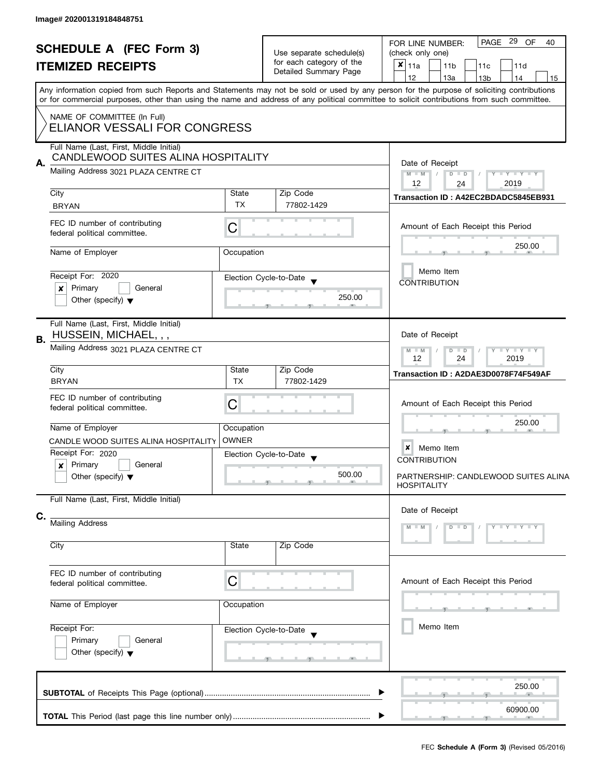| <b>SCHEDULE A (FEC Form 3)</b><br><b>ITEMIZED RECEIPTS</b> |                                                                                |                                                                                               | Use separate schedule(s)<br>for each category of the | PAGE 29 OF<br>40<br>FOR LINE NUMBER:<br>(check only one)<br>$x _{11a}$<br>11 <sub>b</sub><br>11 <sub>c</sub><br>11d                        |
|------------------------------------------------------------|--------------------------------------------------------------------------------|-----------------------------------------------------------------------------------------------|------------------------------------------------------|--------------------------------------------------------------------------------------------------------------------------------------------|
|                                                            |                                                                                |                                                                                               | Detailed Summary Page                                | 12<br>13a<br>13 <sub>b</sub><br>14<br>15                                                                                                   |
|                                                            |                                                                                |                                                                                               |                                                      | Any information copied from such Reports and Statements may not be sold or used by any person for the purpose of soliciting contributions  |
|                                                            |                                                                                |                                                                                               |                                                      | or for commercial purposes, other than using the name and address of any political committee to solicit contributions from such committee. |
|                                                            | NAME OF COMMITTEE (In Full)<br>ELIANOR VESSALI FOR CONGRESS                    |                                                                                               |                                                      |                                                                                                                                            |
|                                                            |                                                                                |                                                                                               |                                                      |                                                                                                                                            |
|                                                            | Full Name (Last, First, Middle Initial)<br>CANDLEWOOD SUITES ALINA HOSPITALITY |                                                                                               |                                                      |                                                                                                                                            |
| А.                                                         | Mailing Address 3021 PLAZA CENTRE CT                                           |                                                                                               |                                                      | Date of Receipt                                                                                                                            |
|                                                            |                                                                                |                                                                                               |                                                      | $M - M$<br>$\blacksquare$<br>$D$ $D$<br>$Y - Y - Y - Y - Y$<br>12<br>2019<br>24                                                            |
|                                                            | City                                                                           | State                                                                                         | Zip Code                                             | Transaction ID: A42EC2BDADC5845EB931                                                                                                       |
|                                                            | <b>BRYAN</b>                                                                   | <b>TX</b>                                                                                     | 77802-1429                                           |                                                                                                                                            |
|                                                            | FEC ID number of contributing<br>federal political committee.                  | С                                                                                             |                                                      | Amount of Each Receipt this Period                                                                                                         |
|                                                            |                                                                                |                                                                                               |                                                      | 250.00                                                                                                                                     |
|                                                            | Name of Employer                                                               | Occupation                                                                                    |                                                      |                                                                                                                                            |
|                                                            | Receipt For: 2020                                                              |                                                                                               | Election Cycle-to-Date                               | Memo Item                                                                                                                                  |
|                                                            | Primary<br>General<br>x                                                        |                                                                                               |                                                      | <b>CONTRIBUTION</b>                                                                                                                        |
|                                                            | Other (specify) $\blacktriangledown$                                           |                                                                                               | 250.00                                               |                                                                                                                                            |
|                                                            |                                                                                |                                                                                               |                                                      |                                                                                                                                            |
| В.                                                         | Full Name (Last, First, Middle Initial)<br>HUSSEIN, MICHAEL, , ,               |                                                                                               |                                                      | Date of Receipt                                                                                                                            |
|                                                            | Mailing Address 3021 PLAZA CENTRE CT                                           | $\bot$ $\gamma$ $\bot$ $\gamma$ $\bot$ $\gamma$<br>$M - M$<br>D<br>$\Box$<br>12<br>24<br>2019 |                                                      |                                                                                                                                            |
|                                                            | City                                                                           | State                                                                                         | Zip Code                                             | Transaction ID: A2DAE3D0078F74F549AF                                                                                                       |
|                                                            | <b>BRYAN</b>                                                                   | <b>TX</b>                                                                                     | 77802-1429                                           |                                                                                                                                            |
|                                                            | FEC ID number of contributing<br>federal political committee.                  | Amount of Each Receipt this Period                                                            |                                                      |                                                                                                                                            |
|                                                            | Name of Employer                                                               | Occupation                                                                                    |                                                      | 250.00                                                                                                                                     |
|                                                            | CANDLE WOOD SUITES ALINA HOSPITALITY                                           | <b>OWNER</b>                                                                                  |                                                      |                                                                                                                                            |
|                                                            | Receipt For: 2020                                                              |                                                                                               | Election Cycle-to-Date                               | Memo Item<br>×                                                                                                                             |
|                                                            | Primary<br>General<br>x                                                        |                                                                                               |                                                      | <b>CONTRIBUTION</b>                                                                                                                        |
|                                                            | Other (specify) $\blacktriangledown$                                           |                                                                                               | 500.00                                               | PARTNERSHIP: CANDLEWOOD SUITES ALINA<br><b>HOSPITALITY</b>                                                                                 |
|                                                            | Full Name (Last, First, Middle Initial)                                        |                                                                                               |                                                      |                                                                                                                                            |
| C.                                                         |                                                                                |                                                                                               |                                                      | Date of Receipt                                                                                                                            |
|                                                            | Mailing Address                                                                |                                                                                               |                                                      | $Y + Y$<br>$\mathbb{F}$ Y<br>D                                                                                                             |
|                                                            | City                                                                           | State                                                                                         | Zip Code                                             |                                                                                                                                            |
|                                                            |                                                                                |                                                                                               |                                                      |                                                                                                                                            |
|                                                            | FEC ID number of contributing<br>federal political committee.                  | C                                                                                             |                                                      | Amount of Each Receipt this Period                                                                                                         |
|                                                            | Name of Employer                                                               | Occupation                                                                                    |                                                      |                                                                                                                                            |
|                                                            | Receipt For:                                                                   |                                                                                               |                                                      | Memo Item                                                                                                                                  |
|                                                            | Primary<br>General                                                             |                                                                                               | Election Cycle-to-Date                               |                                                                                                                                            |
|                                                            | Other (specify) $\blacktriangledown$                                           |                                                                                               | m.                                                   |                                                                                                                                            |
|                                                            |                                                                                |                                                                                               |                                                      | 250.00                                                                                                                                     |
|                                                            |                                                                                |                                                                                               |                                                      | 60900.00                                                                                                                                   |
|                                                            |                                                                                |                                                                                               |                                                      |                                                                                                                                            |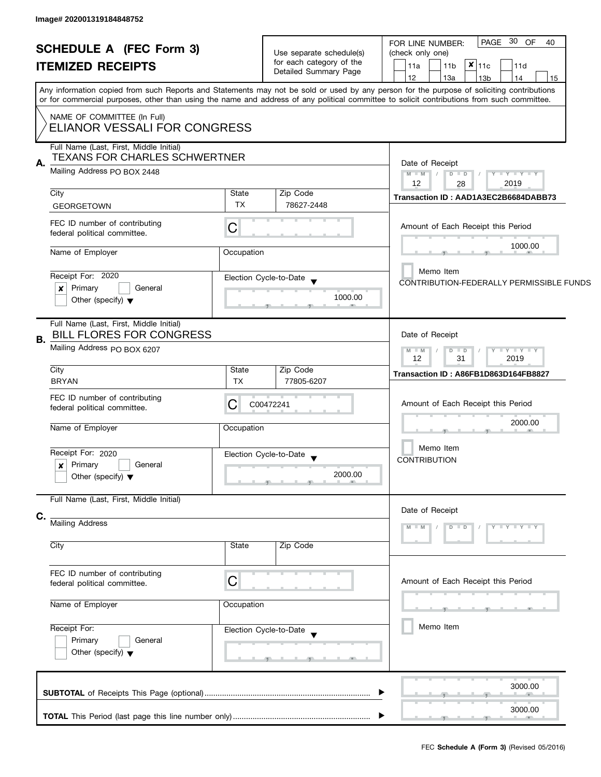| <b>SCHEDULE A (FEC Form 3)</b>                                                   |                                                             | Use separate schedule(s)<br>for each category of the | PAGE 30 OF<br>40<br>FOR LINE NUMBER:<br>(check only one)                                                                                                                                                                                                                                                                      |  |  |
|----------------------------------------------------------------------------------|-------------------------------------------------------------|------------------------------------------------------|-------------------------------------------------------------------------------------------------------------------------------------------------------------------------------------------------------------------------------------------------------------------------------------------------------------------------------|--|--|
| <b>ITEMIZED RECEIPTS</b>                                                         |                                                             | Detailed Summary Page                                | $x _{11c}$<br>11a<br>11 <sub>b</sub><br>11d<br>12                                                                                                                                                                                                                                                                             |  |  |
|                                                                                  |                                                             |                                                      | 13a<br>13 <sub>b</sub><br>14<br>15<br>Any information copied from such Reports and Statements may not be sold or used by any person for the purpose of soliciting contributions<br>or for commercial purposes, other than using the name and address of any political committee to solicit contributions from such committee. |  |  |
| NAME OF COMMITTEE (In Full)<br>ELIANOR VESSALI FOR CONGRESS                      |                                                             |                                                      |                                                                                                                                                                                                                                                                                                                               |  |  |
| Full Name (Last, First, Middle Initial)<br><b>TEXANS FOR CHARLES SCHWERTNER</b>  |                                                             |                                                      | Date of Receipt                                                                                                                                                                                                                                                                                                               |  |  |
| Mailing Address PO BOX 2448                                                      |                                                             |                                                      | $M$ $M$ $N$<br>$D$ $D$<br>$Y - Y - Y - Y - Y$<br>12<br>2019<br>28                                                                                                                                                                                                                                                             |  |  |
| City<br><b>GEORGETOWN</b>                                                        | State<br><b>TX</b>                                          | Zip Code<br>78627-2448                               | Transaction ID: AAD1A3EC2B6684DABB73                                                                                                                                                                                                                                                                                          |  |  |
| FEC ID number of contributing<br>federal political committee.                    | C                                                           |                                                      | Amount of Each Receipt this Period                                                                                                                                                                                                                                                                                            |  |  |
| Name of Employer                                                                 | Occupation                                                  |                                                      | 1000.00                                                                                                                                                                                                                                                                                                                       |  |  |
| Receipt For: 2020<br>Primary<br>General<br>×                                     |                                                             | Election Cycle-to-Date                               | Memo Item<br>CONTRIBUTION-FEDERALLY PERMISSIBLE FUNDS                                                                                                                                                                                                                                                                         |  |  |
| Other (specify) $\blacktriangledown$                                             |                                                             | 1000.00                                              |                                                                                                                                                                                                                                                                                                                               |  |  |
| Full Name (Last, First, Middle Initial)<br><b>BILL FLORES FOR CONGRESS</b><br>В. | Date of Receipt                                             |                                                      |                                                                                                                                                                                                                                                                                                                               |  |  |
| Mailing Address PO BOX 6207                                                      |                                                             |                                                      | $M - M$<br>$\bot$ $\gamma$ $\bot$ $\gamma$ $\bot$ $\gamma$<br>D<br>$\Box$<br>12<br>31<br>2019                                                                                                                                                                                                                                 |  |  |
| City<br><b>BRYAN</b>                                                             | State<br><b>TX</b>                                          | Zip Code<br>77805-6207                               | Transaction ID: A86FB1D863D164FB8827                                                                                                                                                                                                                                                                                          |  |  |
| FEC ID number of contributing<br>federal political committee.                    | Amount of Each Receipt this Period                          |                                                      |                                                                                                                                                                                                                                                                                                                               |  |  |
| Name of Employer                                                                 | Occupation                                                  |                                                      | 2000.00                                                                                                                                                                                                                                                                                                                       |  |  |
| Receipt For: 2020                                                                |                                                             | Election Cycle-to-Date                               | Memo Item<br><b>CONTRIBUTION</b>                                                                                                                                                                                                                                                                                              |  |  |
| Primary<br>General<br>×<br>Other (specify) $\blacktriangledown$                  |                                                             | 2000.00                                              |                                                                                                                                                                                                                                                                                                                               |  |  |
| Full Name (Last, First, Middle Initial)                                          |                                                             |                                                      |                                                                                                                                                                                                                                                                                                                               |  |  |
| C.<br>Mailing Address                                                            | Date of Receipt<br>$\overline{\phantom{a}}$<br>$\mathbf{Y}$ |                                                      |                                                                                                                                                                                                                                                                                                                               |  |  |
| City                                                                             | State                                                       | Zip Code                                             |                                                                                                                                                                                                                                                                                                                               |  |  |
| FEC ID number of contributing<br>federal political committee.                    | C                                                           |                                                      | Amount of Each Receipt this Period                                                                                                                                                                                                                                                                                            |  |  |
| Name of Employer                                                                 |                                                             |                                                      |                                                                                                                                                                                                                                                                                                                               |  |  |
| Receipt For:<br>Primary<br>General<br>Other (specify) $\blacktriangledown$       |                                                             | Election Cycle-to-Date<br>$-9$                       | Memo Item                                                                                                                                                                                                                                                                                                                     |  |  |
|                                                                                  |                                                             |                                                      | 3000.00                                                                                                                                                                                                                                                                                                                       |  |  |
|                                                                                  |                                                             |                                                      | 3000.00                                                                                                                                                                                                                                                                                                                       |  |  |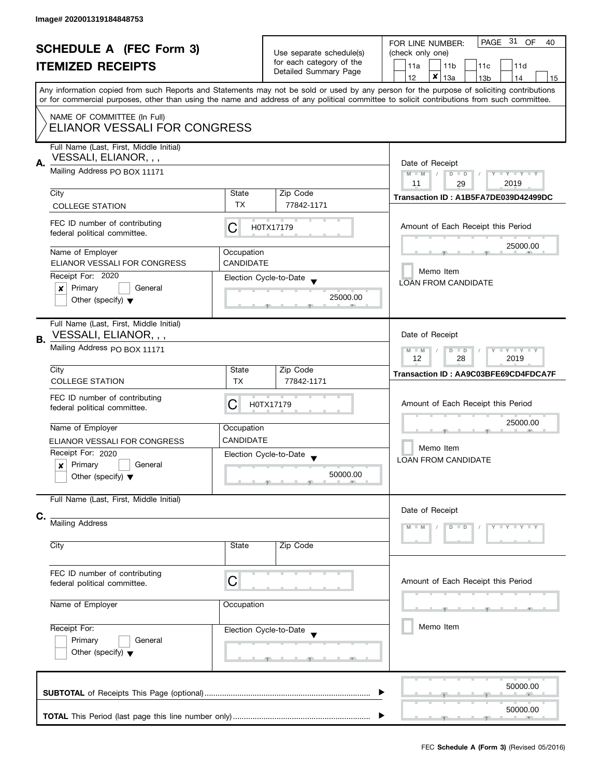| <b>SCHEDULE A (FEC Form 3)</b>                              |                              | Use separate schedule(s) | PAGE 31 OF<br>FOR LINE NUMBER:<br>40                                                                                                                                                                                                                                                    |  |  |  |
|-------------------------------------------------------------|------------------------------|--------------------------|-----------------------------------------------------------------------------------------------------------------------------------------------------------------------------------------------------------------------------------------------------------------------------------------|--|--|--|
|                                                             |                              | for each category of the | (check only one)                                                                                                                                                                                                                                                                        |  |  |  |
| <b>ITEMIZED RECEIPTS</b>                                    |                              | Detailed Summary Page    | 11a<br>11d<br>11 <sub>b</sub><br>11c                                                                                                                                                                                                                                                    |  |  |  |
|                                                             |                              |                          | $\pmb{\times}$<br>12<br>13a<br>13 <sub>b</sub><br>14<br>15                                                                                                                                                                                                                              |  |  |  |
|                                                             |                              |                          | Any information copied from such Reports and Statements may not be sold or used by any person for the purpose of soliciting contributions<br>or for commercial purposes, other than using the name and address of any political committee to solicit contributions from such committee. |  |  |  |
|                                                             |                              |                          |                                                                                                                                                                                                                                                                                         |  |  |  |
| NAME OF COMMITTEE (In Full)<br>ELIANOR VESSALI FOR CONGRESS |                              |                          |                                                                                                                                                                                                                                                                                         |  |  |  |
| Full Name (Last, First, Middle Initial)                     |                              |                          |                                                                                                                                                                                                                                                                                         |  |  |  |
| VESSALI, ELIANOR, , ,                                       |                              |                          |                                                                                                                                                                                                                                                                                         |  |  |  |
| А.<br>Mailing Address PO BOX 11171                          |                              |                          | Date of Receipt                                                                                                                                                                                                                                                                         |  |  |  |
|                                                             |                              |                          | $M - M$<br>$\sqrt{2}$<br>$D$ $D$<br>$Y - Y - Y - Y - Y$<br>11<br>2019<br>29                                                                                                                                                                                                             |  |  |  |
| City                                                        | State                        | Zip Code                 |                                                                                                                                                                                                                                                                                         |  |  |  |
| <b>COLLEGE STATION</b>                                      | <b>TX</b>                    | 77842-1171               | Transaction ID: A1B5FA7DE039D42499DC                                                                                                                                                                                                                                                    |  |  |  |
|                                                             |                              |                          |                                                                                                                                                                                                                                                                                         |  |  |  |
| FEC ID number of contributing                               | C                            | H0TX17179                | Amount of Each Receipt this Period                                                                                                                                                                                                                                                      |  |  |  |
| federal political committee.                                |                              |                          |                                                                                                                                                                                                                                                                                         |  |  |  |
| Name of Employer                                            | Occupation                   |                          | 25000.00                                                                                                                                                                                                                                                                                |  |  |  |
| ELIANOR VESSALI FOR CONGRESS                                | <b>CANDIDATE</b>             |                          |                                                                                                                                                                                                                                                                                         |  |  |  |
| Receipt For: 2020                                           |                              |                          | Memo Item                                                                                                                                                                                                                                                                               |  |  |  |
| Primary<br>General<br>x                                     |                              | Election Cycle-to-Date   | <b>LOAN FROM CANDIDATE</b>                                                                                                                                                                                                                                                              |  |  |  |
| Other (specify) $\blacktriangledown$                        |                              | 25000.00                 |                                                                                                                                                                                                                                                                                         |  |  |  |
|                                                             |                              |                          |                                                                                                                                                                                                                                                                                         |  |  |  |
| Full Name (Last, First, Middle Initial)                     |                              |                          |                                                                                                                                                                                                                                                                                         |  |  |  |
| VESSALI, ELIANOR, , ,                                       |                              |                          | Date of Receipt                                                                                                                                                                                                                                                                         |  |  |  |
| В.                                                          |                              |                          | $\bot$ $\gamma$ $\bot$ $\gamma$ $\bot$ $\gamma$<br>$M - M$<br>$D$ $D$                                                                                                                                                                                                                   |  |  |  |
|                                                             | Mailing Address PO BOX 11171 |                          |                                                                                                                                                                                                                                                                                         |  |  |  |
| City                                                        | State                        | Zip Code                 | 12<br>28<br>2019                                                                                                                                                                                                                                                                        |  |  |  |
| <b>COLLEGE STATION</b>                                      | <b>TX</b>                    | 77842-1171               | Transaction ID: AA9C03BFE69CD4FDCA7F                                                                                                                                                                                                                                                    |  |  |  |
|                                                             |                              |                          |                                                                                                                                                                                                                                                                                         |  |  |  |
| FEC ID number of contributing                               | С                            | H0TX17179                | Amount of Each Receipt this Period                                                                                                                                                                                                                                                      |  |  |  |
| federal political committee.                                |                              |                          |                                                                                                                                                                                                                                                                                         |  |  |  |
| Name of Employer                                            | Occupation                   |                          | 25000.00                                                                                                                                                                                                                                                                                |  |  |  |
| ELIANOR VESSALI FOR CONGRESS                                | <b>CANDIDATE</b>             |                          |                                                                                                                                                                                                                                                                                         |  |  |  |
| Receipt For: 2020                                           |                              |                          | Memo Item                                                                                                                                                                                                                                                                               |  |  |  |
| Primary<br>General<br>x                                     |                              | Election Cycle-to-Date   | <b>LOAN FROM CANDIDATE</b>                                                                                                                                                                                                                                                              |  |  |  |
| Other (specify) $\blacktriangledown$                        |                              | 50000.00                 |                                                                                                                                                                                                                                                                                         |  |  |  |
|                                                             |                              |                          |                                                                                                                                                                                                                                                                                         |  |  |  |
| Full Name (Last, First, Middle Initial)                     |                              |                          |                                                                                                                                                                                                                                                                                         |  |  |  |
|                                                             |                              |                          | Date of Receipt                                                                                                                                                                                                                                                                         |  |  |  |
| C.<br>Mailing Address                                       |                              |                          |                                                                                                                                                                                                                                                                                         |  |  |  |
|                                                             |                              |                          |                                                                                                                                                                                                                                                                                         |  |  |  |
| City                                                        | State                        | Zip Code                 |                                                                                                                                                                                                                                                                                         |  |  |  |
|                                                             |                              |                          |                                                                                                                                                                                                                                                                                         |  |  |  |
| FEC ID number of contributing                               |                              |                          |                                                                                                                                                                                                                                                                                         |  |  |  |
| federal political committee.                                | C                            |                          | Amount of Each Receipt this Period                                                                                                                                                                                                                                                      |  |  |  |
|                                                             |                              |                          |                                                                                                                                                                                                                                                                                         |  |  |  |
| Name of Employer                                            | Occupation                   |                          |                                                                                                                                                                                                                                                                                         |  |  |  |
|                                                             |                              |                          |                                                                                                                                                                                                                                                                                         |  |  |  |
| Receipt For:                                                |                              | Election Cycle-to-Date   | Memo Item                                                                                                                                                                                                                                                                               |  |  |  |
| Primary<br>General                                          |                              |                          |                                                                                                                                                                                                                                                                                         |  |  |  |
| Other (specify) $\blacktriangledown$                        |                              |                          |                                                                                                                                                                                                                                                                                         |  |  |  |
|                                                             |                              |                          |                                                                                                                                                                                                                                                                                         |  |  |  |
|                                                             |                              |                          |                                                                                                                                                                                                                                                                                         |  |  |  |
|                                                             |                              |                          | 50000.00                                                                                                                                                                                                                                                                                |  |  |  |
|                                                             |                              |                          |                                                                                                                                                                                                                                                                                         |  |  |  |
|                                                             |                              |                          | 50000.00                                                                                                                                                                                                                                                                                |  |  |  |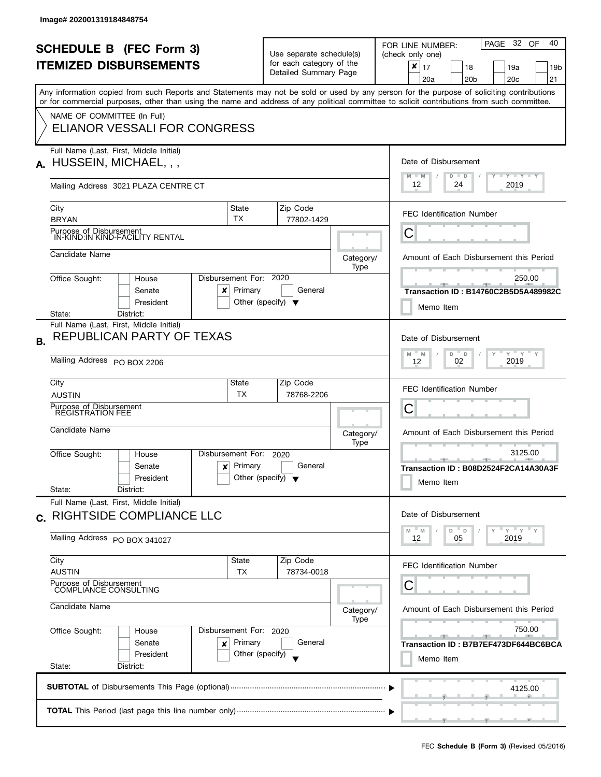|              | <b>SCHEDULE B (FEC Form 3)</b><br><b>ITEMIZED DISBURSEMENTS</b><br>Any information copied from such Reports and Statements may not be sold or used by any person for the purpose of soliciting contributions<br>or for commercial purposes, other than using the name and address of any political committee to solicit contributions from such committee. |                                                                              | Use separate schedule(s)<br>for each category of the<br>Detailed Summary Page                        |                   | PAGE 32 OF<br>40<br>FOR LINE NUMBER:<br>(check only one)<br>$\pmb{\times}$<br>17<br>18<br>19a<br>19b<br>20 <sub>b</sub><br>20 <sub>c</sub><br>21<br>20a |
|--------------|------------------------------------------------------------------------------------------------------------------------------------------------------------------------------------------------------------------------------------------------------------------------------------------------------------------------------------------------------------|------------------------------------------------------------------------------|------------------------------------------------------------------------------------------------------|-------------------|---------------------------------------------------------------------------------------------------------------------------------------------------------|
|              | NAME OF COMMITTEE (In Full)<br>ELIANOR VESSALI FOR CONGRESS                                                                                                                                                                                                                                                                                                |                                                                              |                                                                                                      |                   |                                                                                                                                                         |
| А.           | Full Name (Last, First, Middle Initial)<br>HUSSEIN, MICHAEL, , ,<br>Mailing Address 3021 PLAZA CENTRE CT                                                                                                                                                                                                                                                   | Date of Disbursement<br>$M - M$<br>Y TY TY TY<br>$D$ $D$<br>12<br>24<br>2019 |                                                                                                      |                   |                                                                                                                                                         |
|              | City<br><b>BRYAN</b>                                                                                                                                                                                                                                                                                                                                       | State<br>TX                                                                  | Zip Code<br>77802-1429                                                                               |                   | <b>FEC Identification Number</b>                                                                                                                        |
|              | Purpose of Disbursement<br>IN-KIND:IN KIND-FACILITY RENTAL<br>Candidate Name                                                                                                                                                                                                                                                                               |                                                                              |                                                                                                      | Category/         | С<br>Amount of Each Disbursement this Period                                                                                                            |
|              | Office Sought:<br>House<br>Senate<br>x<br>President<br>State:<br>District:                                                                                                                                                                                                                                                                                 | Disbursement For: 2020<br>Primary                                            | General<br>Other (specify) $\blacktriangledown$                                                      | Type              | 250.00<br>Transaction ID: B14760C2B5D5A489982C<br>Memo Item                                                                                             |
| В.           | Full Name (Last, First, Middle Initial)<br>REPUBLICAN PARTY OF TEXAS<br>Mailing Address PO BOX 2206                                                                                                                                                                                                                                                        |                                                                              | Date of Disbursement<br>$Y$ $Y$ $Y$<br>$D =$<br>$\mathsf{Y}$<br>M<br>M<br>$\Box$<br>2019<br>02<br>12 |                   |                                                                                                                                                         |
|              | City<br><b>AUSTIN</b><br>Purpose of Disbursement<br>REGISTRATION FEE                                                                                                                                                                                                                                                                                       | State<br>ТX                                                                  | Zip Code<br>78768-2206                                                                               |                   | <b>FEC Identification Number</b><br>С                                                                                                                   |
|              | Candidate Name                                                                                                                                                                                                                                                                                                                                             |                                                                              |                                                                                                      | Category/<br>Type | Amount of Each Disbursement this Period                                                                                                                 |
|              | Office Sought:<br>House<br>Senate<br>x<br>President<br>State:<br>District:                                                                                                                                                                                                                                                                                 | Disbursement For:<br>Primary                                                 | 2020<br>General<br>Other (specify) $\blacktriangledown$                                              |                   | 3125.00<br>$-1$<br>Transaction ID: B08D2524F2CA14A30A3F<br>Memo Item                                                                                    |
| $\mathbf{C}$ | Full Name (Last, First, Middle Initial)<br>RIGHTSIDE COMPLIANCE LLC                                                                                                                                                                                                                                                                                        |                                                                              |                                                                                                      |                   | Date of Disbursement<br>" γ " γ " γ<br>D<br>- M<br>$\mathsf D$<br>M                                                                                     |
|              | Mailing Address PO BOX 341027<br>City<br>State                                                                                                                                                                                                                                                                                                             | 12<br>2019<br>05<br><b>FEC Identification Number</b>                         |                                                                                                      |                   |                                                                                                                                                         |
|              | <b>AUSTIN</b><br>ТX<br>78734-0018<br>Purpose of Disbursement<br><b>COMPLIANCE CONSULTING</b><br>Candidate Name<br>Category/                                                                                                                                                                                                                                |                                                                              |                                                                                                      |                   | С<br>Amount of Each Disbursement this Period                                                                                                            |
|              | Office Sought:<br>Disbursement For: 2020<br>House<br>Senate<br>×<br>President<br>State:<br>District:                                                                                                                                                                                                                                                       | Type                                                                         | 750.00<br>Transaction ID: B7B7EF473DF644BC6BCA<br>Memo Item                                          |                   |                                                                                                                                                         |
|              |                                                                                                                                                                                                                                                                                                                                                            | 4125.00                                                                      |                                                                                                      |                   |                                                                                                                                                         |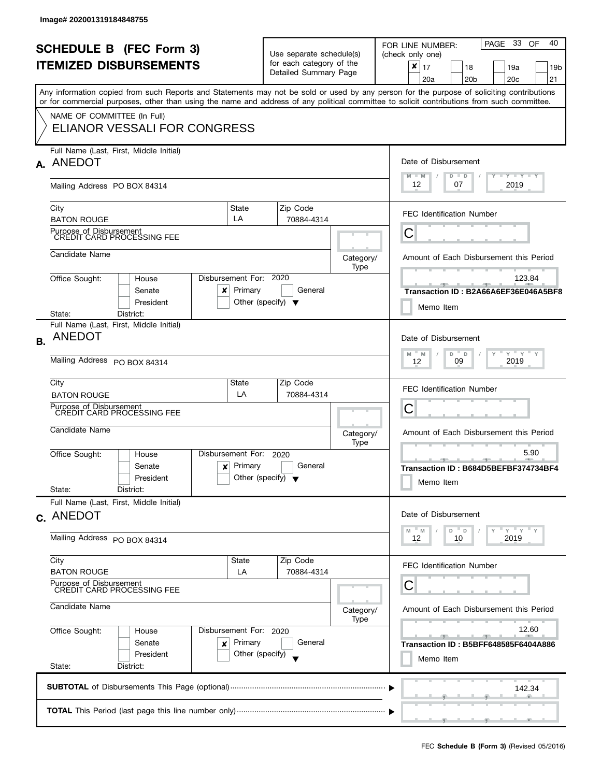| NAME OF COMMITTEE (In Full)<br>ELIANOR VESSALI FOR CONGRESS<br>Full Name (Last, First, Middle Initial)<br>Date of Disbursement<br>A. ANEDOT<br>$M - M$<br>$Y + Y + Y + Y$<br>$D$ $D$<br>12<br>07<br>2019<br>Mailing Address PO BOX 84314<br>Zip Code<br>State<br>City<br><b>FEC Identification Number</b><br>LA<br><b>BATON ROUGE</b><br>70884-4314<br>Purpose of Disbursement<br>CREDIT CARD PROCESSING FEE<br>С<br>Candidate Name<br>Category/<br>Type<br>Disbursement For: 2020<br>Office Sought:<br>123.84<br>House<br>Primary<br>General<br>Senate<br>$\boldsymbol{x}$<br>Other (specify) $\blacktriangledown$<br>President<br>Memo Item<br>District:<br>State:<br>Full Name (Last, First, Middle Initial)<br><b>ANEDOT</b><br>Date of Disbursement<br><b>B.</b><br>$D$ $D$<br>$Y = Y = Y$<br>Y<br>M<br>M<br>Mailing Address PO BOX 84314<br>2019<br>09<br>12<br>City<br>State<br>Zip Code<br><b>FEC Identification Number</b><br>LA<br>70884-4314<br><b>BATON ROUGE</b><br>Purpose of Disbursement<br>CREDIT CARD PROCESSING FEE<br>С<br>Candidate Name<br>Category/<br>Type<br>5.90<br>Disbursement For:<br>Office Sought:<br>2020<br>House<br>$-1$<br>Primary<br>General<br>Senate<br>x<br>Other (specify) $\blacktriangledown$<br>President<br>Memo Item<br>State:<br>District:<br>Full Name (Last, First, Middle Initial)<br>Date of Disbursement<br>c. ANEDOT<br>"ү "ү "ү<br>D<br>M<br>- M<br>$\mathsf D$<br>Mailing Address PO BOX 84314<br>2019<br>12<br>10<br>City<br>Zip Code<br>State<br>FEC Identification Number<br><b>BATON ROUGE</b><br>LA<br>70884-4314<br>Purpose of Disbursement<br>CREDIT CARD PROCESSING FEE<br>С<br>Candidate Name<br>Category/<br>Type<br>12.60<br>Office Sought:<br>Disbursement For: 2020<br>House<br>Primary<br>Senate<br>General<br>x<br>President<br>Other (specify)<br>Memo Item<br>State:<br>District:<br>142.34 | <b>SCHEDULE B</b> (FEC Form 3)<br><b>ITEMIZED DISBURSEMENTS</b><br>or for commercial purposes, other than using the name and address of any political committee to solicit contributions from such committee. | Use separate schedule(s)<br>for each category of the<br>Detailed Summary Page |  | PAGE 33 OF<br>40<br>FOR LINE NUMBER:<br>(check only one)<br>$\pmb{\times}$<br>17<br>18<br>19a<br>19 <sub>b</sub><br>20 <sub>b</sub><br>20c<br>21<br>20a<br>Any information copied from such Reports and Statements may not be sold or used by any person for the purpose of soliciting contributions |
|--------------------------------------------------------------------------------------------------------------------------------------------------------------------------------------------------------------------------------------------------------------------------------------------------------------------------------------------------------------------------------------------------------------------------------------------------------------------------------------------------------------------------------------------------------------------------------------------------------------------------------------------------------------------------------------------------------------------------------------------------------------------------------------------------------------------------------------------------------------------------------------------------------------------------------------------------------------------------------------------------------------------------------------------------------------------------------------------------------------------------------------------------------------------------------------------------------------------------------------------------------------------------------------------------------------------------------------------------------------------------------------------------------------------------------------------------------------------------------------------------------------------------------------------------------------------------------------------------------------------------------------------------------------------------------------------------------------------------------------------------------------------------------------------------------------------------------------------------------------------|---------------------------------------------------------------------------------------------------------------------------------------------------------------------------------------------------------------|-------------------------------------------------------------------------------|--|------------------------------------------------------------------------------------------------------------------------------------------------------------------------------------------------------------------------------------------------------------------------------------------------------|
|                                                                                                                                                                                                                                                                                                                                                                                                                                                                                                                                                                                                                                                                                                                                                                                                                                                                                                                                                                                                                                                                                                                                                                                                                                                                                                                                                                                                                                                                                                                                                                                                                                                                                                                                                                                                                                                                    |                                                                                                                                                                                                               |                                                                               |  |                                                                                                                                                                                                                                                                                                      |
|                                                                                                                                                                                                                                                                                                                                                                                                                                                                                                                                                                                                                                                                                                                                                                                                                                                                                                                                                                                                                                                                                                                                                                                                                                                                                                                                                                                                                                                                                                                                                                                                                                                                                                                                                                                                                                                                    |                                                                                                                                                                                                               |                                                                               |  |                                                                                                                                                                                                                                                                                                      |
|                                                                                                                                                                                                                                                                                                                                                                                                                                                                                                                                                                                                                                                                                                                                                                                                                                                                                                                                                                                                                                                                                                                                                                                                                                                                                                                                                                                                                                                                                                                                                                                                                                                                                                                                                                                                                                                                    |                                                                                                                                                                                                               |                                                                               |  |                                                                                                                                                                                                                                                                                                      |
|                                                                                                                                                                                                                                                                                                                                                                                                                                                                                                                                                                                                                                                                                                                                                                                                                                                                                                                                                                                                                                                                                                                                                                                                                                                                                                                                                                                                                                                                                                                                                                                                                                                                                                                                                                                                                                                                    |                                                                                                                                                                                                               |                                                                               |  |                                                                                                                                                                                                                                                                                                      |
|                                                                                                                                                                                                                                                                                                                                                                                                                                                                                                                                                                                                                                                                                                                                                                                                                                                                                                                                                                                                                                                                                                                                                                                                                                                                                                                                                                                                                                                                                                                                                                                                                                                                                                                                                                                                                                                                    |                                                                                                                                                                                                               |                                                                               |  | Amount of Each Disbursement this Period                                                                                                                                                                                                                                                              |
|                                                                                                                                                                                                                                                                                                                                                                                                                                                                                                                                                                                                                                                                                                                                                                                                                                                                                                                                                                                                                                                                                                                                                                                                                                                                                                                                                                                                                                                                                                                                                                                                                                                                                                                                                                                                                                                                    |                                                                                                                                                                                                               |                                                                               |  | Transaction ID: B2A66A6EF36E046A5BF8                                                                                                                                                                                                                                                                 |
|                                                                                                                                                                                                                                                                                                                                                                                                                                                                                                                                                                                                                                                                                                                                                                                                                                                                                                                                                                                                                                                                                                                                                                                                                                                                                                                                                                                                                                                                                                                                                                                                                                                                                                                                                                                                                                                                    |                                                                                                                                                                                                               |                                                                               |  |                                                                                                                                                                                                                                                                                                      |
|                                                                                                                                                                                                                                                                                                                                                                                                                                                                                                                                                                                                                                                                                                                                                                                                                                                                                                                                                                                                                                                                                                                                                                                                                                                                                                                                                                                                                                                                                                                                                                                                                                                                                                                                                                                                                                                                    |                                                                                                                                                                                                               |                                                                               |  |                                                                                                                                                                                                                                                                                                      |
|                                                                                                                                                                                                                                                                                                                                                                                                                                                                                                                                                                                                                                                                                                                                                                                                                                                                                                                                                                                                                                                                                                                                                                                                                                                                                                                                                                                                                                                                                                                                                                                                                                                                                                                                                                                                                                                                    |                                                                                                                                                                                                               |                                                                               |  | Amount of Each Disbursement this Period                                                                                                                                                                                                                                                              |
|                                                                                                                                                                                                                                                                                                                                                                                                                                                                                                                                                                                                                                                                                                                                                                                                                                                                                                                                                                                                                                                                                                                                                                                                                                                                                                                                                                                                                                                                                                                                                                                                                                                                                                                                                                                                                                                                    |                                                                                                                                                                                                               |                                                                               |  | Transaction ID: B684D5BEFBF374734BF4                                                                                                                                                                                                                                                                 |
|                                                                                                                                                                                                                                                                                                                                                                                                                                                                                                                                                                                                                                                                                                                                                                                                                                                                                                                                                                                                                                                                                                                                                                                                                                                                                                                                                                                                                                                                                                                                                                                                                                                                                                                                                                                                                                                                    |                                                                                                                                                                                                               |                                                                               |  |                                                                                                                                                                                                                                                                                                      |
|                                                                                                                                                                                                                                                                                                                                                                                                                                                                                                                                                                                                                                                                                                                                                                                                                                                                                                                                                                                                                                                                                                                                                                                                                                                                                                                                                                                                                                                                                                                                                                                                                                                                                                                                                                                                                                                                    |                                                                                                                                                                                                               |                                                                               |  |                                                                                                                                                                                                                                                                                                      |
|                                                                                                                                                                                                                                                                                                                                                                                                                                                                                                                                                                                                                                                                                                                                                                                                                                                                                                                                                                                                                                                                                                                                                                                                                                                                                                                                                                                                                                                                                                                                                                                                                                                                                                                                                                                                                                                                    |                                                                                                                                                                                                               |                                                                               |  |                                                                                                                                                                                                                                                                                                      |
|                                                                                                                                                                                                                                                                                                                                                                                                                                                                                                                                                                                                                                                                                                                                                                                                                                                                                                                                                                                                                                                                                                                                                                                                                                                                                                                                                                                                                                                                                                                                                                                                                                                                                                                                                                                                                                                                    |                                                                                                                                                                                                               |                                                                               |  | Amount of Each Disbursement this Period                                                                                                                                                                                                                                                              |
|                                                                                                                                                                                                                                                                                                                                                                                                                                                                                                                                                                                                                                                                                                                                                                                                                                                                                                                                                                                                                                                                                                                                                                                                                                                                                                                                                                                                                                                                                                                                                                                                                                                                                                                                                                                                                                                                    |                                                                                                                                                                                                               |                                                                               |  | <b>Transaction ID: B5BFF648585F6404A886</b>                                                                                                                                                                                                                                                          |
|                                                                                                                                                                                                                                                                                                                                                                                                                                                                                                                                                                                                                                                                                                                                                                                                                                                                                                                                                                                                                                                                                                                                                                                                                                                                                                                                                                                                                                                                                                                                                                                                                                                                                                                                                                                                                                                                    |                                                                                                                                                                                                               |                                                                               |  |                                                                                                                                                                                                                                                                                                      |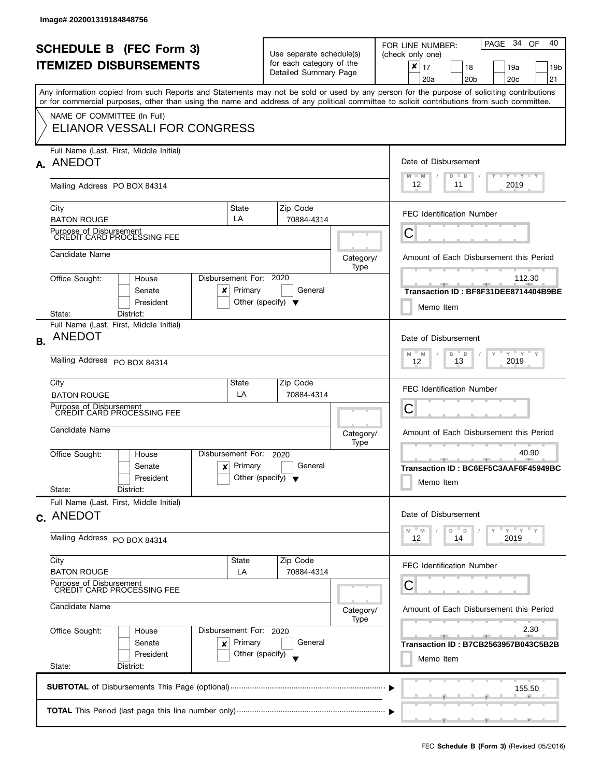|           | <b>SCHEDULE B</b> (FEC Form 3)<br><b>ITEMIZED DISBURSEMENTS</b><br>or for commercial purposes, other than using the name and address of any political committee to solicit contributions from such committee. |                                                                                   |                                                         | Use separate schedule(s)<br>for each category of the<br>Detailed Summary Page | PAGE 34 OF<br>40<br>FOR LINE NUMBER:<br>(check only one)<br>$\pmb{\times}$<br>17<br>18<br>19a<br>19 <sub>b</sub><br>20 <sub>b</sub><br>20c<br>21<br>20a<br>Any information copied from such Reports and Statements may not be sold or used by any person for the purpose of soliciting contributions |
|-----------|---------------------------------------------------------------------------------------------------------------------------------------------------------------------------------------------------------------|-----------------------------------------------------------------------------------|---------------------------------------------------------|-------------------------------------------------------------------------------|------------------------------------------------------------------------------------------------------------------------------------------------------------------------------------------------------------------------------------------------------------------------------------------------------|
|           | NAME OF COMMITTEE (In Full)<br><b>ELIANOR VESSALI FOR CONGRESS</b>                                                                                                                                            |                                                                                   |                                                         |                                                                               |                                                                                                                                                                                                                                                                                                      |
|           | Full Name (Last, First, Middle Initial)<br>A. ANEDOT<br>Mailing Address PO BOX 84314                                                                                                                          | Date of Disbursement<br>$M - M$<br>$Y + Y + Y + Y$<br>$D$ $D$<br>12<br>11<br>2019 |                                                         |                                                                               |                                                                                                                                                                                                                                                                                                      |
|           | City<br><b>BATON ROUGE</b>                                                                                                                                                                                    | State<br>LA                                                                       | Zip Code<br>70884-4314                                  |                                                                               | <b>FEC Identification Number</b>                                                                                                                                                                                                                                                                     |
|           | Purpose of Disbursement<br>CREDIT CARD PROCESSING FEE                                                                                                                                                         |                                                                                   |                                                         |                                                                               | С                                                                                                                                                                                                                                                                                                    |
|           | Candidate Name                                                                                                                                                                                                |                                                                                   |                                                         | Category/<br>Type                                                             | Amount of Each Disbursement this Period                                                                                                                                                                                                                                                              |
|           | Office Sought:<br>House<br>Senate<br>$\boldsymbol{\mathsf{x}}$<br>President                                                                                                                                   | Disbursement For: 2020<br>Primary                                                 | General<br>Other (specify) $\blacktriangledown$         |                                                                               | 112.30<br><u>_______</u><br>Transaction ID: BF8F31DEE8714404B9BE<br>Memo Item                                                                                                                                                                                                                        |
| <b>B.</b> | District:<br>State:<br>Full Name (Last, First, Middle Initial)<br><b>ANEDOT</b><br>Mailing Address PO BOX 84314                                                                                               | Date of Disbursement<br>$D$ $D$<br>$Y = Y = Y$<br>Y<br>M<br>M<br>2019<br>13<br>12 |                                                         |                                                                               |                                                                                                                                                                                                                                                                                                      |
|           | City<br><b>BATON ROUGE</b><br>Purpose of Disbursement<br>CREDIT CARD PROCESSING FEE                                                                                                                           | State<br>LA                                                                       | Zip Code<br>70884-4314                                  |                                                                               | FEC Identification Number<br>С                                                                                                                                                                                                                                                                       |
|           | Candidate Name                                                                                                                                                                                                |                                                                                   |                                                         | Category/<br>Type                                                             | Amount of Each Disbursement this Period                                                                                                                                                                                                                                                              |
|           | Office Sought:<br>House<br>Senate<br>x<br>President<br>State:<br>District:                                                                                                                                    | Disbursement For:<br>Primary                                                      | 2020<br>General<br>Other (specify) $\blacktriangledown$ |                                                                               | 40.90<br>$-1$<br>Transaction ID: BC6EF5C3AAF6F45949BC<br>Memo Item                                                                                                                                                                                                                                   |
|           | Full Name (Last, First, Middle Initial)<br>c. ANEDOT                                                                                                                                                          |                                                                                   |                                                         |                                                                               | Date of Disbursement                                                                                                                                                                                                                                                                                 |
|           | Mailing Address PO BOX 84314                                                                                                                                                                                  |                                                                                   |                                                         |                                                                               | "ү "ү "ү<br>- M<br>D<br>$\mathbb D$<br>M<br>2019<br>12<br>14                                                                                                                                                                                                                                         |
|           | City<br><b>BATON ROUGE</b>                                                                                                                                                                                    | State<br>LA                                                                       | Zip Code<br>70884-4314                                  |                                                                               | FEC Identification Number                                                                                                                                                                                                                                                                            |
|           | Purpose of Disbursement<br>CREDIT CARD PROCESSING FEE<br>Candidate Name                                                                                                                                       |                                                                                   |                                                         | Category/<br>Type                                                             | С<br>Amount of Each Disbursement this Period                                                                                                                                                                                                                                                         |
|           | Office Sought:<br>House<br>Senate<br>x<br>President<br>State:<br>District:                                                                                                                                    | Disbursement For: 2020<br>Primary<br>Other (specify)                              | General                                                 |                                                                               | 2.30<br>Transaction ID: B7CB2563957B043C5B2B<br>Memo Item                                                                                                                                                                                                                                            |
|           |                                                                                                                                                                                                               |                                                                                   |                                                         |                                                                               | 155.50                                                                                                                                                                                                                                                                                               |
|           |                                                                                                                                                                                                               |                                                                                   |                                                         |                                                                               |                                                                                                                                                                                                                                                                                                      |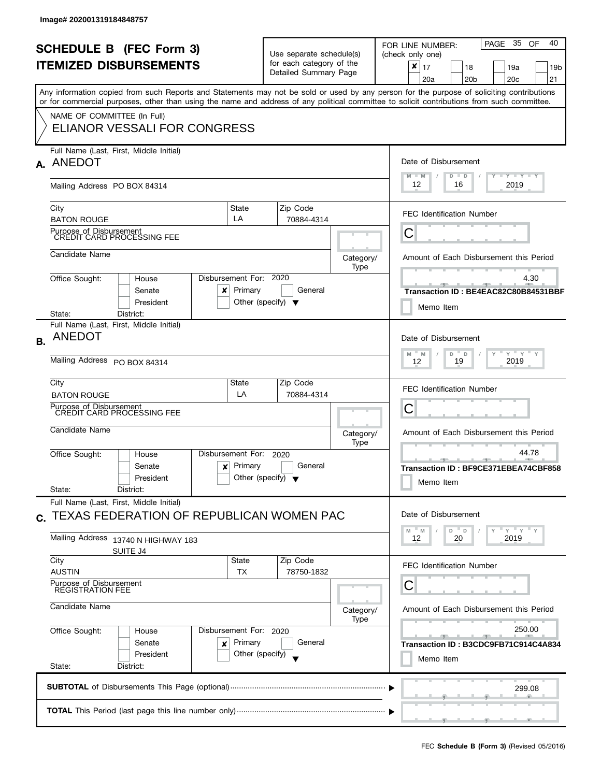|              | <b>SCHEDULE B (FEC Form 3)</b><br><b>ITEMIZED DISBURSEMENTS</b>                                                                            |                                                                   | Use separate schedule(s)<br>for each category of the |                   | PAGE 35 OF<br>40<br>FOR LINE NUMBER:<br>(check only one)<br>$\boldsymbol{x}$                                                                                                                                                                                                          |  |  |
|--------------|--------------------------------------------------------------------------------------------------------------------------------------------|-------------------------------------------------------------------|------------------------------------------------------|-------------------|---------------------------------------------------------------------------------------------------------------------------------------------------------------------------------------------------------------------------------------------------------------------------------------|--|--|
|              |                                                                                                                                            |                                                                   | Detailed Summary Page                                |                   | 17<br>18<br>19a<br>19b<br>20a<br>20 <sub>b</sub><br>20 <sub>c</sub><br>21                                                                                                                                                                                                             |  |  |
|              | or for commercial purposes, other than using the name and address of any political committee to solicit contributions from such committee. |                                                                   |                                                      |                   | Any information copied from such Reports and Statements may not be sold or used by any person for the purpose of soliciting contributions                                                                                                                                             |  |  |
|              | NAME OF COMMITTEE (In Full)                                                                                                                |                                                                   |                                                      |                   |                                                                                                                                                                                                                                                                                       |  |  |
|              | ELIANOR VESSALI FOR CONGRESS                                                                                                               |                                                                   |                                                      |                   |                                                                                                                                                                                                                                                                                       |  |  |
|              | Full Name (Last, First, Middle Initial)<br>A. ANEDOT                                                                                       | Date of Disbursement                                              |                                                      |                   |                                                                                                                                                                                                                                                                                       |  |  |
|              | Mailing Address PO BOX 84314                                                                                                               |                                                                   |                                                      |                   | $M - M$<br>$T - Y - T - Y - T - Y$<br>$D$ $D$<br>12<br>2019<br>16                                                                                                                                                                                                                     |  |  |
|              | City<br><b>BATON ROUGE</b>                                                                                                                 | State<br>LA                                                       | Zip Code<br>70884-4314                               |                   | <b>FEC Identification Number</b>                                                                                                                                                                                                                                                      |  |  |
|              | Purpose of Disbursement<br>CREDIT CARD PROCESSING FEE                                                                                      |                                                                   |                                                      |                   | Ĉ                                                                                                                                                                                                                                                                                     |  |  |
|              | Candidate Name                                                                                                                             |                                                                   |                                                      | Category/<br>Type | Amount of Each Disbursement this Period                                                                                                                                                                                                                                               |  |  |
|              | Office Sought:<br>House                                                                                                                    | Disbursement For:                                                 | 2020                                                 |                   | 4.30                                                                                                                                                                                                                                                                                  |  |  |
|              | Senate<br>x<br>President                                                                                                                   | Primary                                                           | General<br>Other (specify) $\blacktriangledown$      |                   | Transaction ID: BE4EAC82C80B84531BBF<br>Memo Item                                                                                                                                                                                                                                     |  |  |
|              | District:<br>State:<br>Full Name (Last, First, Middle Initial)                                                                             |                                                                   |                                                      |                   |                                                                                                                                                                                                                                                                                       |  |  |
| <b>B.</b>    | <b>ANEDOT</b>                                                                                                                              |                                                                   |                                                      |                   | Date of Disbursement                                                                                                                                                                                                                                                                  |  |  |
|              | Mailing Address PO BOX 84314                                                                                                               | $Y$ $Y$ $Y$<br>M<br>$D =$<br>M<br>$\mathsf D$<br>2019<br>19<br>12 |                                                      |                   |                                                                                                                                                                                                                                                                                       |  |  |
|              | City<br><b>BATON ROUGE</b>                                                                                                                 | State<br>LA                                                       | Zip Code<br>70884-4314                               |                   | FEC Identification Number                                                                                                                                                                                                                                                             |  |  |
|              | Purpose of Disbursement<br><b>CREDIT CARD PROCESSING FEE</b>                                                                               |                                                                   |                                                      |                   | U                                                                                                                                                                                                                                                                                     |  |  |
|              | Candidate Name                                                                                                                             |                                                                   |                                                      |                   |                                                                                                                                                                                                                                                                                       |  |  |
|              |                                                                                                                                            |                                                                   |                                                      | Category/<br>Type | Amount of Each Disbursement this Period                                                                                                                                                                                                                                               |  |  |
|              | Office Sought:<br>House<br>Senate<br>$\boldsymbol{x}$                                                                                      | Disbursement For:<br>Primary                                      | 2020<br>General                                      |                   | 44.78<br><u>and the state of the state of the state of the state of the state of the state of the state of the state of the state of the state of the state of the state of the state of the state of the state of the state of the state</u><br>Transaction ID: BF9CE371EBEA74CBF858 |  |  |
|              | President<br>State:<br>District:                                                                                                           |                                                                   | Other (specify) $\blacktriangledown$                 |                   | Memo Item                                                                                                                                                                                                                                                                             |  |  |
|              | Full Name (Last, First, Middle Initial)                                                                                                    |                                                                   |                                                      |                   |                                                                                                                                                                                                                                                                                       |  |  |
| $\mathbf{C}$ | TEXAS FEDERATION OF REPUBLICAN WOMEN PAC                                                                                                   |                                                                   |                                                      |                   | Date of Disbursement<br>" γ " γ " γ<br>D<br>D<br>M<br>M                                                                                                                                                                                                                               |  |  |
|              | Mailing Address 13740 N HIGHWAY 183<br>SUITE J4                                                                                            | 20<br>12<br>2019                                                  |                                                      |                   |                                                                                                                                                                                                                                                                                       |  |  |
|              | City<br><b>AUSTIN</b>                                                                                                                      | State<br><b>TX</b>                                                | Zip Code<br>78750-1832                               |                   | <b>FEC Identification Number</b>                                                                                                                                                                                                                                                      |  |  |
|              | Purpose of Disbursement<br><b>RÉGISTRATION FEE</b>                                                                                         |                                                                   |                                                      |                   | С                                                                                                                                                                                                                                                                                     |  |  |
|              | Candidate Name                                                                                                                             |                                                                   |                                                      | Category/<br>Type | Amount of Each Disbursement this Period                                                                                                                                                                                                                                               |  |  |
|              | Office Sought:<br>House                                                                                                                    | Disbursement For: 2020                                            | General                                              |                   | 250.00<br>$-$                                                                                                                                                                                                                                                                         |  |  |
|              | Senate<br>×<br>President<br>State:<br>District:                                                                                            | Primary<br>Other (specify)                                        |                                                      |                   | Transaction ID: B3CDC9FB71C914C4A834<br>Memo Item                                                                                                                                                                                                                                     |  |  |
|              |                                                                                                                                            |                                                                   |                                                      |                   |                                                                                                                                                                                                                                                                                       |  |  |
|              |                                                                                                                                            |                                                                   |                                                      |                   | 299.08                                                                                                                                                                                                                                                                                |  |  |
|              |                                                                                                                                            |                                                                   |                                                      |                   |                                                                                                                                                                                                                                                                                       |  |  |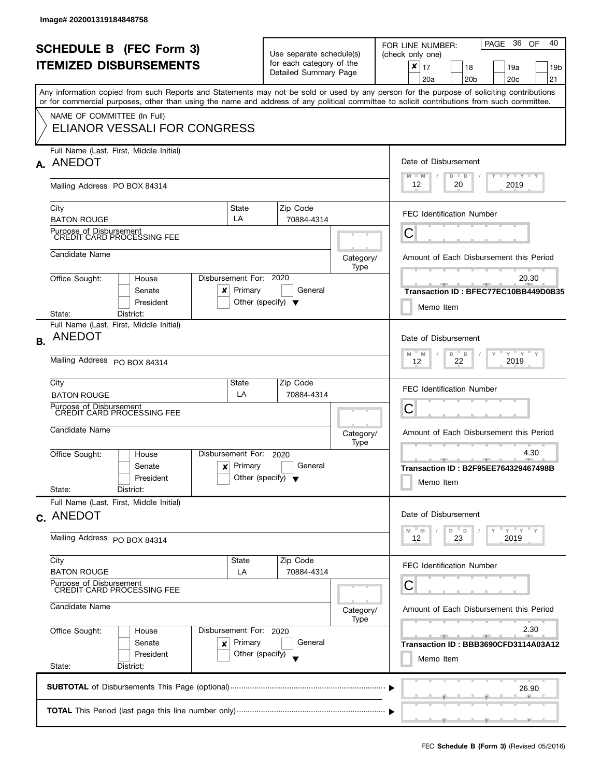|           | <b>SCHEDULE B (FEC Form 3)</b><br><b>ITEMIZED DISBURSEMENTS</b>                                                                            |                                                                 | Use separate schedule(s)<br>for each category of the<br>Detailed Summary Page |                                         | 36<br>40<br>PAGE<br>OF<br>FOR LINE NUMBER:<br>(check only one)<br>×<br>17<br>18<br>19a<br>19 <sub>b</sub><br>20c<br>21<br>20a<br>20 <sub>b</sub> |  |  |
|-----------|--------------------------------------------------------------------------------------------------------------------------------------------|-----------------------------------------------------------------|-------------------------------------------------------------------------------|-----------------------------------------|--------------------------------------------------------------------------------------------------------------------------------------------------|--|--|
|           | or for commercial purposes, other than using the name and address of any political committee to solicit contributions from such committee. |                                                                 |                                                                               |                                         | Any information copied from such Reports and Statements may not be sold or used by any person for the purpose of soliciting contributions        |  |  |
|           | NAME OF COMMITTEE (In Full)<br>ELIANOR VESSALI FOR CONGRESS                                                                                |                                                                 |                                                                               |                                         |                                                                                                                                                  |  |  |
|           | Full Name (Last, First, Middle Initial)<br>A. ANEDOT                                                                                       |                                                                 |                                                                               |                                         | Date of Disbursement<br>$M - M$<br>$T$ $Y$ $Y$ $Y$ $Y$ $Y$<br>$D$ $D$                                                                            |  |  |
|           | Mailing Address PO BOX 84314                                                                                                               | 12<br>20<br>2019                                                |                                                                               |                                         |                                                                                                                                                  |  |  |
|           | City<br><b>BATON ROUGE</b>                                                                                                                 | State<br>LA                                                     | Zip Code<br>70884-4314                                                        |                                         | <b>FEC Identification Number</b>                                                                                                                 |  |  |
|           | Purpose of Disbursement<br>CREDIT CARD PROCESSING FEE                                                                                      |                                                                 |                                                                               |                                         | С                                                                                                                                                |  |  |
|           | Candidate Name                                                                                                                             |                                                                 |                                                                               |                                         | Amount of Each Disbursement this Period                                                                                                          |  |  |
|           | Office Sought:<br>House<br>Senate<br>x<br>President                                                                                        | Disbursement For: 2020<br>Primary                               | General<br>Other (specify) $\blacktriangledown$                               | Type                                    | 20.30<br>Transaction ID: BFEC77EC10BB449D0B35<br>Memo Item                                                                                       |  |  |
|           | District:<br>State:<br>Full Name (Last, First, Middle Initial)                                                                             |                                                                 |                                                                               |                                         |                                                                                                                                                  |  |  |
| <b>B.</b> | <b>ANEDOT</b>                                                                                                                              |                                                                 |                                                                               |                                         | Date of Disbursement                                                                                                                             |  |  |
|           | Mailing Address PO BOX 84314                                                                                                               | $Y = Y$<br>D<br>M<br>M<br>$\Box$<br>Y<br>2019<br>22<br>12       |                                                                               |                                         |                                                                                                                                                  |  |  |
|           | City<br><b>BATON ROUGE</b>                                                                                                                 | State<br>LA                                                     | Zip Code<br>70884-4314                                                        |                                         | <b>FEC Identification Number</b>                                                                                                                 |  |  |
|           | Purpose of Disbursement<br>CREDIT CARD PROCESSING FEE                                                                                      |                                                                 |                                                                               |                                         | С                                                                                                                                                |  |  |
|           | Candidate Name                                                                                                                             |                                                                 |                                                                               | Category/<br>Type                       | Amount of Each Disbursement this Period                                                                                                          |  |  |
|           | Office Sought:<br>House<br>Senate<br>x<br>President<br>State:<br>District:                                                                 | Disbursement For: 2020<br>Primary                               | General<br>Other (specify) $\blacktriangledown$                               |                                         | 4.30<br>Transaction ID: B2F95EE764329467498B<br>Memo Item                                                                                        |  |  |
|           | Full Name (Last, First, Middle Initial)<br>c. ANEDOT                                                                                       |                                                                 |                                                                               |                                         | Date of Disbursement                                                                                                                             |  |  |
|           | Mailing Address PO BOX 84314                                                                                                               | $Y = Y = Y$<br>- M<br>D<br>$\mathsf D$<br>M<br>23<br>2019<br>12 |                                                                               |                                         |                                                                                                                                                  |  |  |
|           | City<br><b>BATON ROUGE</b>                                                                                                                 | State<br>LA                                                     | Zip Code<br>70884-4314                                                        |                                         | <b>FEC Identification Number</b>                                                                                                                 |  |  |
|           | Purpose of Disbursement<br>CREDIT CARD PROCESSING FEE                                                                                      |                                                                 |                                                                               | C                                       |                                                                                                                                                  |  |  |
|           | Candidate Name                                                                                                                             |                                                                 | Category/<br>Type                                                             | Amount of Each Disbursement this Period |                                                                                                                                                  |  |  |
|           | Office Sought:<br>House<br>Senate<br>x                                                                                                     | Disbursement For: 2020<br>Primary<br>Other (specify)            | General                                                                       |                                         | 2.30<br>Transaction ID: BBB3690CFD3114A03A12                                                                                                     |  |  |
|           | President<br>State:<br>District:                                                                                                           |                                                                 | Memo Item                                                                     |                                         |                                                                                                                                                  |  |  |
|           |                                                                                                                                            |                                                                 |                                                                               |                                         | 26.90                                                                                                                                            |  |  |
|           |                                                                                                                                            |                                                                 |                                                                               |                                         |                                                                                                                                                  |  |  |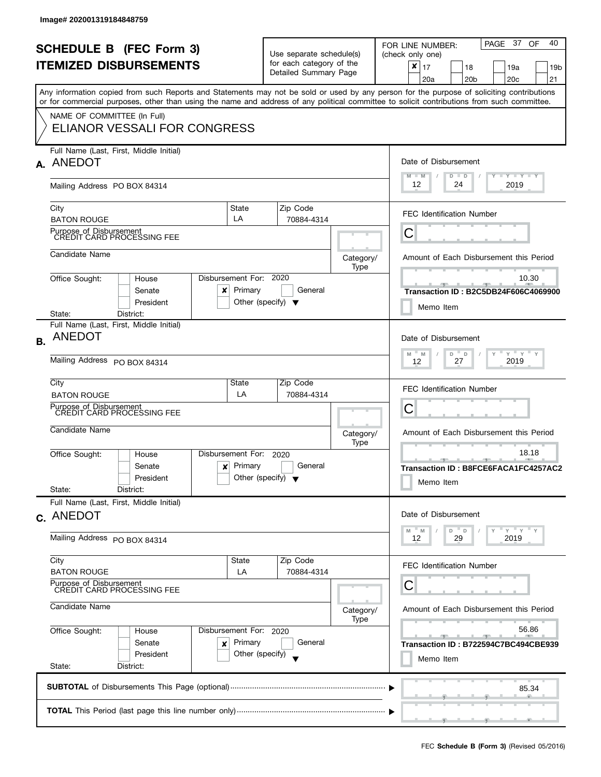|           | <b>SCHEDULE B (FEC Form 3)</b><br><b>ITEMIZED DISBURSEMENTS</b>                                                                            |                                                           | Use separate schedule(s)<br>for each category of the<br>Detailed Summary Page |                   | PAGE 37<br>40<br>OF<br>FOR LINE NUMBER:<br>(check only one)<br>×<br>17<br>18<br>19a<br>19 <sub>b</sub><br>20c<br>21<br>20a<br>20 <sub>b</sub> |  |
|-----------|--------------------------------------------------------------------------------------------------------------------------------------------|-----------------------------------------------------------|-------------------------------------------------------------------------------|-------------------|-----------------------------------------------------------------------------------------------------------------------------------------------|--|
|           | or for commercial purposes, other than using the name and address of any political committee to solicit contributions from such committee. |                                                           |                                                                               |                   | Any information copied from such Reports and Statements may not be sold or used by any person for the purpose of soliciting contributions     |  |
|           | NAME OF COMMITTEE (In Full)<br>ELIANOR VESSALI FOR CONGRESS                                                                                |                                                           |                                                                               |                   |                                                                                                                                               |  |
|           | Full Name (Last, First, Middle Initial)<br>A. ANEDOT                                                                                       |                                                           |                                                                               |                   | Date of Disbursement<br>$M - M$<br>$T$ $Y$ $Y$ $Y$ $Y$ $Y$<br>$D$ $D$                                                                         |  |
|           | Mailing Address PO BOX 84314                                                                                                               |                                                           |                                                                               |                   | 12<br>24<br>2019                                                                                                                              |  |
|           | City<br><b>BATON ROUGE</b>                                                                                                                 | State<br>LA                                               | Zip Code<br>70884-4314                                                        |                   | <b>FEC Identification Number</b>                                                                                                              |  |
|           | Purpose of Disbursement<br>CREDIT CARD PROCESSING FEE                                                                                      |                                                           |                                                                               |                   | С                                                                                                                                             |  |
|           | Candidate Name                                                                                                                             |                                                           |                                                                               | Category/<br>Type | Amount of Each Disbursement this Period                                                                                                       |  |
|           | Office Sought:<br>House<br>Senate<br>x<br>President                                                                                        | Disbursement For: 2020<br>Primary                         | General<br>Other (specify) $\blacktriangledown$                               |                   | 10.30<br><b>PERSONAL PROPERTY</b><br>Transaction ID: B2C5DB24F606C4069900<br>Memo Item                                                        |  |
|           | District:<br>State:<br>Full Name (Last, First, Middle Initial)                                                                             |                                                           |                                                                               |                   |                                                                                                                                               |  |
| <b>B.</b> | <b>ANEDOT</b>                                                                                                                              |                                                           |                                                                               |                   | Date of Disbursement                                                                                                                          |  |
|           | Mailing Address PO BOX 84314                                                                                                               | $Y = Y$<br>D<br>M<br>M<br>$\Box$<br>Y<br>2019<br>27<br>12 |                                                                               |                   |                                                                                                                                               |  |
|           | City<br><b>BATON ROUGE</b>                                                                                                                 | State<br>LA                                               | Zip Code<br>70884-4314                                                        |                   | <b>FEC Identification Number</b>                                                                                                              |  |
|           | Purpose of Disbursement<br>CREDIT CARD PROCESSING FEE                                                                                      |                                                           |                                                                               |                   | С                                                                                                                                             |  |
|           | Candidate Name                                                                                                                             |                                                           |                                                                               | Category/<br>Type | Amount of Each Disbursement this Period                                                                                                       |  |
|           | Office Sought:<br>House<br>Senate<br>x<br>President<br>State:<br>District:                                                                 | Disbursement For: 2020<br>Primary                         | General<br>Other (specify) $\blacktriangledown$                               |                   | 18.18<br>Transaction ID: B8FCE6FACA1FC4257AC2<br>Memo Item                                                                                    |  |
|           | Full Name (Last, First, Middle Initial)                                                                                                    |                                                           |                                                                               |                   | Date of Disbursement                                                                                                                          |  |
|           | c. ANEDOT                                                                                                                                  | $Y = Y = Y$<br>- M<br>D<br>$\mathsf D$<br>M               |                                                                               |                   |                                                                                                                                               |  |
|           | Mailing Address PO BOX 84314                                                                                                               | 2019<br>12<br>29                                          |                                                                               |                   |                                                                                                                                               |  |
|           | City<br><b>BATON ROUGE</b>                                                                                                                 | State<br>LA                                               | Zip Code<br>70884-4314                                                        |                   | <b>FEC Identification Number</b>                                                                                                              |  |
|           | Purpose of Disbursement<br>CREDIT CARD PROCESSING FEE                                                                                      |                                                           | C                                                                             |                   |                                                                                                                                               |  |
|           | Candidate Name                                                                                                                             | Category/<br>Type                                         | Amount of Each Disbursement this Period                                       |                   |                                                                                                                                               |  |
|           | Office Sought:<br>House                                                                                                                    | Disbursement For: 2020                                    |                                                                               | 56.86             |                                                                                                                                               |  |
|           | Senate<br>x<br>President<br>State:<br>District:                                                                                            | Primary<br>Other (specify)                                | General                                                                       |                   | Transaction ID: B722594C7BC494CBE939<br>Memo Item                                                                                             |  |
|           |                                                                                                                                            |                                                           |                                                                               |                   | 85.34                                                                                                                                         |  |
|           |                                                                                                                                            |                                                           |                                                                               |                   |                                                                                                                                               |  |
|           |                                                                                                                                            |                                                           |                                                                               |                   |                                                                                                                                               |  |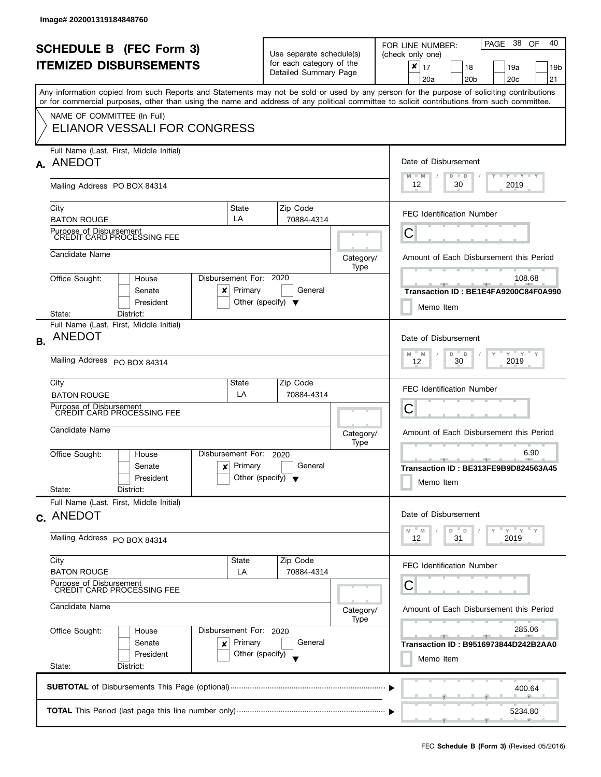|           | <b>SCHEDULE B (FEC Form 3)</b><br><b>ITEMIZED DISBURSEMENTS</b>                     |                                                       |                                                      | Use separate schedule(s)<br>for each category of the<br>Detailed Summary Page |                                              | 38<br>40<br>PAGE<br>OF<br>FOR LINE NUMBER:<br>(check only one)<br>$\pmb{\times}$<br>17<br>18<br>19a<br>19 <sub>b</sub><br>21<br>20a<br>20 <sub>b</sub><br>20 <sub>c</sub>                                                                                                               |  |
|-----------|-------------------------------------------------------------------------------------|-------------------------------------------------------|------------------------------------------------------|-------------------------------------------------------------------------------|----------------------------------------------|-----------------------------------------------------------------------------------------------------------------------------------------------------------------------------------------------------------------------------------------------------------------------------------------|--|
|           |                                                                                     |                                                       |                                                      |                                                                               |                                              | Any information copied from such Reports and Statements may not be sold or used by any person for the purpose of soliciting contributions<br>or for commercial purposes, other than using the name and address of any political committee to solicit contributions from such committee. |  |
|           | NAME OF COMMITTEE (In Full)<br>ELIANOR VESSALI FOR CONGRESS                         |                                                       |                                                      |                                                                               |                                              |                                                                                                                                                                                                                                                                                         |  |
|           | Full Name (Last, First, Middle Initial)<br>A. ANEDOT                                |                                                       |                                                      |                                                                               |                                              | Date of Disbursement<br>$M - M$<br>Y FY FY FY<br>$D$ $D$                                                                                                                                                                                                                                |  |
|           | Mailing Address PO BOX 84314                                                        | 12<br>30<br>2019                                      |                                                      |                                                                               |                                              |                                                                                                                                                                                                                                                                                         |  |
|           | City<br><b>BATON ROUGE</b>                                                          |                                                       | State<br>LA                                          | Zip Code<br>70884-4314                                                        |                                              | <b>FEC Identification Number</b>                                                                                                                                                                                                                                                        |  |
|           | Purpose of Disbursement<br>CREDIT CARD PROCESSING FEE                               |                                                       |                                                      |                                                                               |                                              | С                                                                                                                                                                                                                                                                                       |  |
|           | Candidate Name                                                                      |                                                       |                                                      |                                                                               | Category/<br>Type                            | Amount of Each Disbursement this Period                                                                                                                                                                                                                                                 |  |
|           | Office Sought:<br>House<br>Senate<br>President                                      | x                                                     | Disbursement For: 2020<br>Primary                    | General<br>Other (specify) $\blacktriangledown$                               |                                              | 108.68<br>Transaction ID: BE1E4FA9200C84F0A990<br>Memo Item                                                                                                                                                                                                                             |  |
| <b>B.</b> | District:<br>State:<br><b>ANEDOT</b><br>Mailing Address PO BOX 84314                | Full Name (Last, First, Middle Initial)               |                                                      |                                                                               |                                              | Date of Disbursement<br>$Y = Y$<br>D<br>M<br>M<br>$\Box$<br>Y<br>2019<br>30<br>12                                                                                                                                                                                                       |  |
|           | City<br><b>BATON ROUGE</b><br>Purpose of Disbursement<br>CREDIT CARD PROCESSING FEE |                                                       | State<br>LA                                          | Zip Code<br>70884-4314                                                        |                                              | <b>FEC Identification Number</b><br>C                                                                                                                                                                                                                                                   |  |
|           | Candidate Name                                                                      |                                                       |                                                      |                                                                               | Category/                                    | Amount of Each Disbursement this Period                                                                                                                                                                                                                                                 |  |
|           | Office Sought:<br>House<br>Senate<br>President<br>State:<br>District:               | ×                                                     | Disbursement For:<br>Primary                         | 2020<br>General<br>Other (specify) $\sqrt{}$                                  | Type                                         | 6.90<br>Transaction ID: BE313FE9B9D824563A45<br>Memo Item                                                                                                                                                                                                                               |  |
|           | Full Name (Last, First, Middle Initial)<br>c. ANEDOT                                | Date of Disbursement                                  |                                                      |                                                                               |                                              |                                                                                                                                                                                                                                                                                         |  |
|           | Mailing Address PO BOX 84314                                                        | $Y = Y = Y$<br>M<br>D T<br>D<br>M<br>31<br>2019<br>12 |                                                      |                                                                               |                                              |                                                                                                                                                                                                                                                                                         |  |
|           | City<br><b>BATON ROUGE</b>                                                          |                                                       | State<br>LA                                          | Zip Code<br>70884-4314                                                        |                                              | <b>FEC Identification Number</b>                                                                                                                                                                                                                                                        |  |
|           | Purpose of Disbursement<br>CREDIT CARD PROCESSING FEE<br>Candidate Name             |                                                       |                                                      | Category/<br>Type                                                             | C<br>Amount of Each Disbursement this Period |                                                                                                                                                                                                                                                                                         |  |
|           | Office Sought:<br>House<br>Senate<br>President<br>State:<br>District:               | ×                                                     | Disbursement For: 2020<br>Primary<br>Other (specify) | General                                                                       |                                              | 285.06<br>Transaction ID: B9516973844D242B2AA0<br>Memo Item                                                                                                                                                                                                                             |  |
|           |                                                                                     |                                                       |                                                      |                                                                               |                                              | 400.64                                                                                                                                                                                                                                                                                  |  |
|           |                                                                                     |                                                       |                                                      |                                                                               |                                              | 5234.80                                                                                                                                                                                                                                                                                 |  |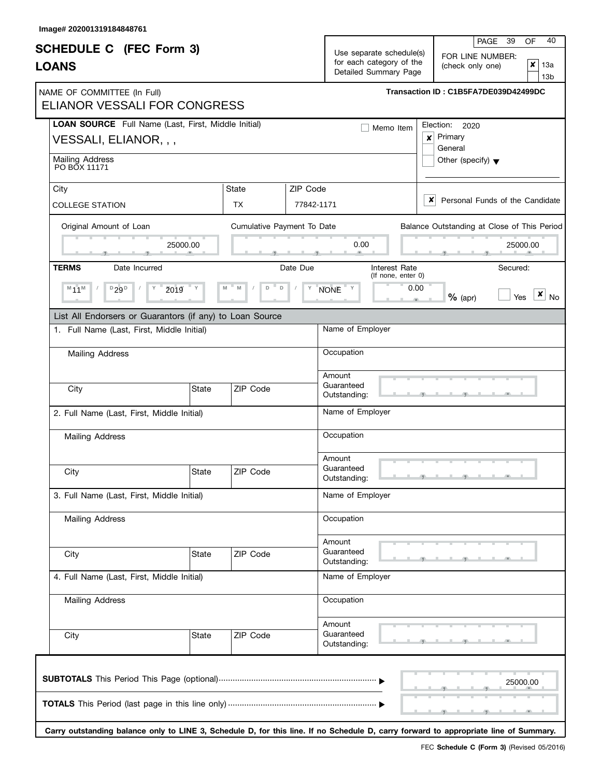| <b>SCHEDULE C</b> (FEC Form 3)                                               |              |                            |                                                                                                                               |                                     | 39<br>40<br>OF                                               |  |  |  |
|------------------------------------------------------------------------------|--------------|----------------------------|-------------------------------------------------------------------------------------------------------------------------------|-------------------------------------|--------------------------------------------------------------|--|--|--|
| <b>LOANS</b>                                                                 |              |                            | PAGE<br>Use separate schedule(s)<br>FOR LINE NUMBER:<br>for each category of the<br>(check only one)<br>Detailed Summary Page |                                     |                                                              |  |  |  |
| NAME OF COMMITTEE (In Full)<br>ELIANOR VESSALI FOR CONGRESS                  |              |                            |                                                                                                                               |                                     | Transaction ID: C1B5FA7DE039D42499DC                         |  |  |  |
| LOAN SOURCE Full Name (Last, First, Middle Initial)<br>VESSALI, ELIANOR, , , |              |                            |                                                                                                                               | Memo Item                           | Election:<br>2020<br>Primary<br>$\boldsymbol{x}$<br>General  |  |  |  |
| Mailing Address<br>PO BOX 11171                                              |              |                            |                                                                                                                               |                                     | Other (specify) $\blacktriangledown$                         |  |  |  |
| City<br><b>COLLEGE STATION</b>                                               |              | State<br>TX.               | ZIP Code<br>77842-1171                                                                                                        |                                     | $\boldsymbol{\mathsf{x}}$<br>Personal Funds of the Candidate |  |  |  |
| Original Amount of Loan                                                      |              | Cumulative Payment To Date |                                                                                                                               |                                     | Balance Outstanding at Close of This Period                  |  |  |  |
|                                                                              | 25000.00     |                            | 0.00                                                                                                                          |                                     | 25000.00                                                     |  |  |  |
| <b>TERMS</b><br>Date Incurred                                                |              |                            | Date Due                                                                                                                      | Interest Rate<br>(If none, enter 0) | Secured:                                                     |  |  |  |
| $M$ 11 $M$<br>$D$ 29 $D$<br>Υ                                                | ž019         | $\mathsf D$<br>D           | Υ<br>NONE                                                                                                                     | 0.00                                | $\mathbf{x}$ $_{\text{No}}$<br>$%$ (apr)<br>Yes              |  |  |  |
| List All Endorsers or Guarantors (if any) to Loan Source                     |              |                            |                                                                                                                               |                                     |                                                              |  |  |  |
| 1. Full Name (Last, First, Middle Initial)                                   |              |                            | Name of Employer                                                                                                              |                                     |                                                              |  |  |  |
| Mailing Address                                                              |              |                            |                                                                                                                               | Occupation                          |                                                              |  |  |  |
| City                                                                         | State        | ZIP Code                   | Amount<br>Guaranteed<br>Outstanding:                                                                                          |                                     |                                                              |  |  |  |
| 2. Full Name (Last, First, Middle Initial)                                   |              |                            | Name of Employer                                                                                                              |                                     |                                                              |  |  |  |
| Mailing Address                                                              |              |                            | Occupation                                                                                                                    |                                     |                                                              |  |  |  |
| City                                                                         | State        | ZIP Code                   | Amount<br>Guaranteed<br>Outstanding:                                                                                          |                                     |                                                              |  |  |  |
| 3. Full Name (Last, First, Middle Initial)                                   |              |                            |                                                                                                                               | Name of Employer                    |                                                              |  |  |  |
| <b>Mailing Address</b>                                                       |              |                            | Occupation                                                                                                                    |                                     |                                                              |  |  |  |
| City                                                                         | State        | ZIP Code                   | Amount<br>Guaranteed<br>Outstanding:                                                                                          |                                     |                                                              |  |  |  |
| 4. Full Name (Last, First, Middle Initial)                                   |              |                            |                                                                                                                               | Name of Employer                    |                                                              |  |  |  |
| Mailing Address                                                              |              |                            |                                                                                                                               | Occupation                          |                                                              |  |  |  |
| City                                                                         | <b>State</b> | ZIP Code                   | Amount<br>Guaranteed<br>Outstanding:                                                                                          |                                     |                                                              |  |  |  |
|                                                                              |              |                            |                                                                                                                               |                                     | 25000.00                                                     |  |  |  |